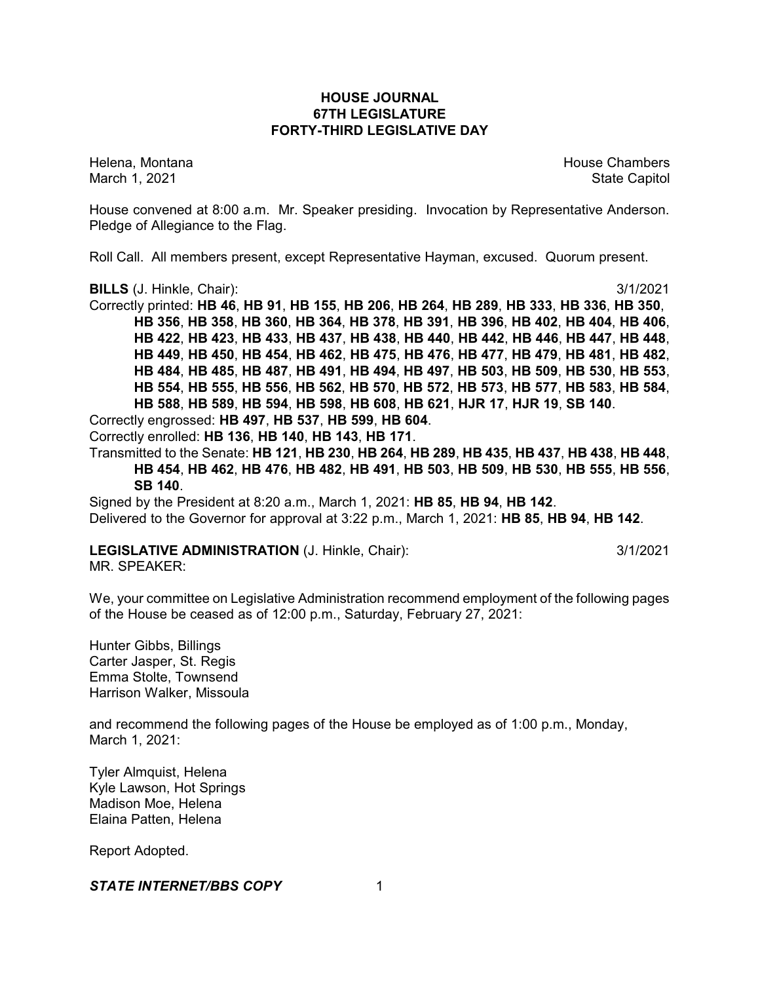# **HOUSE JOURNAL 67TH LEGISLATURE FORTY-THIRD LEGISLATIVE DAY**

Helena, Montana House Chambers Chambers Chambers and House Chambers Chambers Chambers Chambers Chambers Chambers Chambers Chambers Chambers Chambers Chambers Chambers Chambers Chambers Chambers Chambers Chambers Chambers C March 1, 2021 **State Capitol** 

House convened at 8:00 a.m. Mr. Speaker presiding. Invocation by Representative Anderson. Pledge of Allegiance to the Flag.

Roll Call. All members present, except Representative Hayman, excused. Quorum present.

**BILLS** (J. Hinkle, Chair): 3/1/2021

Correctly printed: **HB 46**, **HB 91**, **HB 155**, **HB 206**, **HB 264**, **HB 289**, **HB 333**, **HB 336**, **HB 350**, **HB 356**, **HB 358**, **HB 360**, **HB 364**, **HB 378**, **HB 391**, **HB 396**, **HB 402**, **HB 404**, **HB 406**, **HB 422**, **HB 423**, **HB 433**, **HB 437**, **HB 438**, **HB 440**, **HB 442**, **HB 446**, **HB 447**, **HB 448**, **HB 449**, **HB 450**, **HB 454**, **HB 462**, **HB 475**, **HB 476**, **HB 477**, **HB 479**, **HB 481**, **HB 482**, **HB 484**, **HB 485**, **HB 487**, **HB 491**, **HB 494**, **HB 497**, **HB 503**, **HB 509**, **HB 530**, **HB 553**, **HB 554**, **HB 555**, **HB 556**, **HB 562**, **HB 570**, **HB 572**, **HB 573**, **HB 577**, **HB 583**, **HB 584**, **HB 588**, **HB 589**, **HB 594**, **HB 598**, **HB 608**, **HB 621**, **HJR 17**, **HJR 19**, **SB 140**.

Correctly engrossed: **HB 497**, **HB 537**, **HB 599**, **HB 604**.

Correctly enrolled: **HB 136**, **HB 140**, **HB 143**, **HB 171**.

Transmitted to the Senate: **HB 121**, **HB 230**, **HB 264**, **HB 289**, **HB 435**, **HB 437**, **HB 438**, **HB 448**, **HB 454**, **HB 462**, **HB 476**, **HB 482**, **HB 491**, **HB 503**, **HB 509**, **HB 530**, **HB 555**, **HB 556**, **SB 140**.

Signed by the President at 8:20 a.m., March 1, 2021: **HB 85**, **HB 94**, **HB 142**. Delivered to the Governor for approval at 3:22 p.m., March 1, 2021: **HB 85**, **HB 94**, **HB 142**.

# **LEGISLATIVE ADMINISTRATION** (J. Hinkle, Chair): 3/1/2021

MR. SPEAKER:

We, your committee on Legislative Administration recommend employment of the following pages of the House be ceased as of 12:00 p.m., Saturday, February 27, 2021:

Hunter Gibbs, Billings Carter Jasper, St. Regis Emma Stolte, Townsend Harrison Walker, Missoula

and recommend the following pages of the House be employed as of 1:00 p.m., Monday, March 1, 2021:

Tyler Almquist, Helena Kyle Lawson, Hot Springs Madison Moe, Helena Elaina Patten, Helena

Report Adopted.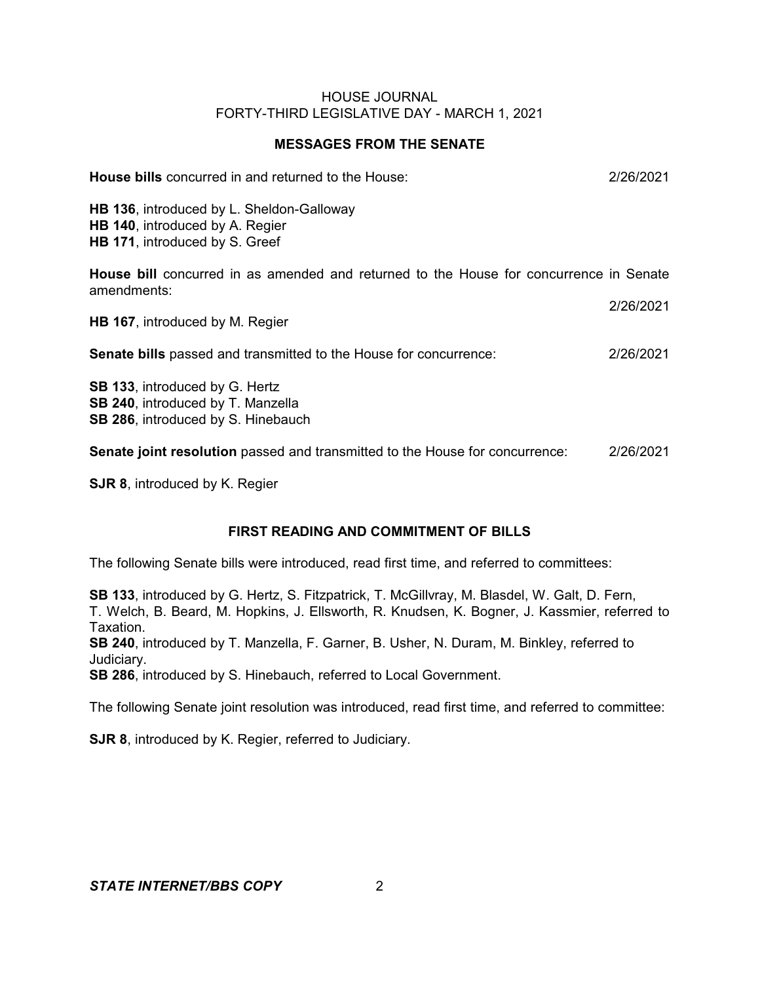# **MESSAGES FROM THE SENATE**

| <b>House bills</b> concurred in and returned to the House:                                                       | 2/26/2021 |
|------------------------------------------------------------------------------------------------------------------|-----------|
| HB 136, introduced by L. Sheldon-Galloway<br>HB 140, introduced by A. Regier<br>HB 171, introduced by S. Greef   |           |
| House bill concurred in as amended and returned to the House for concurrence in Senate<br>amendments:            |           |
| <b>HB 167, introduced by M. Regier</b>                                                                           | 2/26/2021 |
| <b>Senate bills</b> passed and transmitted to the House for concurrence:                                         | 2/26/2021 |
| <b>SB 133, introduced by G. Hertz</b><br>SB 240, introduced by T. Manzella<br>SB 286, introduced by S. Hinebauch |           |
| Senate joint resolution passed and transmitted to the House for concurrence:                                     | 2/26/2021 |

**SJR 8**, introduced by K. Regier

# **FIRST READING AND COMMITMENT OF BILLS**

The following Senate bills were introduced, read first time, and referred to committees:

**SB 133**, introduced by G. Hertz, S. Fitzpatrick, T. McGillvray, M. Blasdel, W. Galt, D. Fern, T. Welch, B. Beard, M. Hopkins, J. Ellsworth, R. Knudsen, K. Bogner, J. Kassmier, referred to Taxation.

**SB 240**, introduced by T. Manzella, F. Garner, B. Usher, N. Duram, M. Binkley, referred to Judiciary.

**SB 286**, introduced by S. Hinebauch, referred to Local Government.

The following Senate joint resolution was introduced, read first time, and referred to committee:

**SJR 8**, introduced by K. Regier, referred to Judiciary.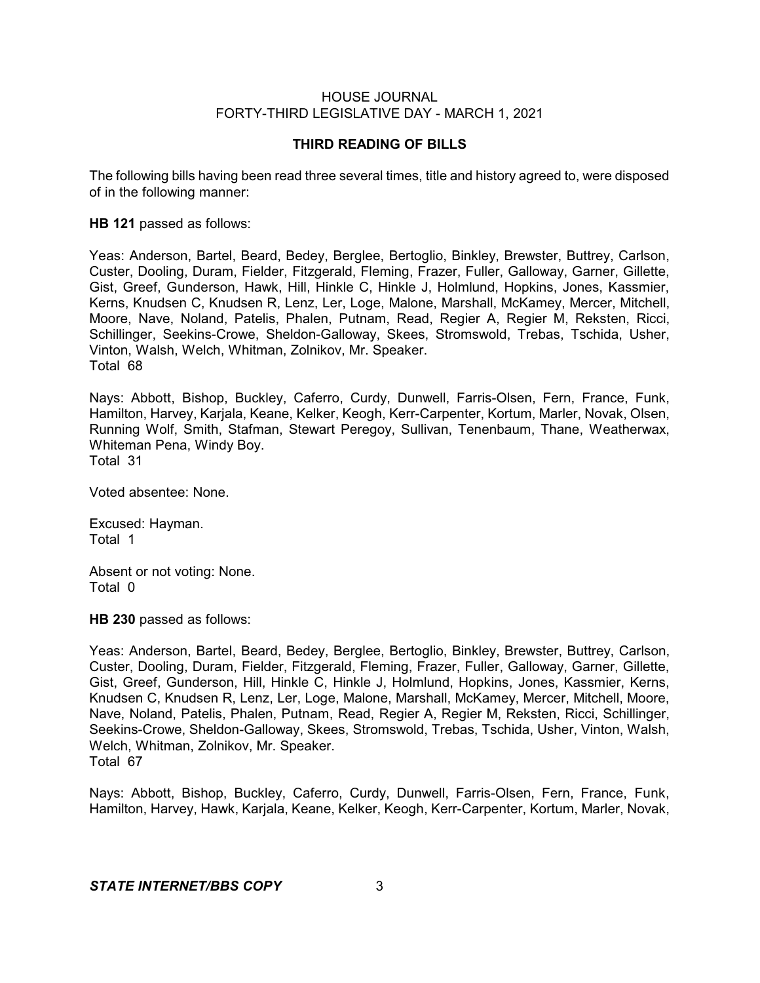# **THIRD READING OF BILLS**

The following bills having been read three several times, title and history agreed to, were disposed of in the following manner:

**HB 121** passed as follows:

Yeas: Anderson, Bartel, Beard, Bedey, Berglee, Bertoglio, Binkley, Brewster, Buttrey, Carlson, Custer, Dooling, Duram, Fielder, Fitzgerald, Fleming, Frazer, Fuller, Galloway, Garner, Gillette, Gist, Greef, Gunderson, Hawk, Hill, Hinkle C, Hinkle J, Holmlund, Hopkins, Jones, Kassmier, Kerns, Knudsen C, Knudsen R, Lenz, Ler, Loge, Malone, Marshall, McKamey, Mercer, Mitchell, Moore, Nave, Noland, Patelis, Phalen, Putnam, Read, Regier A, Regier M, Reksten, Ricci, Schillinger, Seekins-Crowe, Sheldon-Galloway, Skees, Stromswold, Trebas, Tschida, Usher, Vinton, Walsh, Welch, Whitman, Zolnikov, Mr. Speaker. Total 68

Nays: Abbott, Bishop, Buckley, Caferro, Curdy, Dunwell, Farris-Olsen, Fern, France, Funk, Hamilton, Harvey, Karjala, Keane, Kelker, Keogh, Kerr-Carpenter, Kortum, Marler, Novak, Olsen, Running Wolf, Smith, Stafman, Stewart Peregoy, Sullivan, Tenenbaum, Thane, Weatherwax, Whiteman Pena, Windy Boy.

Total 31

Voted absentee: None.

Excused: Hayman. Total 1

Absent or not voting: None. Total 0

**HB 230** passed as follows:

Yeas: Anderson, Bartel, Beard, Bedey, Berglee, Bertoglio, Binkley, Brewster, Buttrey, Carlson, Custer, Dooling, Duram, Fielder, Fitzgerald, Fleming, Frazer, Fuller, Galloway, Garner, Gillette, Gist, Greef, Gunderson, Hill, Hinkle C, Hinkle J, Holmlund, Hopkins, Jones, Kassmier, Kerns, Knudsen C, Knudsen R, Lenz, Ler, Loge, Malone, Marshall, McKamey, Mercer, Mitchell, Moore, Nave, Noland, Patelis, Phalen, Putnam, Read, Regier A, Regier M, Reksten, Ricci, Schillinger, Seekins-Crowe, Sheldon-Galloway, Skees, Stromswold, Trebas, Tschida, Usher, Vinton, Walsh, Welch, Whitman, Zolnikov, Mr. Speaker. Total 67

Nays: Abbott, Bishop, Buckley, Caferro, Curdy, Dunwell, Farris-Olsen, Fern, France, Funk, Hamilton, Harvey, Hawk, Karjala, Keane, Kelker, Keogh, Kerr-Carpenter, Kortum, Marler, Novak,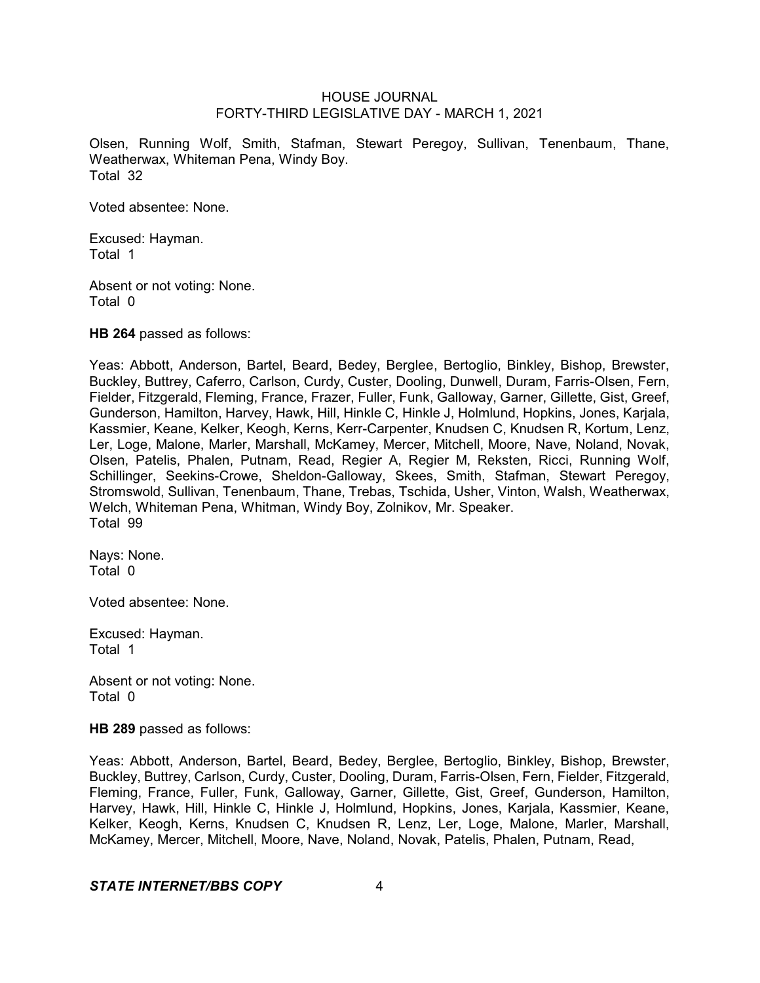Olsen, Running Wolf, Smith, Stafman, Stewart Peregoy, Sullivan, Tenenbaum, Thane, Weatherwax, Whiteman Pena, Windy Boy. Total 32

Voted absentee: None.

Excused: Hayman. Total 1

Absent or not voting: None. Total 0

**HB 264** passed as follows:

Yeas: Abbott, Anderson, Bartel, Beard, Bedey, Berglee, Bertoglio, Binkley, Bishop, Brewster, Buckley, Buttrey, Caferro, Carlson, Curdy, Custer, Dooling, Dunwell, Duram, Farris-Olsen, Fern, Fielder, Fitzgerald, Fleming, France, Frazer, Fuller, Funk, Galloway, Garner, Gillette, Gist, Greef, Gunderson, Hamilton, Harvey, Hawk, Hill, Hinkle C, Hinkle J, Holmlund, Hopkins, Jones, Karjala, Kassmier, Keane, Kelker, Keogh, Kerns, Kerr-Carpenter, Knudsen C, Knudsen R, Kortum, Lenz, Ler, Loge, Malone, Marler, Marshall, McKamey, Mercer, Mitchell, Moore, Nave, Noland, Novak, Olsen, Patelis, Phalen, Putnam, Read, Regier A, Regier M, Reksten, Ricci, Running Wolf, Schillinger, Seekins-Crowe, Sheldon-Galloway, Skees, Smith, Stafman, Stewart Peregoy, Stromswold, Sullivan, Tenenbaum, Thane, Trebas, Tschida, Usher, Vinton, Walsh, Weatherwax, Welch, Whiteman Pena, Whitman, Windy Boy, Zolnikov, Mr. Speaker. Total 99

Nays: None. Total 0

Voted absentee: None.

Excused: Hayman. Total 1

Absent or not voting: None. Total 0

**HB 289** passed as follows:

Yeas: Abbott, Anderson, Bartel, Beard, Bedey, Berglee, Bertoglio, Binkley, Bishop, Brewster, Buckley, Buttrey, Carlson, Curdy, Custer, Dooling, Duram, Farris-Olsen, Fern, Fielder, Fitzgerald, Fleming, France, Fuller, Funk, Galloway, Garner, Gillette, Gist, Greef, Gunderson, Hamilton, Harvey, Hawk, Hill, Hinkle C, Hinkle J, Holmlund, Hopkins, Jones, Karjala, Kassmier, Keane, Kelker, Keogh, Kerns, Knudsen C, Knudsen R, Lenz, Ler, Loge, Malone, Marler, Marshall, McKamey, Mercer, Mitchell, Moore, Nave, Noland, Novak, Patelis, Phalen, Putnam, Read,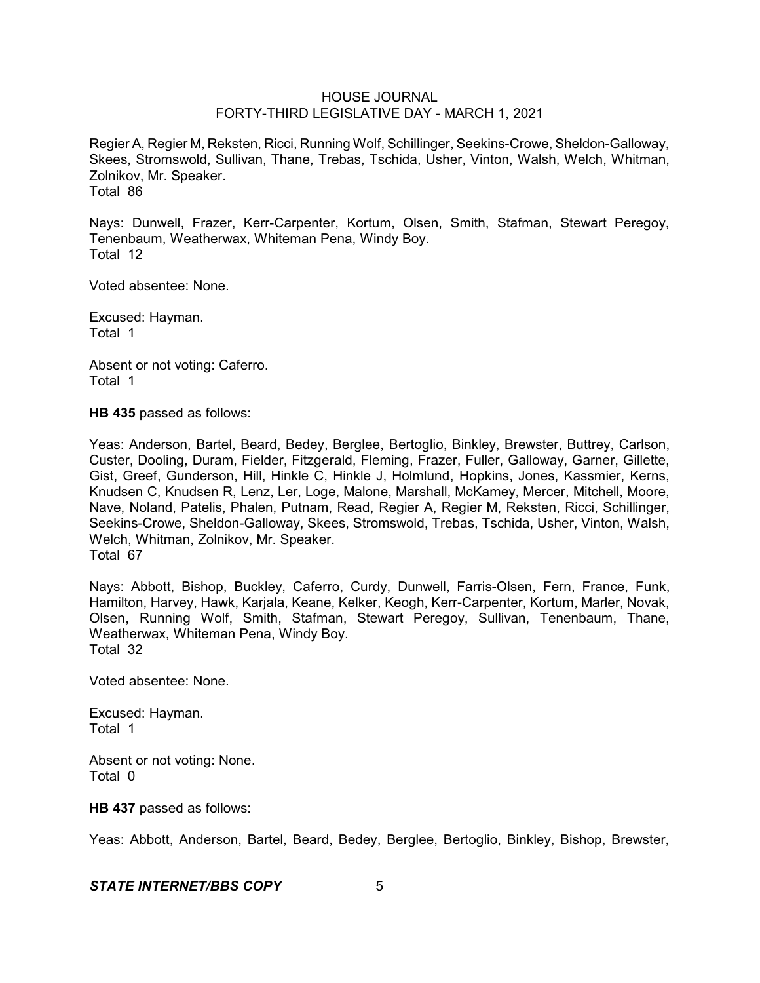Regier A, Regier M, Reksten, Ricci, Running Wolf, Schillinger, Seekins-Crowe, Sheldon-Galloway, Skees, Stromswold, Sullivan, Thane, Trebas, Tschida, Usher, Vinton, Walsh, Welch, Whitman, Zolnikov, Mr. Speaker. Total 86

Nays: Dunwell, Frazer, Kerr-Carpenter, Kortum, Olsen, Smith, Stafman, Stewart Peregoy, Tenenbaum, Weatherwax, Whiteman Pena, Windy Boy. Total 12

Voted absentee: None.

Excused: Hayman. Total 1

Absent or not voting: Caferro. Total 1

**HB 435** passed as follows:

Yeas: Anderson, Bartel, Beard, Bedey, Berglee, Bertoglio, Binkley, Brewster, Buttrey, Carlson, Custer, Dooling, Duram, Fielder, Fitzgerald, Fleming, Frazer, Fuller, Galloway, Garner, Gillette, Gist, Greef, Gunderson, Hill, Hinkle C, Hinkle J, Holmlund, Hopkins, Jones, Kassmier, Kerns, Knudsen C, Knudsen R, Lenz, Ler, Loge, Malone, Marshall, McKamey, Mercer, Mitchell, Moore, Nave, Noland, Patelis, Phalen, Putnam, Read, Regier A, Regier M, Reksten, Ricci, Schillinger, Seekins-Crowe, Sheldon-Galloway, Skees, Stromswold, Trebas, Tschida, Usher, Vinton, Walsh, Welch, Whitman, Zolnikov, Mr. Speaker. Total 67

Nays: Abbott, Bishop, Buckley, Caferro, Curdy, Dunwell, Farris-Olsen, Fern, France, Funk, Hamilton, Harvey, Hawk, Karjala, Keane, Kelker, Keogh, Kerr-Carpenter, Kortum, Marler, Novak, Olsen, Running Wolf, Smith, Stafman, Stewart Peregoy, Sullivan, Tenenbaum, Thane, Weatherwax, Whiteman Pena, Windy Boy. Total 32

Voted absentee: None.

Excused: Hayman. Total 1

Absent or not voting: None. Total 0

**HB 437** passed as follows:

Yeas: Abbott, Anderson, Bartel, Beard, Bedey, Berglee, Bertoglio, Binkley, Bishop, Brewster,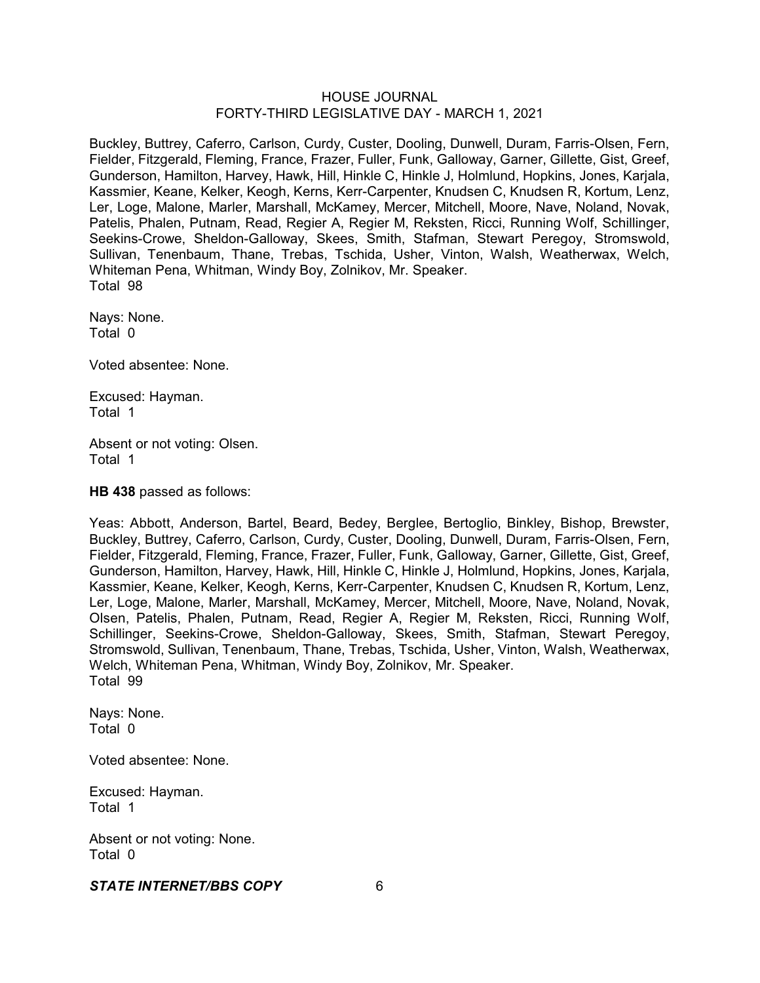Buckley, Buttrey, Caferro, Carlson, Curdy, Custer, Dooling, Dunwell, Duram, Farris-Olsen, Fern, Fielder, Fitzgerald, Fleming, France, Frazer, Fuller, Funk, Galloway, Garner, Gillette, Gist, Greef, Gunderson, Hamilton, Harvey, Hawk, Hill, Hinkle C, Hinkle J, Holmlund, Hopkins, Jones, Karjala, Kassmier, Keane, Kelker, Keogh, Kerns, Kerr-Carpenter, Knudsen C, Knudsen R, Kortum, Lenz, Ler, Loge, Malone, Marler, Marshall, McKamey, Mercer, Mitchell, Moore, Nave, Noland, Novak, Patelis, Phalen, Putnam, Read, Regier A, Regier M, Reksten, Ricci, Running Wolf, Schillinger, Seekins-Crowe, Sheldon-Galloway, Skees, Smith, Stafman, Stewart Peregoy, Stromswold, Sullivan, Tenenbaum, Thane, Trebas, Tschida, Usher, Vinton, Walsh, Weatherwax, Welch, Whiteman Pena, Whitman, Windy Boy, Zolnikov, Mr. Speaker. Total 98

Nays: None. Total 0

Voted absentee: None.

Excused: Hayman. Total 1

Absent or not voting: Olsen. Total 1

**HB 438** passed as follows:

Yeas: Abbott, Anderson, Bartel, Beard, Bedey, Berglee, Bertoglio, Binkley, Bishop, Brewster, Buckley, Buttrey, Caferro, Carlson, Curdy, Custer, Dooling, Dunwell, Duram, Farris-Olsen, Fern, Fielder, Fitzgerald, Fleming, France, Frazer, Fuller, Funk, Galloway, Garner, Gillette, Gist, Greef, Gunderson, Hamilton, Harvey, Hawk, Hill, Hinkle C, Hinkle J, Holmlund, Hopkins, Jones, Karjala, Kassmier, Keane, Kelker, Keogh, Kerns, Kerr-Carpenter, Knudsen C, Knudsen R, Kortum, Lenz, Ler, Loge, Malone, Marler, Marshall, McKamey, Mercer, Mitchell, Moore, Nave, Noland, Novak, Olsen, Patelis, Phalen, Putnam, Read, Regier A, Regier M, Reksten, Ricci, Running Wolf, Schillinger, Seekins-Crowe, Sheldon-Galloway, Skees, Smith, Stafman, Stewart Peregoy, Stromswold, Sullivan, Tenenbaum, Thane, Trebas, Tschida, Usher, Vinton, Walsh, Weatherwax, Welch, Whiteman Pena, Whitman, Windy Boy, Zolnikov, Mr. Speaker. Total 99

Nays: None. Total 0

Voted absentee: None.

Excused: Hayman. Total 1

Absent or not voting: None. Total 0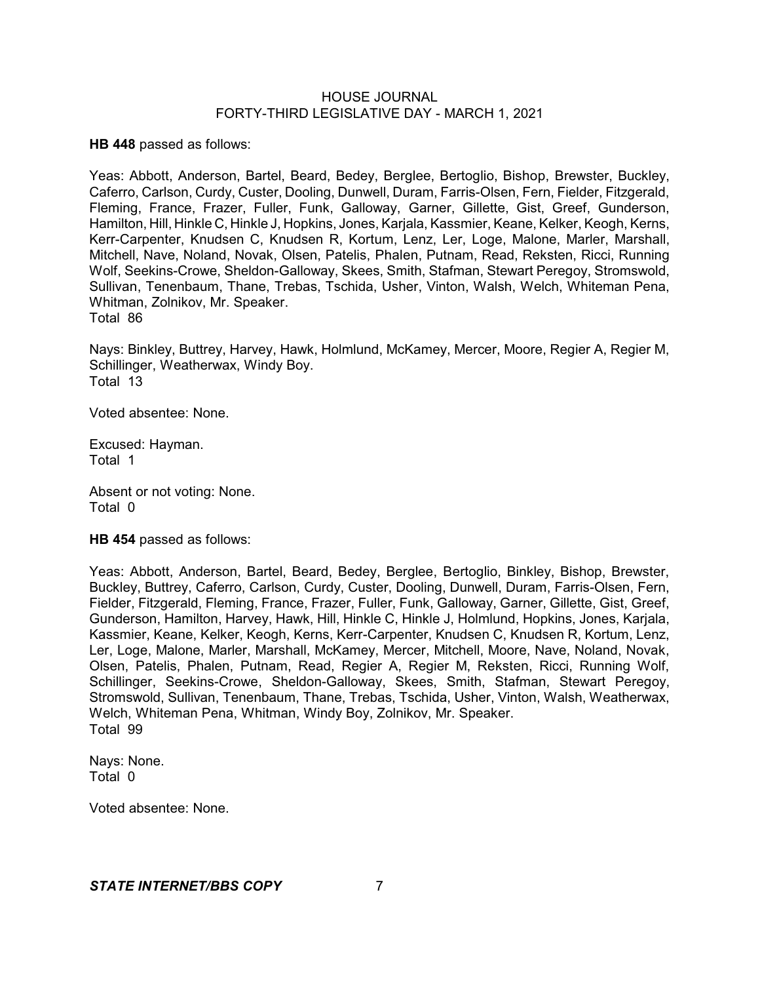**HB 448** passed as follows:

Yeas: Abbott, Anderson, Bartel, Beard, Bedey, Berglee, Bertoglio, Bishop, Brewster, Buckley, Caferro, Carlson, Curdy, Custer, Dooling, Dunwell, Duram, Farris-Olsen, Fern, Fielder, Fitzgerald, Fleming, France, Frazer, Fuller, Funk, Galloway, Garner, Gillette, Gist, Greef, Gunderson, Hamilton, Hill, Hinkle C, Hinkle J, Hopkins, Jones, Karjala, Kassmier, Keane, Kelker, Keogh, Kerns, Kerr-Carpenter, Knudsen C, Knudsen R, Kortum, Lenz, Ler, Loge, Malone, Marler, Marshall, Mitchell, Nave, Noland, Novak, Olsen, Patelis, Phalen, Putnam, Read, Reksten, Ricci, Running Wolf, Seekins-Crowe, Sheldon-Galloway, Skees, Smith, Stafman, Stewart Peregoy, Stromswold, Sullivan, Tenenbaum, Thane, Trebas, Tschida, Usher, Vinton, Walsh, Welch, Whiteman Pena, Whitman, Zolnikov, Mr. Speaker. Total 86

Nays: Binkley, Buttrey, Harvey, Hawk, Holmlund, McKamey, Mercer, Moore, Regier A, Regier M, Schillinger, Weatherwax, Windy Boy. Total 13

Voted absentee: None.

Excused: Hayman. Total 1

Absent or not voting: None. Total 0

**HB 454** passed as follows:

Yeas: Abbott, Anderson, Bartel, Beard, Bedey, Berglee, Bertoglio, Binkley, Bishop, Brewster, Buckley, Buttrey, Caferro, Carlson, Curdy, Custer, Dooling, Dunwell, Duram, Farris-Olsen, Fern, Fielder, Fitzgerald, Fleming, France, Frazer, Fuller, Funk, Galloway, Garner, Gillette, Gist, Greef, Gunderson, Hamilton, Harvey, Hawk, Hill, Hinkle C, Hinkle J, Holmlund, Hopkins, Jones, Karjala, Kassmier, Keane, Kelker, Keogh, Kerns, Kerr-Carpenter, Knudsen C, Knudsen R, Kortum, Lenz, Ler, Loge, Malone, Marler, Marshall, McKamey, Mercer, Mitchell, Moore, Nave, Noland, Novak, Olsen, Patelis, Phalen, Putnam, Read, Regier A, Regier M, Reksten, Ricci, Running Wolf, Schillinger, Seekins-Crowe, Sheldon-Galloway, Skees, Smith, Stafman, Stewart Peregoy, Stromswold, Sullivan, Tenenbaum, Thane, Trebas, Tschida, Usher, Vinton, Walsh, Weatherwax, Welch, Whiteman Pena, Whitman, Windy Boy, Zolnikov, Mr. Speaker. Total 99

Nays: None. Total 0

Voted absentee: None.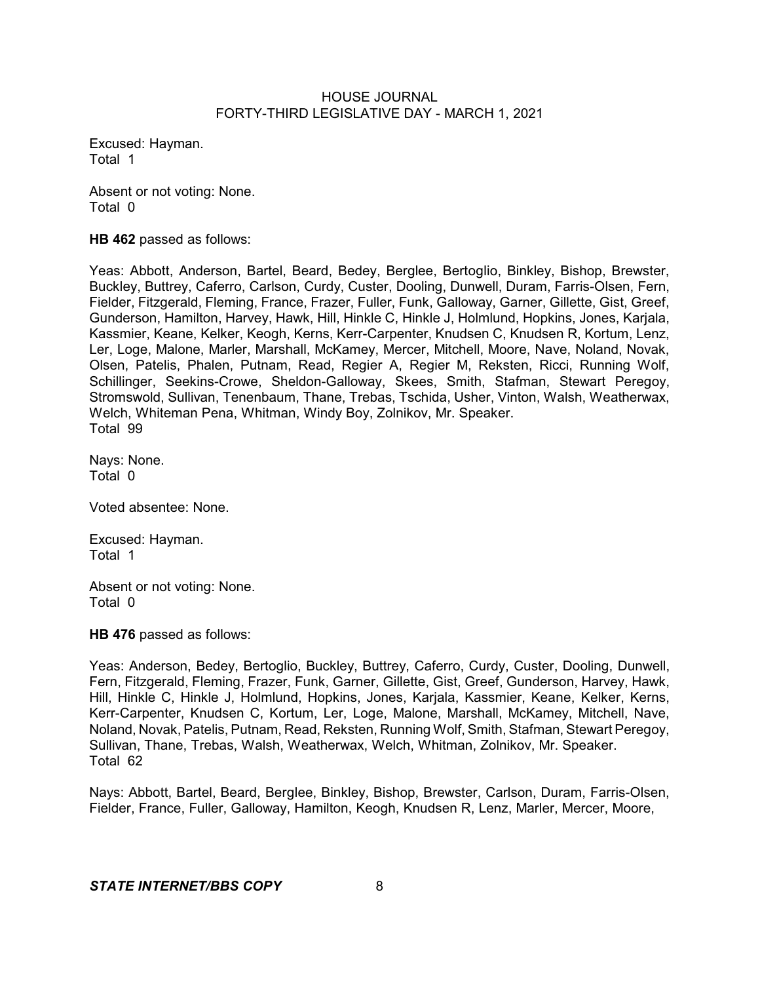Excused: Hayman. Total 1

Absent or not voting: None. Total 0

**HB 462** passed as follows:

Yeas: Abbott, Anderson, Bartel, Beard, Bedey, Berglee, Bertoglio, Binkley, Bishop, Brewster, Buckley, Buttrey, Caferro, Carlson, Curdy, Custer, Dooling, Dunwell, Duram, Farris-Olsen, Fern, Fielder, Fitzgerald, Fleming, France, Frazer, Fuller, Funk, Galloway, Garner, Gillette, Gist, Greef, Gunderson, Hamilton, Harvey, Hawk, Hill, Hinkle C, Hinkle J, Holmlund, Hopkins, Jones, Karjala, Kassmier, Keane, Kelker, Keogh, Kerns, Kerr-Carpenter, Knudsen C, Knudsen R, Kortum, Lenz, Ler, Loge, Malone, Marler, Marshall, McKamey, Mercer, Mitchell, Moore, Nave, Noland, Novak, Olsen, Patelis, Phalen, Putnam, Read, Regier A, Regier M, Reksten, Ricci, Running Wolf, Schillinger, Seekins-Crowe, Sheldon-Galloway, Skees, Smith, Stafman, Stewart Peregoy, Stromswold, Sullivan, Tenenbaum, Thane, Trebas, Tschida, Usher, Vinton, Walsh, Weatherwax, Welch, Whiteman Pena, Whitman, Windy Boy, Zolnikov, Mr. Speaker. Total 99

Nays: None. Total 0

Voted absentee: None.

Excused: Hayman. Total 1

Absent or not voting: None. Total 0

**HB 476** passed as follows:

Yeas: Anderson, Bedey, Bertoglio, Buckley, Buttrey, Caferro, Curdy, Custer, Dooling, Dunwell, Fern, Fitzgerald, Fleming, Frazer, Funk, Garner, Gillette, Gist, Greef, Gunderson, Harvey, Hawk, Hill, Hinkle C, Hinkle J, Holmlund, Hopkins, Jones, Karjala, Kassmier, Keane, Kelker, Kerns, Kerr-Carpenter, Knudsen C, Kortum, Ler, Loge, Malone, Marshall, McKamey, Mitchell, Nave, Noland, Novak, Patelis, Putnam, Read, Reksten, Running Wolf, Smith, Stafman, Stewart Peregoy, Sullivan, Thane, Trebas, Walsh, Weatherwax, Welch, Whitman, Zolnikov, Mr. Speaker. Total 62

Nays: Abbott, Bartel, Beard, Berglee, Binkley, Bishop, Brewster, Carlson, Duram, Farris-Olsen, Fielder, France, Fuller, Galloway, Hamilton, Keogh, Knudsen R, Lenz, Marler, Mercer, Moore,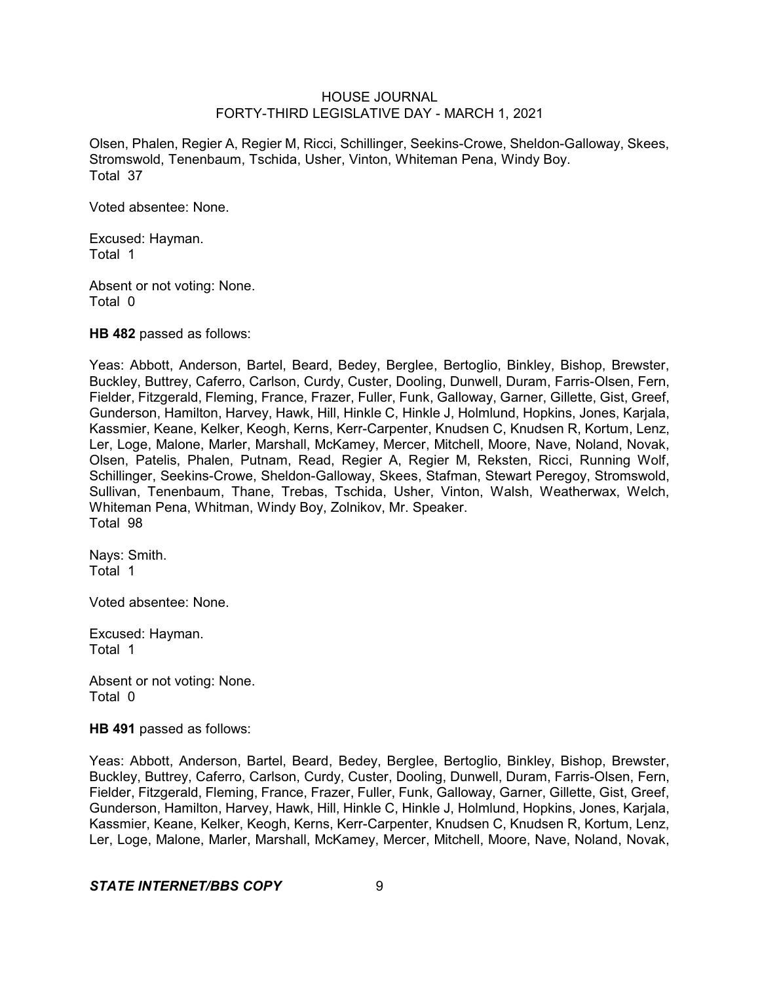Olsen, Phalen, Regier A, Regier M, Ricci, Schillinger, Seekins-Crowe, Sheldon-Galloway, Skees, Stromswold, Tenenbaum, Tschida, Usher, Vinton, Whiteman Pena, Windy Boy. Total 37

Voted absentee: None.

Excused: Hayman. Total 1

Absent or not voting: None. Total 0

**HB 482** passed as follows:

Yeas: Abbott, Anderson, Bartel, Beard, Bedey, Berglee, Bertoglio, Binkley, Bishop, Brewster, Buckley, Buttrey, Caferro, Carlson, Curdy, Custer, Dooling, Dunwell, Duram, Farris-Olsen, Fern, Fielder, Fitzgerald, Fleming, France, Frazer, Fuller, Funk, Galloway, Garner, Gillette, Gist, Greef, Gunderson, Hamilton, Harvey, Hawk, Hill, Hinkle C, Hinkle J, Holmlund, Hopkins, Jones, Karjala, Kassmier, Keane, Kelker, Keogh, Kerns, Kerr-Carpenter, Knudsen C, Knudsen R, Kortum, Lenz, Ler, Loge, Malone, Marler, Marshall, McKamey, Mercer, Mitchell, Moore, Nave, Noland, Novak, Olsen, Patelis, Phalen, Putnam, Read, Regier A, Regier M, Reksten, Ricci, Running Wolf, Schillinger, Seekins-Crowe, Sheldon-Galloway, Skees, Stafman, Stewart Peregoy, Stromswold, Sullivan, Tenenbaum, Thane, Trebas, Tschida, Usher, Vinton, Walsh, Weatherwax, Welch, Whiteman Pena, Whitman, Windy Boy, Zolnikov, Mr. Speaker. Total 98

Nays: Smith. Total 1

Voted absentee: None.

Excused: Hayman. Total 1

Absent or not voting: None. Total 0

**HB 491** passed as follows:

Yeas: Abbott, Anderson, Bartel, Beard, Bedey, Berglee, Bertoglio, Binkley, Bishop, Brewster, Buckley, Buttrey, Caferro, Carlson, Curdy, Custer, Dooling, Dunwell, Duram, Farris-Olsen, Fern, Fielder, Fitzgerald, Fleming, France, Frazer, Fuller, Funk, Galloway, Garner, Gillette, Gist, Greef, Gunderson, Hamilton, Harvey, Hawk, Hill, Hinkle C, Hinkle J, Holmlund, Hopkins, Jones, Karjala, Kassmier, Keane, Kelker, Keogh, Kerns, Kerr-Carpenter, Knudsen C, Knudsen R, Kortum, Lenz, Ler, Loge, Malone, Marler, Marshall, McKamey, Mercer, Mitchell, Moore, Nave, Noland, Novak,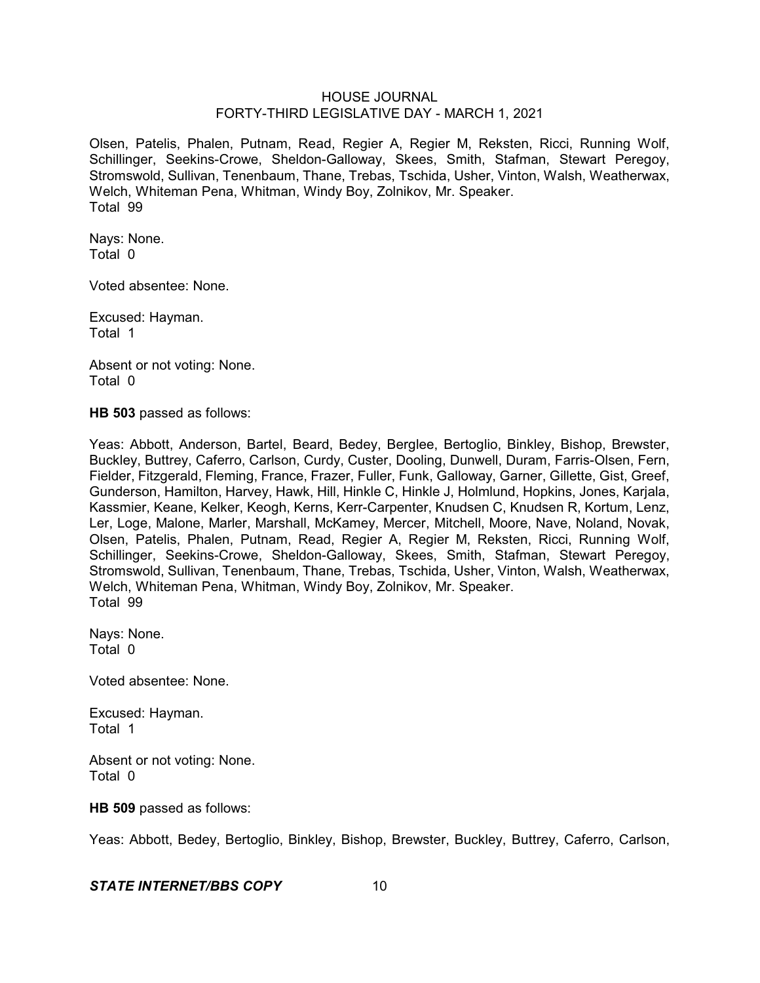Olsen, Patelis, Phalen, Putnam, Read, Regier A, Regier M, Reksten, Ricci, Running Wolf, Schillinger, Seekins-Crowe, Sheldon-Galloway, Skees, Smith, Stafman, Stewart Peregoy, Stromswold, Sullivan, Tenenbaum, Thane, Trebas, Tschida, Usher, Vinton, Walsh, Weatherwax, Welch, Whiteman Pena, Whitman, Windy Boy, Zolnikov, Mr. Speaker. Total 99

Nays: None. Total 0

Voted absentee: None.

Excused: Hayman. Total 1

Absent or not voting: None. Total 0

**HB 503** passed as follows:

Yeas: Abbott, Anderson, Bartel, Beard, Bedey, Berglee, Bertoglio, Binkley, Bishop, Brewster, Buckley, Buttrey, Caferro, Carlson, Curdy, Custer, Dooling, Dunwell, Duram, Farris-Olsen, Fern, Fielder, Fitzgerald, Fleming, France, Frazer, Fuller, Funk, Galloway, Garner, Gillette, Gist, Greef, Gunderson, Hamilton, Harvey, Hawk, Hill, Hinkle C, Hinkle J, Holmlund, Hopkins, Jones, Karjala, Kassmier, Keane, Kelker, Keogh, Kerns, Kerr-Carpenter, Knudsen C, Knudsen R, Kortum, Lenz, Ler, Loge, Malone, Marler, Marshall, McKamey, Mercer, Mitchell, Moore, Nave, Noland, Novak, Olsen, Patelis, Phalen, Putnam, Read, Regier A, Regier M, Reksten, Ricci, Running Wolf, Schillinger, Seekins-Crowe, Sheldon-Galloway, Skees, Smith, Stafman, Stewart Peregoy, Stromswold, Sullivan, Tenenbaum, Thane, Trebas, Tschida, Usher, Vinton, Walsh, Weatherwax, Welch, Whiteman Pena, Whitman, Windy Boy, Zolnikov, Mr. Speaker. Total 99

Nays: None. Total 0

Voted absentee: None.

Excused: Hayman. Total 1

Absent or not voting: None. Total 0

#### **HB 509** passed as follows:

Yeas: Abbott, Bedey, Bertoglio, Binkley, Bishop, Brewster, Buckley, Buttrey, Caferro, Carlson,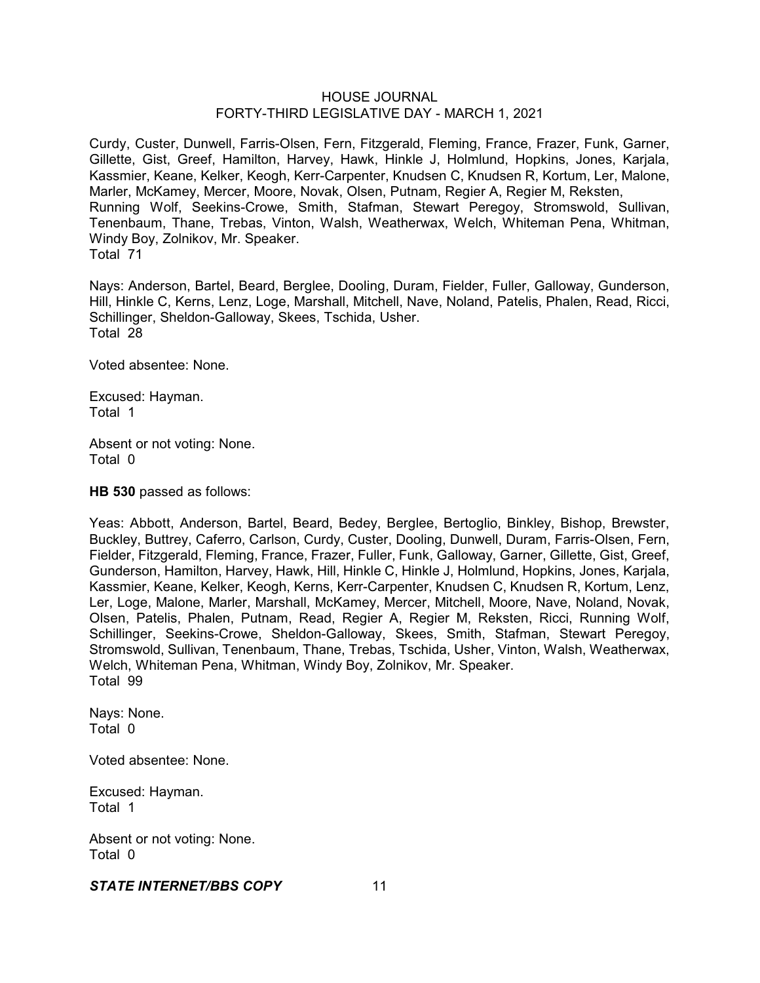Curdy, Custer, Dunwell, Farris-Olsen, Fern, Fitzgerald, Fleming, France, Frazer, Funk, Garner, Gillette, Gist, Greef, Hamilton, Harvey, Hawk, Hinkle J, Holmlund, Hopkins, Jones, Karjala, Kassmier, Keane, Kelker, Keogh, Kerr-Carpenter, Knudsen C, Knudsen R, Kortum, Ler, Malone, Marler, McKamey, Mercer, Moore, Novak, Olsen, Putnam, Regier A, Regier M, Reksten, Running Wolf, Seekins-Crowe, Smith, Stafman, Stewart Peregoy, Stromswold, Sullivan, Tenenbaum, Thane, Trebas, Vinton, Walsh, Weatherwax, Welch, Whiteman Pena, Whitman, Windy Boy, Zolnikov, Mr. Speaker. Total 71

Nays: Anderson, Bartel, Beard, Berglee, Dooling, Duram, Fielder, Fuller, Galloway, Gunderson, Hill, Hinkle C, Kerns, Lenz, Loge, Marshall, Mitchell, Nave, Noland, Patelis, Phalen, Read, Ricci, Schillinger, Sheldon-Galloway, Skees, Tschida, Usher. Total 28

Voted absentee: None.

Excused: Hayman. Total 1

Absent or not voting: None. Total 0

**HB 530** passed as follows:

Yeas: Abbott, Anderson, Bartel, Beard, Bedey, Berglee, Bertoglio, Binkley, Bishop, Brewster, Buckley, Buttrey, Caferro, Carlson, Curdy, Custer, Dooling, Dunwell, Duram, Farris-Olsen, Fern, Fielder, Fitzgerald, Fleming, France, Frazer, Fuller, Funk, Galloway, Garner, Gillette, Gist, Greef, Gunderson, Hamilton, Harvey, Hawk, Hill, Hinkle C, Hinkle J, Holmlund, Hopkins, Jones, Karjala, Kassmier, Keane, Kelker, Keogh, Kerns, Kerr-Carpenter, Knudsen C, Knudsen R, Kortum, Lenz, Ler, Loge, Malone, Marler, Marshall, McKamey, Mercer, Mitchell, Moore, Nave, Noland, Novak, Olsen, Patelis, Phalen, Putnam, Read, Regier A, Regier M, Reksten, Ricci, Running Wolf, Schillinger, Seekins-Crowe, Sheldon-Galloway, Skees, Smith, Stafman, Stewart Peregoy, Stromswold, Sullivan, Tenenbaum, Thane, Trebas, Tschida, Usher, Vinton, Walsh, Weatherwax, Welch, Whiteman Pena, Whitman, Windy Boy, Zolnikov, Mr. Speaker. Total 99

Nays: None. Total 0

Voted absentee: None.

Excused: Hayman. Total 1

Absent or not voting: None. Total 0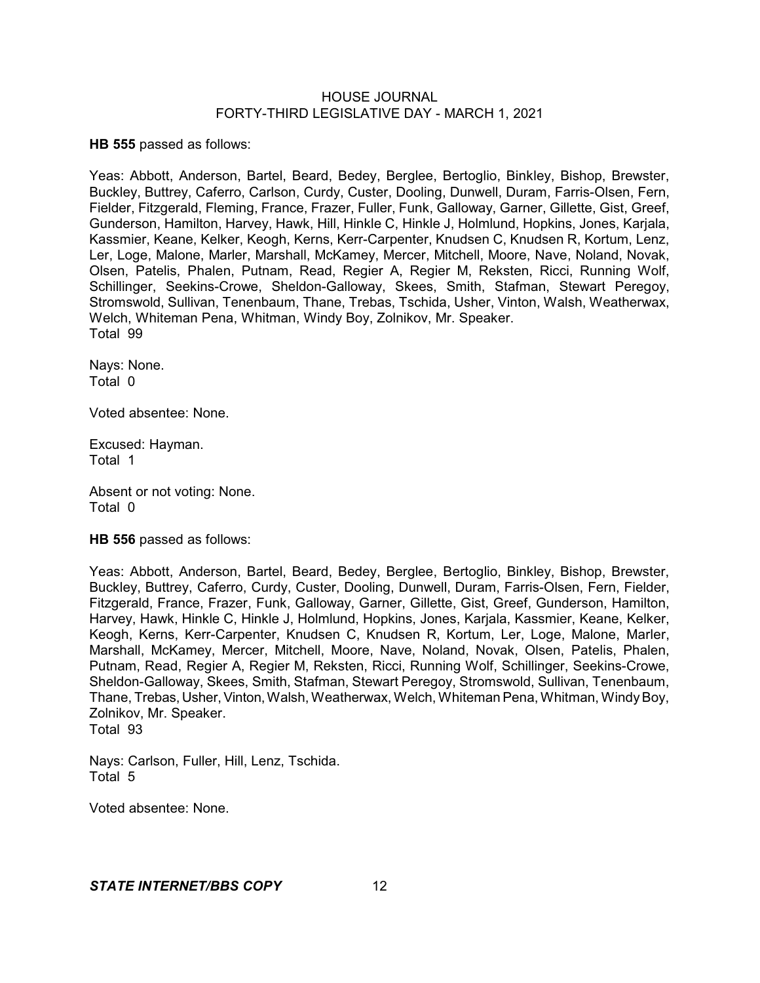**HB 555** passed as follows:

Yeas: Abbott, Anderson, Bartel, Beard, Bedey, Berglee, Bertoglio, Binkley, Bishop, Brewster, Buckley, Buttrey, Caferro, Carlson, Curdy, Custer, Dooling, Dunwell, Duram, Farris-Olsen, Fern, Fielder, Fitzgerald, Fleming, France, Frazer, Fuller, Funk, Galloway, Garner, Gillette, Gist, Greef, Gunderson, Hamilton, Harvey, Hawk, Hill, Hinkle C, Hinkle J, Holmlund, Hopkins, Jones, Karjala, Kassmier, Keane, Kelker, Keogh, Kerns, Kerr-Carpenter, Knudsen C, Knudsen R, Kortum, Lenz, Ler, Loge, Malone, Marler, Marshall, McKamey, Mercer, Mitchell, Moore, Nave, Noland, Novak, Olsen, Patelis, Phalen, Putnam, Read, Regier A, Regier M, Reksten, Ricci, Running Wolf, Schillinger, Seekins-Crowe, Sheldon-Galloway, Skees, Smith, Stafman, Stewart Peregoy, Stromswold, Sullivan, Tenenbaum, Thane, Trebas, Tschida, Usher, Vinton, Walsh, Weatherwax, Welch, Whiteman Pena, Whitman, Windy Boy, Zolnikov, Mr. Speaker. Total 99

Nays: None. Total 0

Voted absentee: None.

Excused: Hayman. Total 1

Absent or not voting: None. Total 0

**HB 556** passed as follows:

Yeas: Abbott, Anderson, Bartel, Beard, Bedey, Berglee, Bertoglio, Binkley, Bishop, Brewster, Buckley, Buttrey, Caferro, Curdy, Custer, Dooling, Dunwell, Duram, Farris-Olsen, Fern, Fielder, Fitzgerald, France, Frazer, Funk, Galloway, Garner, Gillette, Gist, Greef, Gunderson, Hamilton, Harvey, Hawk, Hinkle C, Hinkle J, Holmlund, Hopkins, Jones, Karjala, Kassmier, Keane, Kelker, Keogh, Kerns, Kerr-Carpenter, Knudsen C, Knudsen R, Kortum, Ler, Loge, Malone, Marler, Marshall, McKamey, Mercer, Mitchell, Moore, Nave, Noland, Novak, Olsen, Patelis, Phalen, Putnam, Read, Regier A, Regier M, Reksten, Ricci, Running Wolf, Schillinger, Seekins-Crowe, Sheldon-Galloway, Skees, Smith, Stafman, Stewart Peregoy, Stromswold, Sullivan, Tenenbaum, Thane, Trebas, Usher, Vinton, Walsh, Weatherwax, Welch, Whiteman Pena, Whitman, Windy Boy, Zolnikov, Mr. Speaker. Total 93

Nays: Carlson, Fuller, Hill, Lenz, Tschida. Total 5

Voted absentee: None.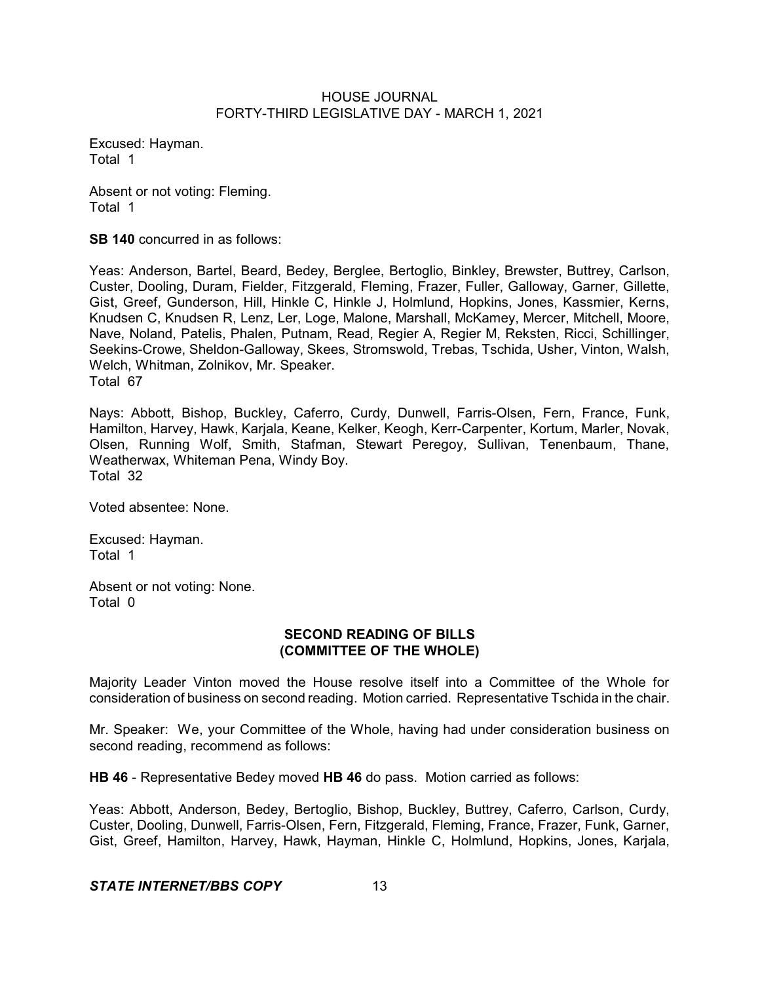Excused: Hayman. Total 1

Absent or not voting: Fleming. Total 1

**SB 140** concurred in as follows:

Yeas: Anderson, Bartel, Beard, Bedey, Berglee, Bertoglio, Binkley, Brewster, Buttrey, Carlson, Custer, Dooling, Duram, Fielder, Fitzgerald, Fleming, Frazer, Fuller, Galloway, Garner, Gillette, Gist, Greef, Gunderson, Hill, Hinkle C, Hinkle J, Holmlund, Hopkins, Jones, Kassmier, Kerns, Knudsen C, Knudsen R, Lenz, Ler, Loge, Malone, Marshall, McKamey, Mercer, Mitchell, Moore, Nave, Noland, Patelis, Phalen, Putnam, Read, Regier A, Regier M, Reksten, Ricci, Schillinger, Seekins-Crowe, Sheldon-Galloway, Skees, Stromswold, Trebas, Tschida, Usher, Vinton, Walsh, Welch, Whitman, Zolnikov, Mr. Speaker. Total 67

Nays: Abbott, Bishop, Buckley, Caferro, Curdy, Dunwell, Farris-Olsen, Fern, France, Funk, Hamilton, Harvey, Hawk, Karjala, Keane, Kelker, Keogh, Kerr-Carpenter, Kortum, Marler, Novak, Olsen, Running Wolf, Smith, Stafman, Stewart Peregoy, Sullivan, Tenenbaum, Thane, Weatherwax, Whiteman Pena, Windy Boy. Total 32

Voted absentee: None.

Excused: Hayman. Total 1

Absent or not voting: None. Total 0

## **SECOND READING OF BILLS (COMMITTEE OF THE WHOLE)**

Majority Leader Vinton moved the House resolve itself into a Committee of the Whole for consideration of business on second reading. Motion carried. Representative Tschida in the chair.

Mr. Speaker: We, your Committee of the Whole, having had under consideration business on second reading, recommend as follows:

**HB 46** - Representative Bedey moved **HB 46** do pass. Motion carried as follows:

Yeas: Abbott, Anderson, Bedey, Bertoglio, Bishop, Buckley, Buttrey, Caferro, Carlson, Curdy, Custer, Dooling, Dunwell, Farris-Olsen, Fern, Fitzgerald, Fleming, France, Frazer, Funk, Garner, Gist, Greef, Hamilton, Harvey, Hawk, Hayman, Hinkle C, Holmlund, Hopkins, Jones, Karjala,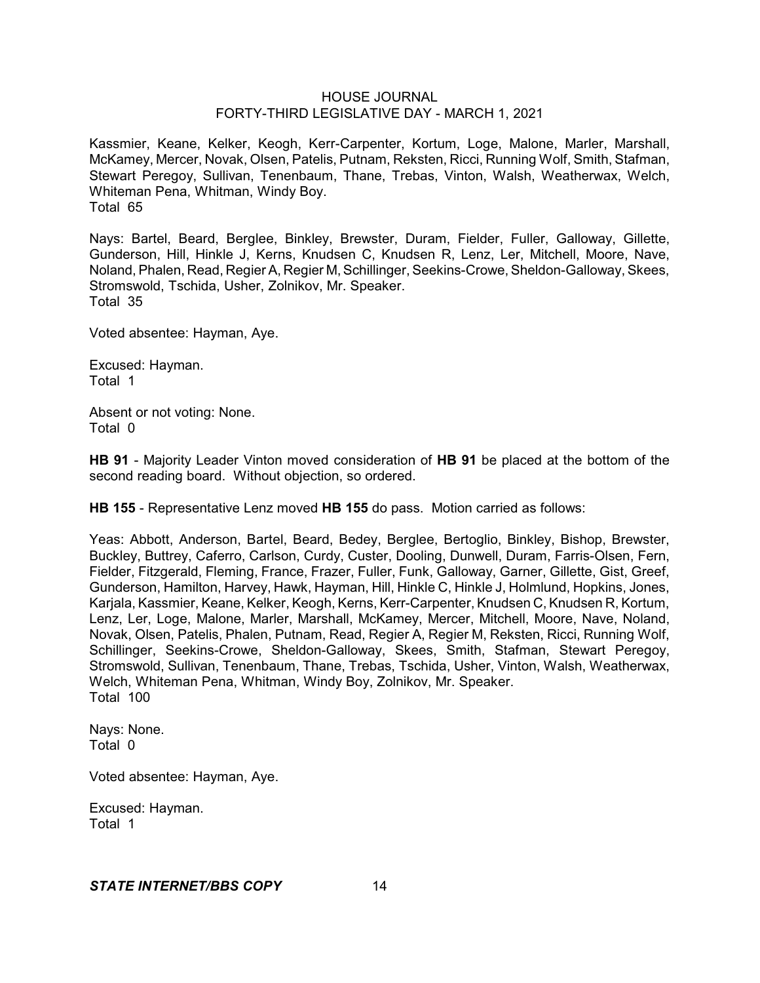Kassmier, Keane, Kelker, Keogh, Kerr-Carpenter, Kortum, Loge, Malone, Marler, Marshall, McKamey, Mercer, Novak, Olsen, Patelis, Putnam, Reksten, Ricci, Running Wolf, Smith, Stafman, Stewart Peregoy, Sullivan, Tenenbaum, Thane, Trebas, Vinton, Walsh, Weatherwax, Welch, Whiteman Pena, Whitman, Windy Boy. Total 65

Nays: Bartel, Beard, Berglee, Binkley, Brewster, Duram, Fielder, Fuller, Galloway, Gillette, Gunderson, Hill, Hinkle J, Kerns, Knudsen C, Knudsen R, Lenz, Ler, Mitchell, Moore, Nave, Noland, Phalen, Read, Regier A, Regier M, Schillinger, Seekins-Crowe,Sheldon-Galloway, Skees, Stromswold, Tschida, Usher, Zolnikov, Mr. Speaker. Total 35

Voted absentee: Hayman, Aye.

Excused: Hayman. Total 1

Absent or not voting: None. Total 0

**HB 91** - Majority Leader Vinton moved consideration of **HB 91** be placed at the bottom of the second reading board. Without objection, so ordered.

**HB 155** - Representative Lenz moved **HB 155** do pass. Motion carried as follows:

Yeas: Abbott, Anderson, Bartel, Beard, Bedey, Berglee, Bertoglio, Binkley, Bishop, Brewster, Buckley, Buttrey, Caferro, Carlson, Curdy, Custer, Dooling, Dunwell, Duram, Farris-Olsen, Fern, Fielder, Fitzgerald, Fleming, France, Frazer, Fuller, Funk, Galloway, Garner, Gillette, Gist, Greef, Gunderson, Hamilton, Harvey, Hawk, Hayman, Hill, Hinkle C, Hinkle J, Holmlund, Hopkins, Jones, Karjala, Kassmier, Keane, Kelker, Keogh, Kerns, Kerr-Carpenter, Knudsen C, Knudsen R, Kortum, Lenz, Ler, Loge, Malone, Marler, Marshall, McKamey, Mercer, Mitchell, Moore, Nave, Noland, Novak, Olsen, Patelis, Phalen, Putnam, Read, Regier A, Regier M, Reksten, Ricci, Running Wolf, Schillinger, Seekins-Crowe, Sheldon-Galloway, Skees, Smith, Stafman, Stewart Peregoy, Stromswold, Sullivan, Tenenbaum, Thane, Trebas, Tschida, Usher, Vinton, Walsh, Weatherwax, Welch, Whiteman Pena, Whitman, Windy Boy, Zolnikov, Mr. Speaker. Total 100

Nays: None. Total 0

Voted absentee: Hayman, Aye.

Excused: Hayman. Total 1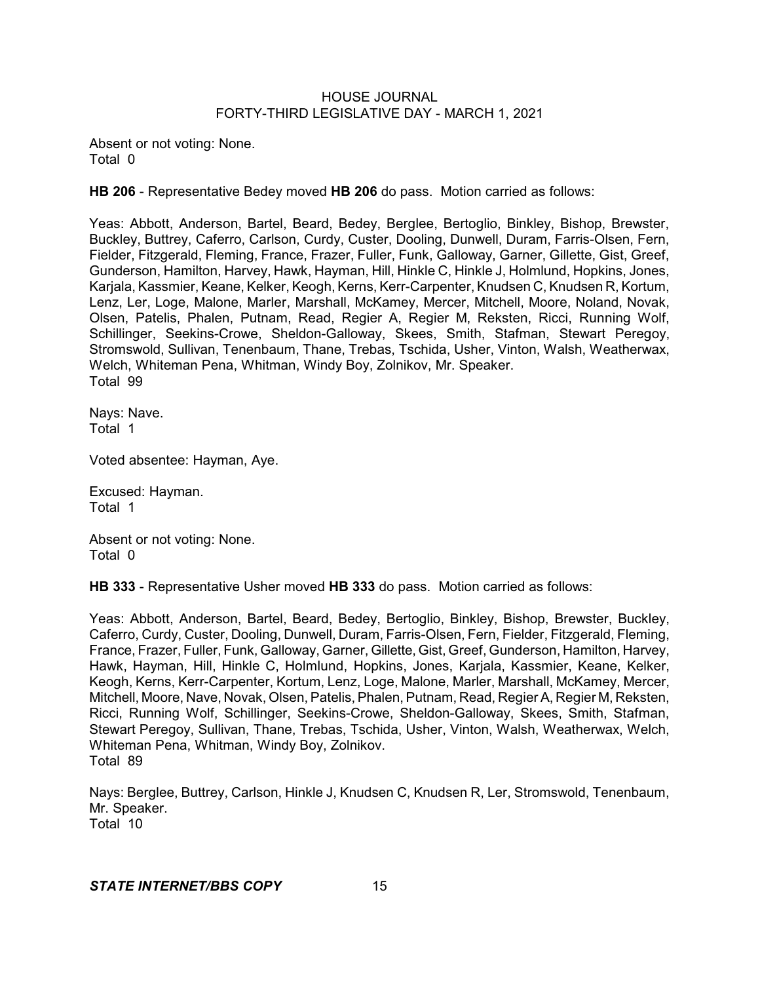Absent or not voting: None. Total 0

**HB 206** - Representative Bedey moved **HB 206** do pass. Motion carried as follows:

Yeas: Abbott, Anderson, Bartel, Beard, Bedey, Berglee, Bertoglio, Binkley, Bishop, Brewster, Buckley, Buttrey, Caferro, Carlson, Curdy, Custer, Dooling, Dunwell, Duram, Farris-Olsen, Fern, Fielder, Fitzgerald, Fleming, France, Frazer, Fuller, Funk, Galloway, Garner, Gillette, Gist, Greef, Gunderson, Hamilton, Harvey, Hawk, Hayman, Hill, Hinkle C, Hinkle J, Holmlund, Hopkins, Jones, Karjala, Kassmier, Keane, Kelker, Keogh, Kerns, Kerr-Carpenter, Knudsen C, Knudsen R, Kortum, Lenz, Ler, Loge, Malone, Marler, Marshall, McKamey, Mercer, Mitchell, Moore, Noland, Novak, Olsen, Patelis, Phalen, Putnam, Read, Regier A, Regier M, Reksten, Ricci, Running Wolf, Schillinger, Seekins-Crowe, Sheldon-Galloway, Skees, Smith, Stafman, Stewart Peregoy, Stromswold, Sullivan, Tenenbaum, Thane, Trebas, Tschida, Usher, Vinton, Walsh, Weatherwax, Welch, Whiteman Pena, Whitman, Windy Boy, Zolnikov, Mr. Speaker. Total 99

Nays: Nave. Total 1

Voted absentee: Hayman, Aye.

Excused: Hayman. Total 1

Absent or not voting: None. Total 0

**HB 333** - Representative Usher moved **HB 333** do pass. Motion carried as follows:

Yeas: Abbott, Anderson, Bartel, Beard, Bedey, Bertoglio, Binkley, Bishop, Brewster, Buckley, Caferro, Curdy, Custer, Dooling, Dunwell, Duram, Farris-Olsen, Fern, Fielder, Fitzgerald, Fleming, France, Frazer, Fuller, Funk, Galloway, Garner, Gillette, Gist, Greef, Gunderson, Hamilton, Harvey, Hawk, Hayman, Hill, Hinkle C, Holmlund, Hopkins, Jones, Karjala, Kassmier, Keane, Kelker, Keogh, Kerns, Kerr-Carpenter, Kortum, Lenz, Loge, Malone, Marler, Marshall, McKamey, Mercer, Mitchell, Moore, Nave, Novak, Olsen, Patelis, Phalen,Putnam, Read, Regier A, Regier M, Reksten, Ricci, Running Wolf, Schillinger, Seekins-Crowe, Sheldon-Galloway, Skees, Smith, Stafman, Stewart Peregoy, Sullivan, Thane, Trebas, Tschida, Usher, Vinton, Walsh, Weatherwax, Welch, Whiteman Pena, Whitman, Windy Boy, Zolnikov. Total 89

Nays: Berglee, Buttrey, Carlson, Hinkle J, Knudsen C, Knudsen R, Ler, Stromswold, Tenenbaum, Mr. Speaker. Total 10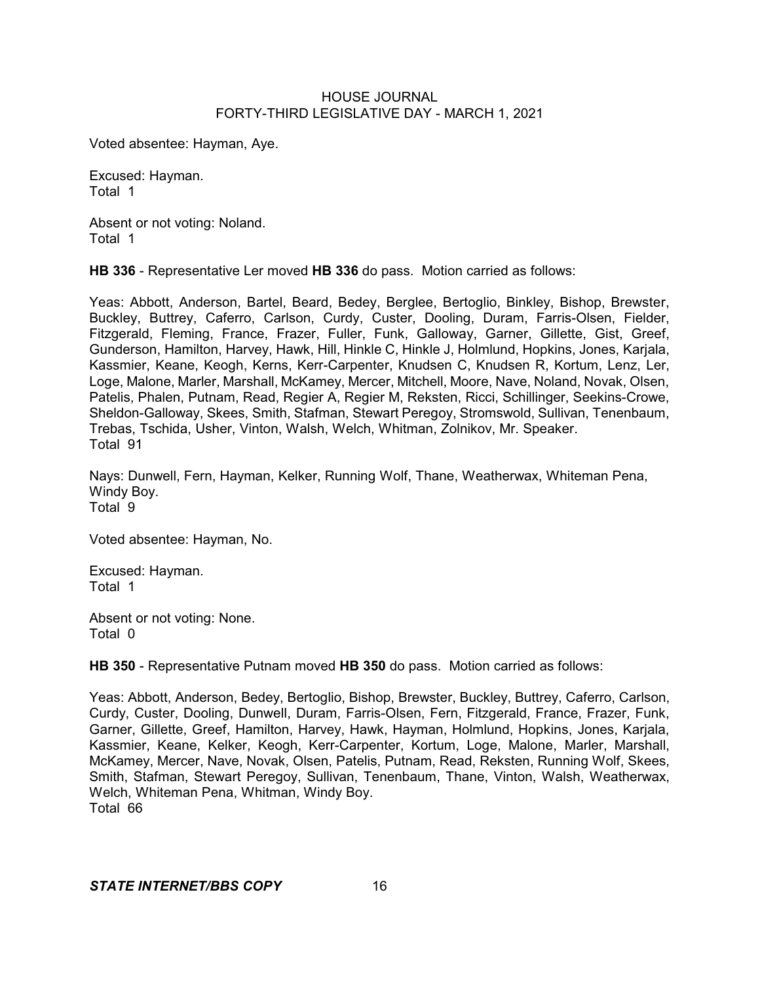Voted absentee: Hayman, Aye.

Excused: Hayman. Total 1

Absent or not voting: Noland. Total 1

**HB 336** - Representative Ler moved **HB 336** do pass. Motion carried as follows:

Yeas: Abbott, Anderson, Bartel, Beard, Bedey, Berglee, Bertoglio, Binkley, Bishop, Brewster, Buckley, Buttrey, Caferro, Carlson, Curdy, Custer, Dooling, Duram, Farris-Olsen, Fielder, Fitzgerald, Fleming, France, Frazer, Fuller, Funk, Galloway, Garner, Gillette, Gist, Greef, Gunderson, Hamilton, Harvey, Hawk, Hill, Hinkle C, Hinkle J, Holmlund, Hopkins, Jones, Karjala, Kassmier, Keane, Keogh, Kerns, Kerr-Carpenter, Knudsen C, Knudsen R, Kortum, Lenz, Ler, Loge, Malone, Marler, Marshall, McKamey, Mercer, Mitchell, Moore, Nave, Noland, Novak, Olsen, Patelis, Phalen, Putnam, Read, Regier A, Regier M, Reksten, Ricci, Schillinger, Seekins-Crowe, Sheldon-Galloway, Skees, Smith, Stafman, Stewart Peregoy, Stromswold, Sullivan, Tenenbaum, Trebas, Tschida, Usher, Vinton, Walsh, Welch, Whitman, Zolnikov, Mr. Speaker. Total 91

Nays: Dunwell, Fern, Hayman, Kelker, Running Wolf, Thane, Weatherwax, Whiteman Pena, Windy Boy. Total<sup>9</sup>

Voted absentee: Hayman, No.

Excused: Hayman. Total 1

Absent or not voting: None. Total 0

**HB 350** - Representative Putnam moved **HB 350** do pass. Motion carried as follows:

Yeas: Abbott, Anderson, Bedey, Bertoglio, Bishop, Brewster, Buckley, Buttrey, Caferro, Carlson, Curdy, Custer, Dooling, Dunwell, Duram, Farris-Olsen, Fern, Fitzgerald, France, Frazer, Funk, Garner, Gillette, Greef, Hamilton, Harvey, Hawk, Hayman, Holmlund, Hopkins, Jones, Karjala, Kassmier, Keane, Kelker, Keogh, Kerr-Carpenter, Kortum, Loge, Malone, Marler, Marshall, McKamey, Mercer, Nave, Novak, Olsen, Patelis, Putnam, Read, Reksten, Running Wolf, Skees, Smith, Stafman, Stewart Peregoy, Sullivan, Tenenbaum, Thane, Vinton, Walsh, Weatherwax, Welch, Whiteman Pena, Whitman, Windy Boy. Total 66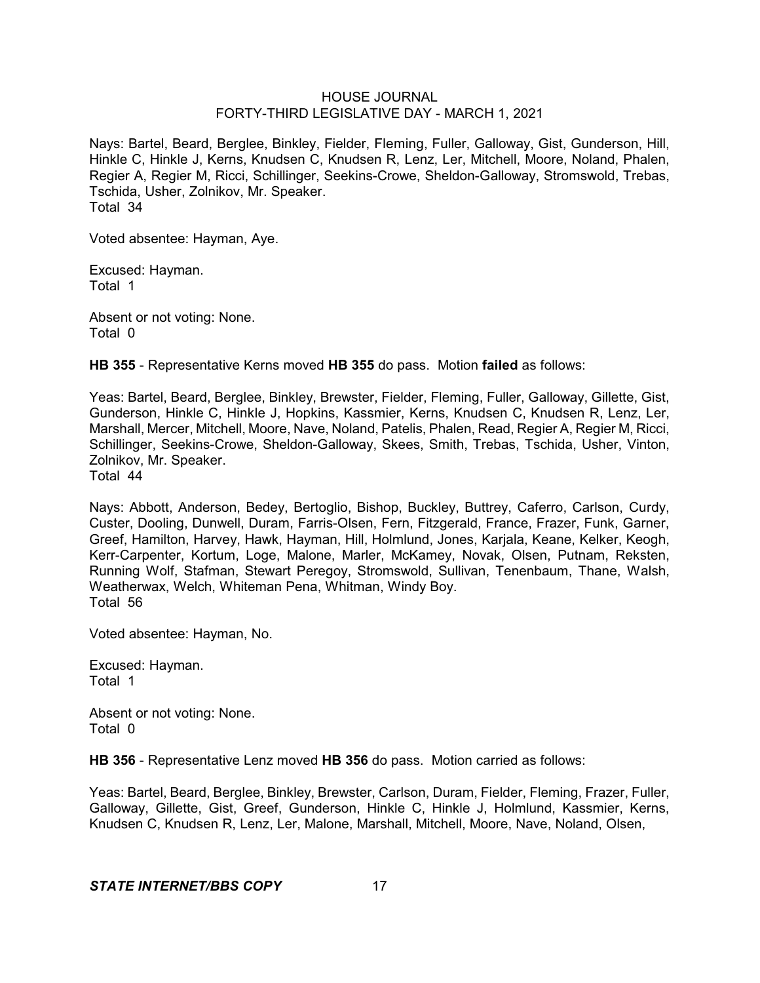Nays: Bartel, Beard, Berglee, Binkley, Fielder, Fleming, Fuller, Galloway, Gist, Gunderson, Hill, Hinkle C, Hinkle J, Kerns, Knudsen C, Knudsen R, Lenz, Ler, Mitchell, Moore, Noland, Phalen, Regier A, Regier M, Ricci, Schillinger, Seekins-Crowe, Sheldon-Galloway, Stromswold, Trebas, Tschida, Usher, Zolnikov, Mr. Speaker. Total 34

Voted absentee: Hayman, Aye.

Excused: Hayman. Total 1

Absent or not voting: None. Total 0

**HB 355** - Representative Kerns moved **HB 355** do pass. Motion **failed** as follows:

Yeas: Bartel, Beard, Berglee, Binkley, Brewster, Fielder, Fleming, Fuller, Galloway, Gillette, Gist, Gunderson, Hinkle C, Hinkle J, Hopkins, Kassmier, Kerns, Knudsen C, Knudsen R, Lenz, Ler, Marshall, Mercer, Mitchell, Moore, Nave, Noland, Patelis, Phalen, Read, Regier A, Regier M, Ricci, Schillinger, Seekins-Crowe, Sheldon-Galloway, Skees, Smith, Trebas, Tschida, Usher, Vinton, Zolnikov, Mr. Speaker. Total 44

Nays: Abbott, Anderson, Bedey, Bertoglio, Bishop, Buckley, Buttrey, Caferro, Carlson, Curdy, Custer, Dooling, Dunwell, Duram, Farris-Olsen, Fern, Fitzgerald, France, Frazer, Funk, Garner, Greef, Hamilton, Harvey, Hawk, Hayman, Hill, Holmlund, Jones, Karjala, Keane, Kelker, Keogh, Kerr-Carpenter, Kortum, Loge, Malone, Marler, McKamey, Novak, Olsen, Putnam, Reksten, Running Wolf, Stafman, Stewart Peregoy, Stromswold, Sullivan, Tenenbaum, Thane, Walsh, Weatherwax, Welch, Whiteman Pena, Whitman, Windy Boy.

Total 56

Voted absentee: Hayman, No.

Excused: Hayman. Total 1

Absent or not voting: None. Total 0

**HB 356** - Representative Lenz moved **HB 356** do pass. Motion carried as follows:

Yeas: Bartel, Beard, Berglee, Binkley, Brewster, Carlson, Duram, Fielder, Fleming, Frazer, Fuller, Galloway, Gillette, Gist, Greef, Gunderson, Hinkle C, Hinkle J, Holmlund, Kassmier, Kerns, Knudsen C, Knudsen R, Lenz, Ler, Malone, Marshall, Mitchell, Moore, Nave, Noland, Olsen,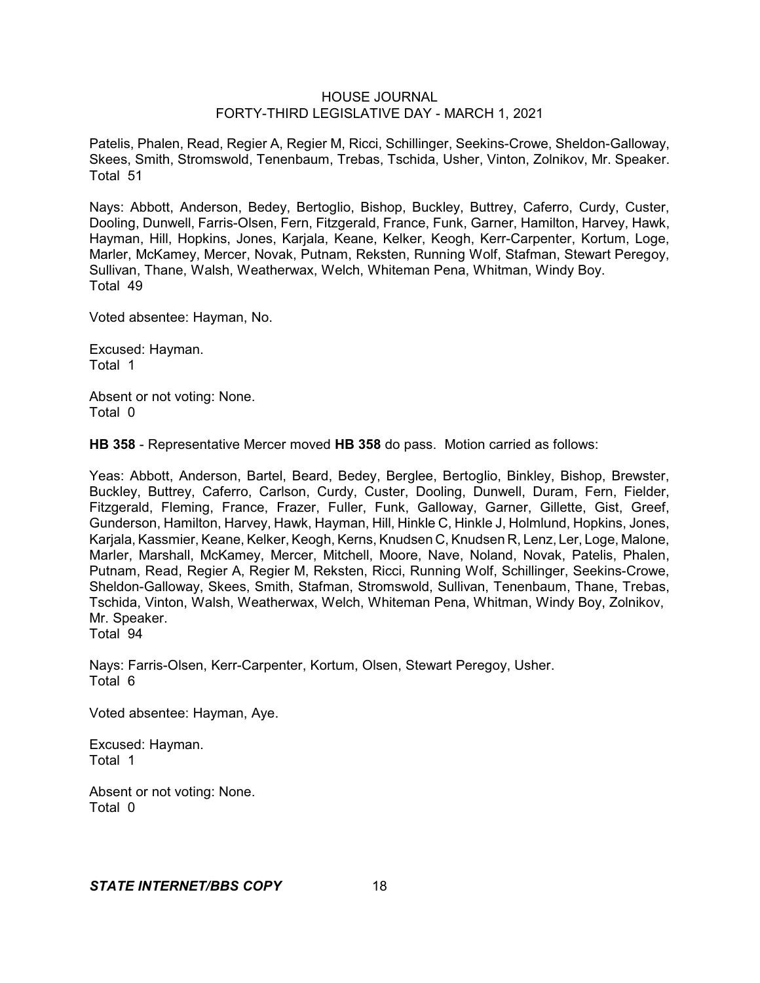Patelis, Phalen, Read, Regier A, Regier M, Ricci, Schillinger, Seekins-Crowe, Sheldon-Galloway, Skees, Smith, Stromswold, Tenenbaum, Trebas, Tschida, Usher, Vinton, Zolnikov, Mr. Speaker. Total 51

Nays: Abbott, Anderson, Bedey, Bertoglio, Bishop, Buckley, Buttrey, Caferro, Curdy, Custer, Dooling, Dunwell, Farris-Olsen, Fern, Fitzgerald, France, Funk, Garner, Hamilton, Harvey, Hawk, Hayman, Hill, Hopkins, Jones, Karjala, Keane, Kelker, Keogh, Kerr-Carpenter, Kortum, Loge, Marler, McKamey, Mercer, Novak, Putnam, Reksten, Running Wolf, Stafman, Stewart Peregoy, Sullivan, Thane, Walsh, Weatherwax, Welch, Whiteman Pena, Whitman, Windy Boy. Total 49

Voted absentee: Hayman, No.

Excused: Hayman. Total 1

Absent or not voting: None. Total 0

**HB 358** - Representative Mercer moved **HB 358** do pass. Motion carried as follows:

Yeas: Abbott, Anderson, Bartel, Beard, Bedey, Berglee, Bertoglio, Binkley, Bishop, Brewster, Buckley, Buttrey, Caferro, Carlson, Curdy, Custer, Dooling, Dunwell, Duram, Fern, Fielder, Fitzgerald, Fleming, France, Frazer, Fuller, Funk, Galloway, Garner, Gillette, Gist, Greef, Gunderson, Hamilton, Harvey, Hawk, Hayman, Hill, Hinkle C, Hinkle J, Holmlund, Hopkins, Jones, Karjala, Kassmier, Keane, Kelker, Keogh, Kerns, Knudsen C, Knudsen R, Lenz, Ler, Loge, Malone, Marler, Marshall, McKamey, Mercer, Mitchell, Moore, Nave, Noland, Novak, Patelis, Phalen, Putnam, Read, Regier A, Regier M, Reksten, Ricci, Running Wolf, Schillinger, Seekins-Crowe, Sheldon-Galloway, Skees, Smith, Stafman, Stromswold, Sullivan, Tenenbaum, Thane, Trebas, Tschida, Vinton, Walsh, Weatherwax, Welch, Whiteman Pena, Whitman, Windy Boy, Zolnikov, Mr. Speaker. Total 94

Nays: Farris-Olsen, Kerr-Carpenter, Kortum, Olsen, Stewart Peregoy, Usher. Total 6

Voted absentee: Hayman, Aye.

Excused: Hayman. Total 1

Absent or not voting: None. Total 0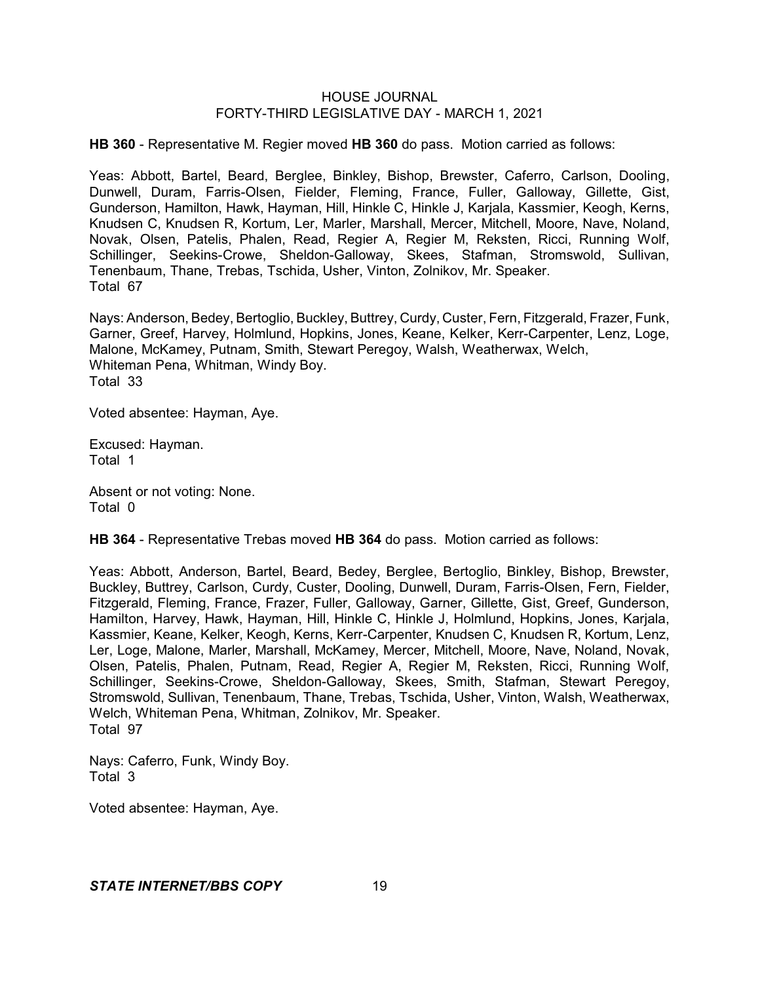**HB 360** - Representative M. Regier moved **HB 360** do pass. Motion carried as follows:

Yeas: Abbott, Bartel, Beard, Berglee, Binkley, Bishop, Brewster, Caferro, Carlson, Dooling, Dunwell, Duram, Farris-Olsen, Fielder, Fleming, France, Fuller, Galloway, Gillette, Gist, Gunderson, Hamilton, Hawk, Hayman, Hill, Hinkle C, Hinkle J, Karjala, Kassmier, Keogh, Kerns, Knudsen C, Knudsen R, Kortum, Ler, Marler, Marshall, Mercer, Mitchell, Moore, Nave, Noland, Novak, Olsen, Patelis, Phalen, Read, Regier A, Regier M, Reksten, Ricci, Running Wolf, Schillinger, Seekins-Crowe, Sheldon-Galloway, Skees, Stafman, Stromswold, Sullivan, Tenenbaum, Thane, Trebas, Tschida, Usher, Vinton, Zolnikov, Mr. Speaker. Total 67

Nays: Anderson, Bedey, Bertoglio, Buckley, Buttrey, Curdy, Custer, Fern, Fitzgerald, Frazer, Funk, Garner, Greef, Harvey, Holmlund, Hopkins, Jones, Keane, Kelker, Kerr-Carpenter, Lenz, Loge, Malone, McKamey, Putnam, Smith, Stewart Peregoy, Walsh, Weatherwax, Welch, Whiteman Pena, Whitman, Windy Boy. Total 33

Voted absentee: Hayman, Aye.

Excused: Hayman. Total 1

Absent or not voting: None. Total 0

**HB 364** - Representative Trebas moved **HB 364** do pass. Motion carried as follows:

Yeas: Abbott, Anderson, Bartel, Beard, Bedey, Berglee, Bertoglio, Binkley, Bishop, Brewster, Buckley, Buttrey, Carlson, Curdy, Custer, Dooling, Dunwell, Duram, Farris-Olsen, Fern, Fielder, Fitzgerald, Fleming, France, Frazer, Fuller, Galloway, Garner, Gillette, Gist, Greef, Gunderson, Hamilton, Harvey, Hawk, Hayman, Hill, Hinkle C, Hinkle J, Holmlund, Hopkins, Jones, Karjala, Kassmier, Keane, Kelker, Keogh, Kerns, Kerr-Carpenter, Knudsen C, Knudsen R, Kortum, Lenz, Ler, Loge, Malone, Marler, Marshall, McKamey, Mercer, Mitchell, Moore, Nave, Noland, Novak, Olsen, Patelis, Phalen, Putnam, Read, Regier A, Regier M, Reksten, Ricci, Running Wolf, Schillinger, Seekins-Crowe, Sheldon-Galloway, Skees, Smith, Stafman, Stewart Peregoy, Stromswold, Sullivan, Tenenbaum, Thane, Trebas, Tschida, Usher, Vinton, Walsh, Weatherwax, Welch, Whiteman Pena, Whitman, Zolnikov, Mr. Speaker. Total 97

Nays: Caferro, Funk, Windy Boy. Total 3

Voted absentee: Hayman, Aye.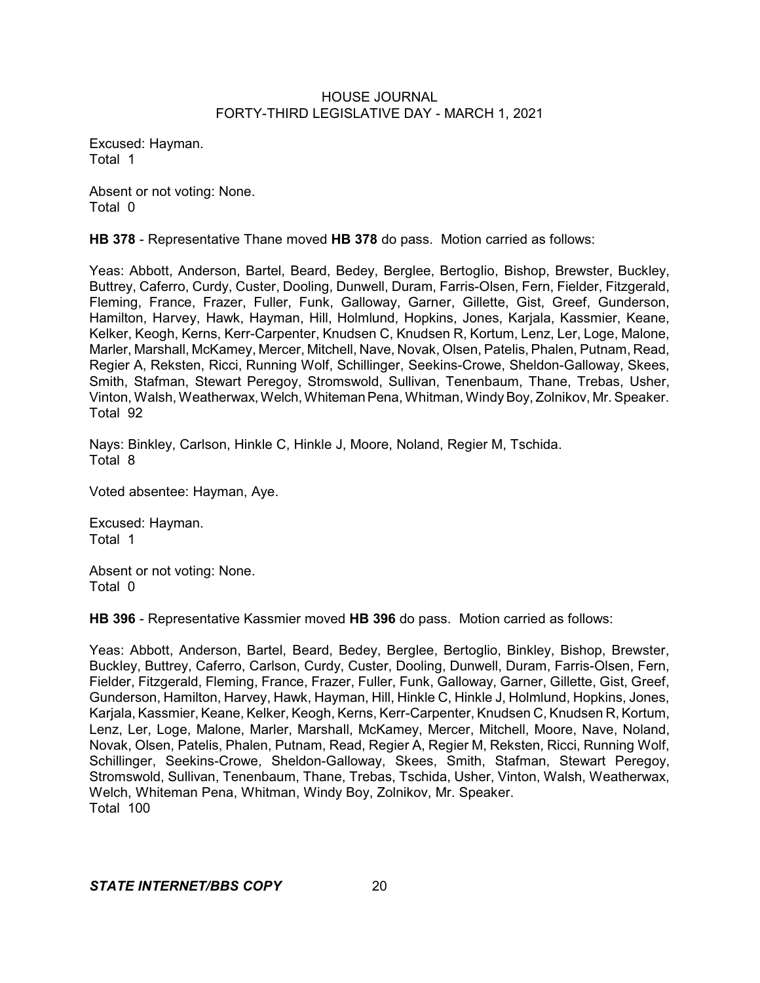Excused: Hayman. Total 1

Absent or not voting: None. Total 0

**HB 378** - Representative Thane moved **HB 378** do pass. Motion carried as follows:

Yeas: Abbott, Anderson, Bartel, Beard, Bedey, Berglee, Bertoglio, Bishop, Brewster, Buckley, Buttrey, Caferro, Curdy, Custer, Dooling, Dunwell, Duram, Farris-Olsen, Fern, Fielder, Fitzgerald, Fleming, France, Frazer, Fuller, Funk, Galloway, Garner, Gillette, Gist, Greef, Gunderson, Hamilton, Harvey, Hawk, Hayman, Hill, Holmlund, Hopkins, Jones, Karjala, Kassmier, Keane, Kelker, Keogh, Kerns, Kerr-Carpenter, Knudsen C, Knudsen R, Kortum, Lenz, Ler, Loge, Malone, Marler, Marshall, McKamey, Mercer, Mitchell, Nave, Novak, Olsen, Patelis, Phalen, Putnam, Read, Regier A, Reksten, Ricci, Running Wolf, Schillinger, Seekins-Crowe, Sheldon-Galloway, Skees, Smith, Stafman, Stewart Peregoy, Stromswold, Sullivan, Tenenbaum, Thane, Trebas, Usher, Vinton, Walsh, Weatherwax, Welch, Whiteman Pena, Whitman, Windy Boy, Zolnikov, Mr. Speaker. Total 92

Nays: Binkley, Carlson, Hinkle C, Hinkle J, Moore, Noland, Regier M, Tschida. Total 8

Voted absentee: Hayman, Aye.

Excused: Hayman. Total 1

Absent or not voting: None. Total 0

**HB 396** - Representative Kassmier moved **HB 396** do pass. Motion carried as follows:

Yeas: Abbott, Anderson, Bartel, Beard, Bedey, Berglee, Bertoglio, Binkley, Bishop, Brewster, Buckley, Buttrey, Caferro, Carlson, Curdy, Custer, Dooling, Dunwell, Duram, Farris-Olsen, Fern, Fielder, Fitzgerald, Fleming, France, Frazer, Fuller, Funk, Galloway, Garner, Gillette, Gist, Greef, Gunderson, Hamilton, Harvey, Hawk, Hayman, Hill, Hinkle C, Hinkle J, Holmlund, Hopkins, Jones, Karjala, Kassmier, Keane, Kelker, Keogh, Kerns, Kerr-Carpenter, Knudsen C, Knudsen R, Kortum, Lenz, Ler, Loge, Malone, Marler, Marshall, McKamey, Mercer, Mitchell, Moore, Nave, Noland, Novak, Olsen, Patelis, Phalen, Putnam, Read, Regier A, Regier M, Reksten, Ricci, Running Wolf, Schillinger, Seekins-Crowe, Sheldon-Galloway, Skees, Smith, Stafman, Stewart Peregoy, Stromswold, Sullivan, Tenenbaum, Thane, Trebas, Tschida, Usher, Vinton, Walsh, Weatherwax, Welch, Whiteman Pena, Whitman, Windy Boy, Zolnikov, Mr. Speaker. Total 100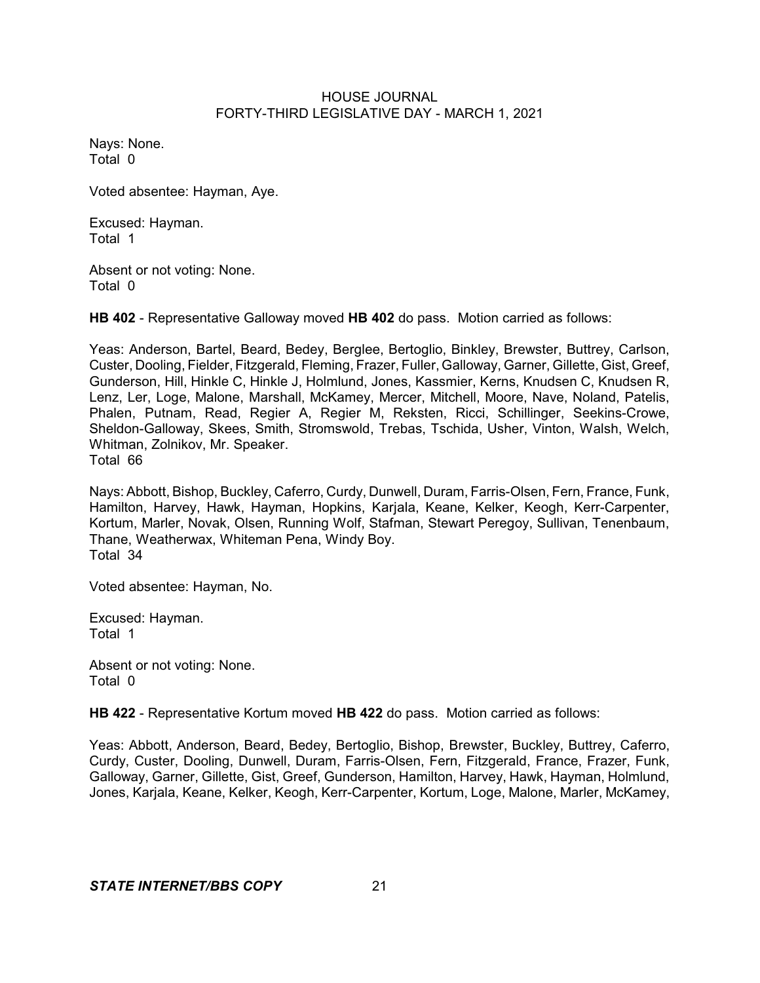Nays: None. Total 0

Voted absentee: Hayman, Aye.

Excused: Hayman. Total 1

Absent or not voting: None. Total 0

**HB 402** - Representative Galloway moved **HB 402** do pass. Motion carried as follows:

Yeas: Anderson, Bartel, Beard, Bedey, Berglee, Bertoglio, Binkley, Brewster, Buttrey, Carlson, Custer, Dooling, Fielder, Fitzgerald, Fleming, Frazer, Fuller, Galloway, Garner, Gillette, Gist, Greef, Gunderson, Hill, Hinkle C, Hinkle J, Holmlund, Jones, Kassmier, Kerns, Knudsen C, Knudsen R, Lenz, Ler, Loge, Malone, Marshall, McKamey, Mercer, Mitchell, Moore, Nave, Noland, Patelis, Phalen, Putnam, Read, Regier A, Regier M, Reksten, Ricci, Schillinger, Seekins-Crowe, Sheldon-Galloway, Skees, Smith, Stromswold, Trebas, Tschida, Usher, Vinton, Walsh, Welch, Whitman, Zolnikov, Mr. Speaker. Total 66

Nays: Abbott, Bishop, Buckley, Caferro, Curdy, Dunwell, Duram, Farris-Olsen, Fern, France, Funk, Hamilton, Harvey, Hawk, Hayman, Hopkins, Karjala, Keane, Kelker, Keogh, Kerr-Carpenter, Kortum, Marler, Novak, Olsen, Running Wolf, Stafman, Stewart Peregoy, Sullivan, Tenenbaum, Thane, Weatherwax, Whiteman Pena, Windy Boy. Total 34

Voted absentee: Hayman, No.

Excused: Hayman. Total 1

Absent or not voting: None. Total 0

**HB 422** - Representative Kortum moved **HB 422** do pass. Motion carried as follows:

Yeas: Abbott, Anderson, Beard, Bedey, Bertoglio, Bishop, Brewster, Buckley, Buttrey, Caferro, Curdy, Custer, Dooling, Dunwell, Duram, Farris-Olsen, Fern, Fitzgerald, France, Frazer, Funk, Galloway, Garner, Gillette, Gist, Greef, Gunderson, Hamilton, Harvey, Hawk, Hayman, Holmlund, Jones, Karjala, Keane, Kelker, Keogh, Kerr-Carpenter, Kortum, Loge, Malone, Marler, McKamey,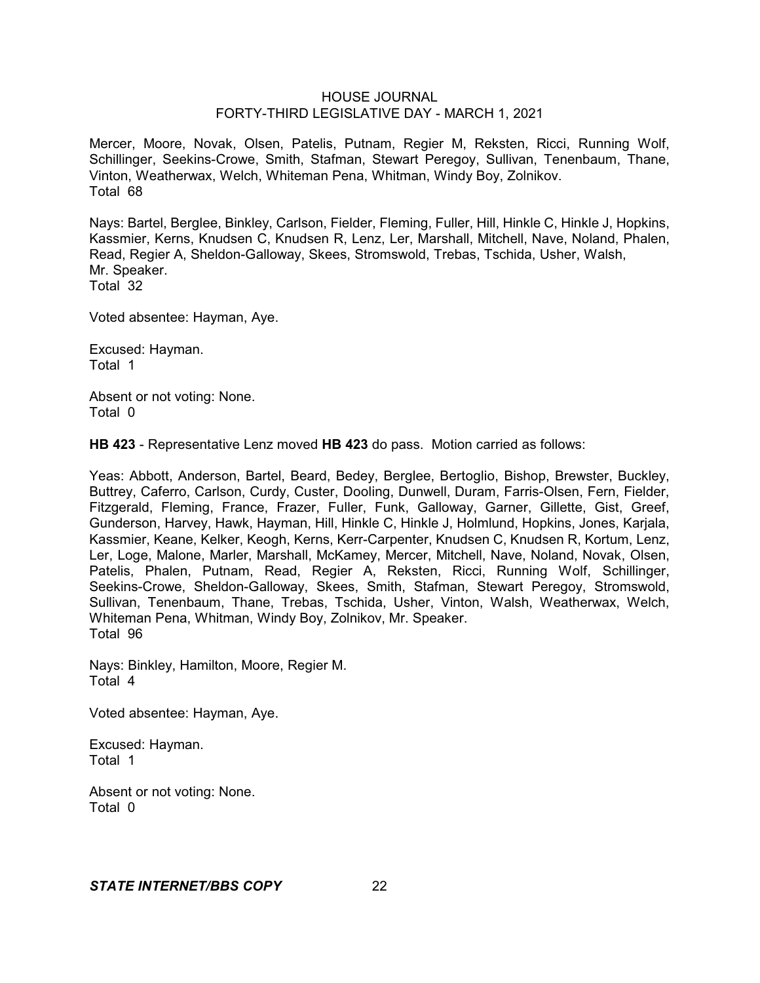Mercer, Moore, Novak, Olsen, Patelis, Putnam, Regier M, Reksten, Ricci, Running Wolf, Schillinger, Seekins-Crowe, Smith, Stafman, Stewart Peregoy, Sullivan, Tenenbaum, Thane, Vinton, Weatherwax, Welch, Whiteman Pena, Whitman, Windy Boy, Zolnikov. Total 68

Nays: Bartel, Berglee, Binkley, Carlson, Fielder, Fleming, Fuller, Hill, Hinkle C, Hinkle J, Hopkins, Kassmier, Kerns, Knudsen C, Knudsen R, Lenz, Ler, Marshall, Mitchell, Nave, Noland, Phalen, Read, Regier A, Sheldon-Galloway, Skees, Stromswold, Trebas, Tschida, Usher, Walsh, Mr. Speaker. Total 32

Voted absentee: Hayman, Aye.

Excused: Hayman. Total 1

Absent or not voting: None. Total 0

**HB 423** - Representative Lenz moved **HB 423** do pass. Motion carried as follows:

Yeas: Abbott, Anderson, Bartel, Beard, Bedey, Berglee, Bertoglio, Bishop, Brewster, Buckley, Buttrey, Caferro, Carlson, Curdy, Custer, Dooling, Dunwell, Duram, Farris-Olsen, Fern, Fielder, Fitzgerald, Fleming, France, Frazer, Fuller, Funk, Galloway, Garner, Gillette, Gist, Greef, Gunderson, Harvey, Hawk, Hayman, Hill, Hinkle C, Hinkle J, Holmlund, Hopkins, Jones, Karjala, Kassmier, Keane, Kelker, Keogh, Kerns, Kerr-Carpenter, Knudsen C, Knudsen R, Kortum, Lenz, Ler, Loge, Malone, Marler, Marshall, McKamey, Mercer, Mitchell, Nave, Noland, Novak, Olsen, Patelis, Phalen, Putnam, Read, Regier A, Reksten, Ricci, Running Wolf, Schillinger, Seekins-Crowe, Sheldon-Galloway, Skees, Smith, Stafman, Stewart Peregoy, Stromswold, Sullivan, Tenenbaum, Thane, Trebas, Tschida, Usher, Vinton, Walsh, Weatherwax, Welch, Whiteman Pena, Whitman, Windy Boy, Zolnikov, Mr. Speaker. Total 96

Nays: Binkley, Hamilton, Moore, Regier M. Total 4

Voted absentee: Hayman, Aye.

Excused: Hayman. Total 1

Absent or not voting: None. Total 0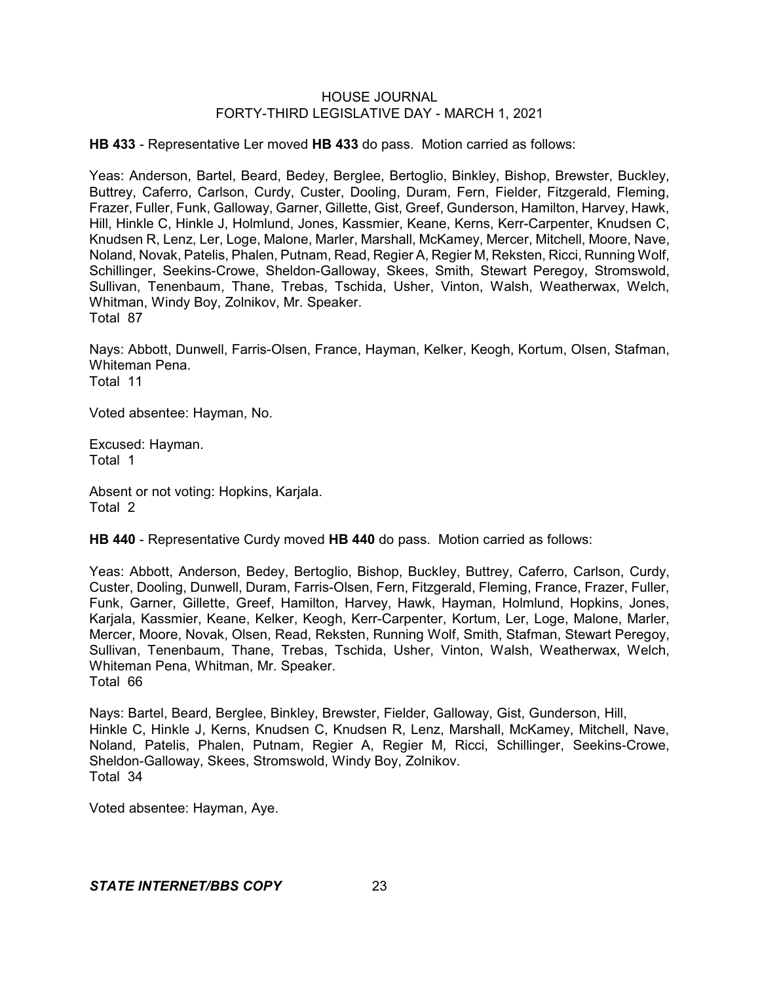**HB 433** - Representative Ler moved **HB 433** do pass. Motion carried as follows:

Yeas: Anderson, Bartel, Beard, Bedey, Berglee, Bertoglio, Binkley, Bishop, Brewster, Buckley, Buttrey, Caferro, Carlson, Curdy, Custer, Dooling, Duram, Fern, Fielder, Fitzgerald, Fleming, Frazer, Fuller, Funk, Galloway, Garner, Gillette, Gist, Greef, Gunderson, Hamilton, Harvey, Hawk, Hill, Hinkle C, Hinkle J, Holmlund, Jones, Kassmier, Keane, Kerns, Kerr-Carpenter, Knudsen C, Knudsen R, Lenz, Ler, Loge, Malone, Marler, Marshall, McKamey, Mercer, Mitchell, Moore, Nave, Noland, Novak, Patelis, Phalen, Putnam, Read, Regier A, Regier M, Reksten, Ricci, Running Wolf, Schillinger, Seekins-Crowe, Sheldon-Galloway, Skees, Smith, Stewart Peregoy, Stromswold, Sullivan, Tenenbaum, Thane, Trebas, Tschida, Usher, Vinton, Walsh, Weatherwax, Welch, Whitman, Windy Boy, Zolnikov, Mr. Speaker. Total 87

Nays: Abbott, Dunwell, Farris-Olsen, France, Hayman, Kelker, Keogh, Kortum, Olsen, Stafman, Whiteman Pena. Total 11

Voted absentee: Hayman, No.

Excused: Hayman. Total 1

Absent or not voting: Hopkins, Karjala. Total 2

**HB 440** - Representative Curdy moved **HB 440** do pass. Motion carried as follows:

Yeas: Abbott, Anderson, Bedey, Bertoglio, Bishop, Buckley, Buttrey, Caferro, Carlson, Curdy, Custer, Dooling, Dunwell, Duram, Farris-Olsen, Fern, Fitzgerald, Fleming, France, Frazer, Fuller, Funk, Garner, Gillette, Greef, Hamilton, Harvey, Hawk, Hayman, Holmlund, Hopkins, Jones, Karjala, Kassmier, Keane, Kelker, Keogh, Kerr-Carpenter, Kortum, Ler, Loge, Malone, Marler, Mercer, Moore, Novak, Olsen, Read, Reksten, Running Wolf, Smith, Stafman, Stewart Peregoy, Sullivan, Tenenbaum, Thane, Trebas, Tschida, Usher, Vinton, Walsh, Weatherwax, Welch, Whiteman Pena, Whitman, Mr. Speaker. Total 66

Nays: Bartel, Beard, Berglee, Binkley, Brewster, Fielder, Galloway, Gist, Gunderson, Hill, Hinkle C, Hinkle J, Kerns, Knudsen C, Knudsen R, Lenz, Marshall, McKamey, Mitchell, Nave, Noland, Patelis, Phalen, Putnam, Regier A, Regier M, Ricci, Schillinger, Seekins-Crowe, Sheldon-Galloway, Skees, Stromswold, Windy Boy, Zolnikov. Total 34

Voted absentee: Hayman, Aye.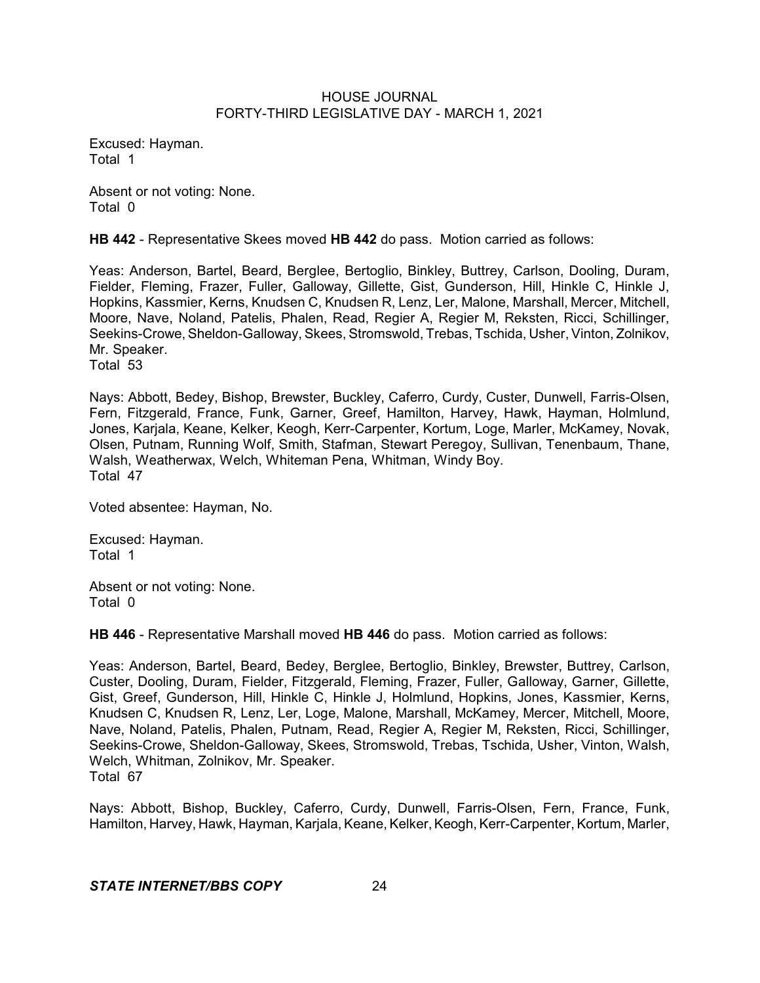Excused: Hayman. Total 1

Absent or not voting: None. Total 0

**HB 442** - Representative Skees moved **HB 442** do pass. Motion carried as follows:

Yeas: Anderson, Bartel, Beard, Berglee, Bertoglio, Binkley, Buttrey, Carlson, Dooling, Duram, Fielder, Fleming, Frazer, Fuller, Galloway, Gillette, Gist, Gunderson, Hill, Hinkle C, Hinkle J, Hopkins, Kassmier, Kerns, Knudsen C, Knudsen R, Lenz, Ler, Malone, Marshall, Mercer, Mitchell, Moore, Nave, Noland, Patelis, Phalen, Read, Regier A, Regier M, Reksten, Ricci, Schillinger, Seekins-Crowe, Sheldon-Galloway, Skees, Stromswold, Trebas, Tschida, Usher, Vinton, Zolnikov, Mr. Speaker.

Total 53

Nays: Abbott, Bedey, Bishop, Brewster, Buckley, Caferro, Curdy, Custer, Dunwell, Farris-Olsen, Fern, Fitzgerald, France, Funk, Garner, Greef, Hamilton, Harvey, Hawk, Hayman, Holmlund, Jones, Karjala, Keane, Kelker, Keogh, Kerr-Carpenter, Kortum, Loge, Marler, McKamey, Novak, Olsen, Putnam, Running Wolf, Smith, Stafman, Stewart Peregoy, Sullivan, Tenenbaum, Thane, Walsh, Weatherwax, Welch, Whiteman Pena, Whitman, Windy Boy. Total 47

Voted absentee: Hayman, No.

Excused: Hayman. Total 1

Absent or not voting: None. Total 0

**HB 446** - Representative Marshall moved **HB 446** do pass. Motion carried as follows:

Yeas: Anderson, Bartel, Beard, Bedey, Berglee, Bertoglio, Binkley, Brewster, Buttrey, Carlson, Custer, Dooling, Duram, Fielder, Fitzgerald, Fleming, Frazer, Fuller, Galloway, Garner, Gillette, Gist, Greef, Gunderson, Hill, Hinkle C, Hinkle J, Holmlund, Hopkins, Jones, Kassmier, Kerns, Knudsen C, Knudsen R, Lenz, Ler, Loge, Malone, Marshall, McKamey, Mercer, Mitchell, Moore, Nave, Noland, Patelis, Phalen, Putnam, Read, Regier A, Regier M, Reksten, Ricci, Schillinger, Seekins-Crowe, Sheldon-Galloway, Skees, Stromswold, Trebas, Tschida, Usher, Vinton, Walsh, Welch, Whitman, Zolnikov, Mr. Speaker. Total 67

Nays: Abbott, Bishop, Buckley, Caferro, Curdy, Dunwell, Farris-Olsen, Fern, France, Funk, Hamilton, Harvey, Hawk, Hayman, Karjala, Keane, Kelker, Keogh, Kerr-Carpenter, Kortum, Marler,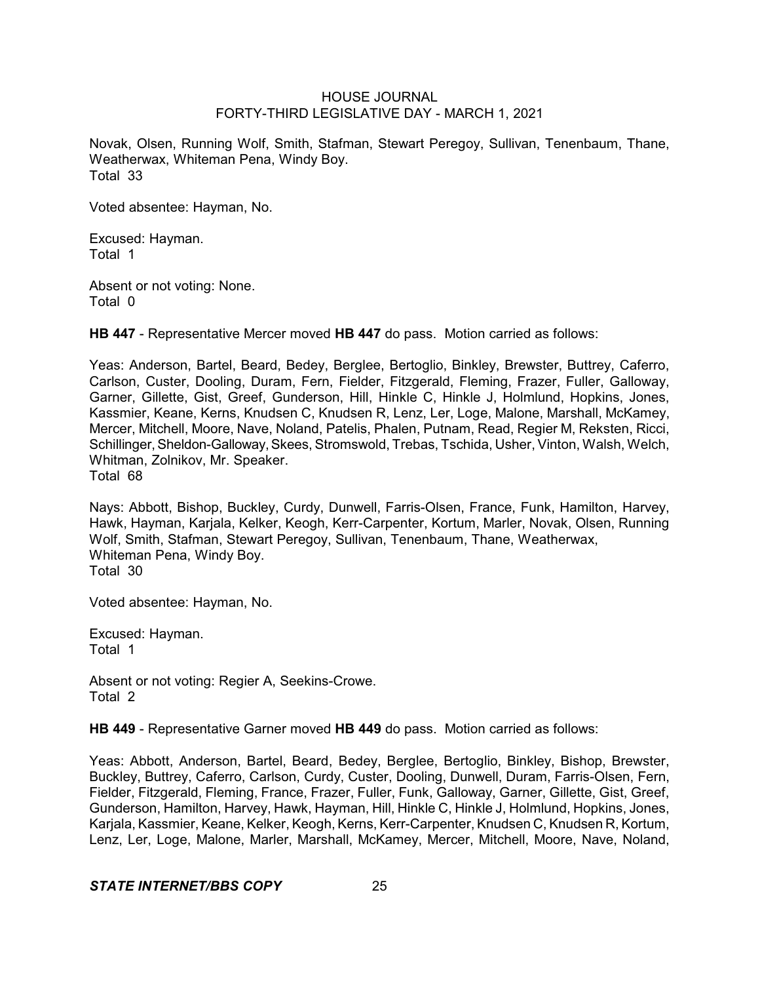Novak, Olsen, Running Wolf, Smith, Stafman, Stewart Peregoy, Sullivan, Tenenbaum, Thane, Weatherwax, Whiteman Pena, Windy Boy. Total 33

Voted absentee: Hayman, No.

Excused: Hayman. Total 1

Absent or not voting: None. Total 0

**HB 447** - Representative Mercer moved **HB 447** do pass. Motion carried as follows:

Yeas: Anderson, Bartel, Beard, Bedey, Berglee, Bertoglio, Binkley, Brewster, Buttrey, Caferro, Carlson, Custer, Dooling, Duram, Fern, Fielder, Fitzgerald, Fleming, Frazer, Fuller, Galloway, Garner, Gillette, Gist, Greef, Gunderson, Hill, Hinkle C, Hinkle J, Holmlund, Hopkins, Jones, Kassmier, Keane, Kerns, Knudsen C, Knudsen R, Lenz, Ler, Loge, Malone, Marshall, McKamey, Mercer, Mitchell, Moore, Nave, Noland, Patelis, Phalen, Putnam, Read, Regier M, Reksten, Ricci, Schillinger, Sheldon-Galloway, Skees, Stromswold, Trebas, Tschida, Usher, Vinton, Walsh, Welch, Whitman, Zolnikov, Mr. Speaker. Total 68

Nays: Abbott, Bishop, Buckley, Curdy, Dunwell, Farris-Olsen, France, Funk, Hamilton, Harvey, Hawk, Hayman, Karjala, Kelker, Keogh, Kerr-Carpenter, Kortum, Marler, Novak, Olsen, Running Wolf, Smith, Stafman, Stewart Peregoy, Sullivan, Tenenbaum, Thane, Weatherwax, Whiteman Pena, Windy Boy. Total 30

Voted absentee: Hayman, No.

Excused: Hayman. Total 1

Absent or not voting: Regier A, Seekins-Crowe. Total 2

**HB 449** - Representative Garner moved **HB 449** do pass. Motion carried as follows:

Yeas: Abbott, Anderson, Bartel, Beard, Bedey, Berglee, Bertoglio, Binkley, Bishop, Brewster, Buckley, Buttrey, Caferro, Carlson, Curdy, Custer, Dooling, Dunwell, Duram, Farris-Olsen, Fern, Fielder, Fitzgerald, Fleming, France, Frazer, Fuller, Funk, Galloway, Garner, Gillette, Gist, Greef, Gunderson, Hamilton, Harvey, Hawk, Hayman, Hill, Hinkle C, Hinkle J, Holmlund, Hopkins, Jones, Karjala, Kassmier, Keane, Kelker, Keogh,Kerns, Kerr-Carpenter, Knudsen C, Knudsen R, Kortum, Lenz, Ler, Loge, Malone, Marler, Marshall, McKamey, Mercer, Mitchell, Moore, Nave, Noland,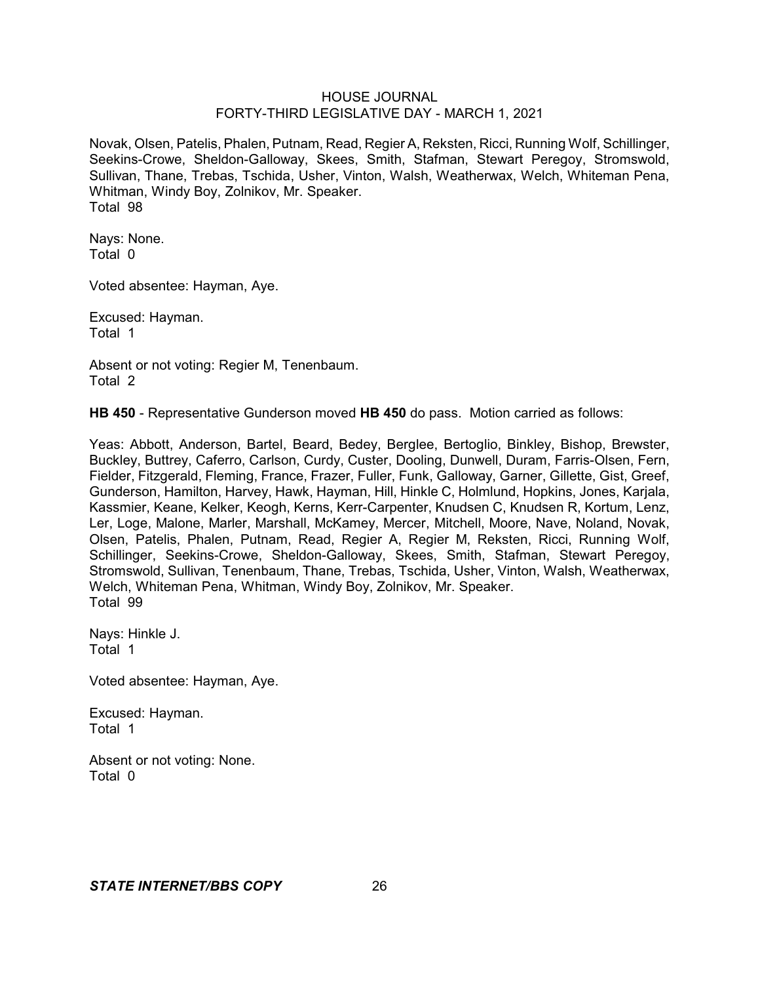Novak, Olsen, Patelis, Phalen, Putnam, Read, Regier A, Reksten, Ricci, Running Wolf, Schillinger, Seekins-Crowe, Sheldon-Galloway, Skees, Smith, Stafman, Stewart Peregoy, Stromswold, Sullivan, Thane, Trebas, Tschida, Usher, Vinton, Walsh, Weatherwax, Welch, Whiteman Pena, Whitman, Windy Boy, Zolnikov, Mr. Speaker. Total 98

Nays: None. Total 0

Voted absentee: Hayman, Aye.

Excused: Hayman. Total 1

Absent or not voting: Regier M, Tenenbaum. Total 2

**HB 450** - Representative Gunderson moved **HB 450** do pass. Motion carried as follows:

Yeas: Abbott, Anderson, Bartel, Beard, Bedey, Berglee, Bertoglio, Binkley, Bishop, Brewster, Buckley, Buttrey, Caferro, Carlson, Curdy, Custer, Dooling, Dunwell, Duram, Farris-Olsen, Fern, Fielder, Fitzgerald, Fleming, France, Frazer, Fuller, Funk, Galloway, Garner, Gillette, Gist, Greef, Gunderson, Hamilton, Harvey, Hawk, Hayman, Hill, Hinkle C, Holmlund, Hopkins, Jones, Karjala, Kassmier, Keane, Kelker, Keogh, Kerns, Kerr-Carpenter, Knudsen C, Knudsen R, Kortum, Lenz, Ler, Loge, Malone, Marler, Marshall, McKamey, Mercer, Mitchell, Moore, Nave, Noland, Novak, Olsen, Patelis, Phalen, Putnam, Read, Regier A, Regier M, Reksten, Ricci, Running Wolf, Schillinger, Seekins-Crowe, Sheldon-Galloway, Skees, Smith, Stafman, Stewart Peregoy, Stromswold, Sullivan, Tenenbaum, Thane, Trebas, Tschida, Usher, Vinton, Walsh, Weatherwax, Welch, Whiteman Pena, Whitman, Windy Boy, Zolnikov, Mr. Speaker. Total 99

Nays: Hinkle J. Total 1

Voted absentee: Hayman, Aye.

Excused: Hayman. Total 1

Absent or not voting: None. Total 0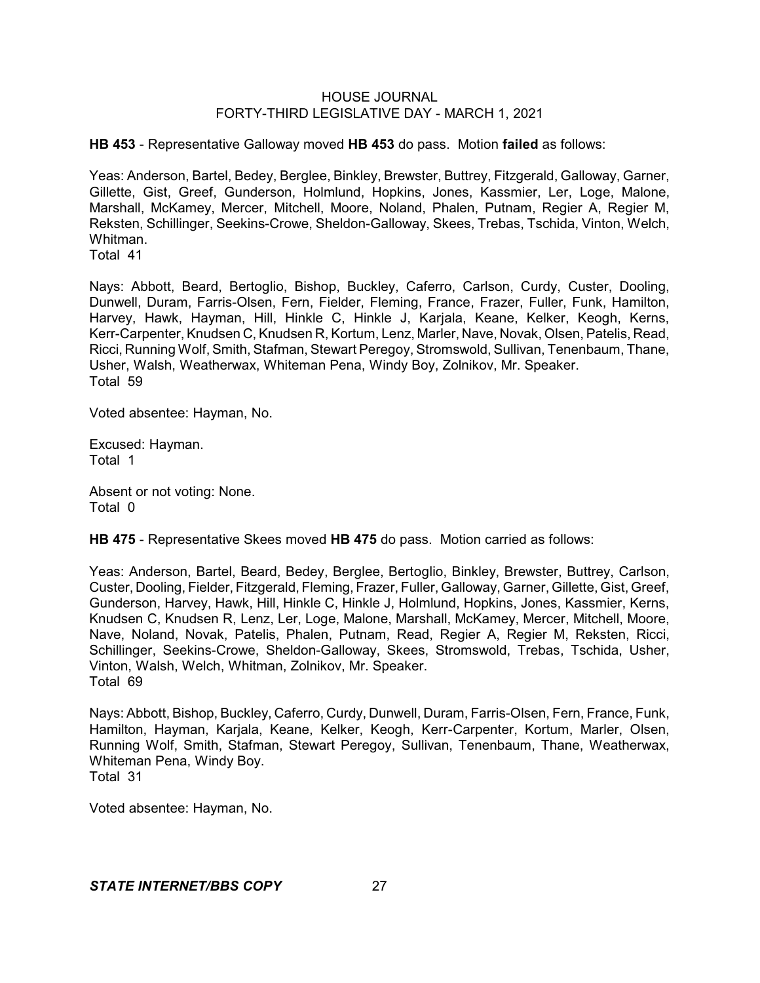**HB 453** - Representative Galloway moved **HB 453** do pass. Motion **failed** as follows:

Yeas: Anderson, Bartel, Bedey, Berglee, Binkley, Brewster, Buttrey, Fitzgerald, Galloway, Garner, Gillette, Gist, Greef, Gunderson, Holmlund, Hopkins, Jones, Kassmier, Ler, Loge, Malone, Marshall, McKamey, Mercer, Mitchell, Moore, Noland, Phalen, Putnam, Regier A, Regier M, Reksten, Schillinger, Seekins-Crowe, Sheldon-Galloway, Skees, Trebas, Tschida, Vinton, Welch, Whitman.

Total 41

Nays: Abbott, Beard, Bertoglio, Bishop, Buckley, Caferro, Carlson, Curdy, Custer, Dooling, Dunwell, Duram, Farris-Olsen, Fern, Fielder, Fleming, France, Frazer, Fuller, Funk, Hamilton, Harvey, Hawk, Hayman, Hill, Hinkle C, Hinkle J, Karjala, Keane, Kelker, Keogh, Kerns, Kerr-Carpenter,Knudsen C, Knudsen R, Kortum, Lenz, Marler, Nave, Novak, Olsen, Patelis, Read, Ricci, Running Wolf, Smith, Stafman, Stewart Peregoy, Stromswold, Sullivan, Tenenbaum, Thane, Usher, Walsh, Weatherwax, Whiteman Pena, Windy Boy, Zolnikov, Mr. Speaker. Total 59

Voted absentee: Hayman, No.

Excused: Hayman. Total 1

Absent or not voting: None. Total 0

**HB 475** - Representative Skees moved **HB 475** do pass. Motion carried as follows:

Yeas: Anderson, Bartel, Beard, Bedey, Berglee, Bertoglio, Binkley, Brewster, Buttrey, Carlson, Custer, Dooling, Fielder, Fitzgerald, Fleming, Frazer, Fuller, Galloway, Garner, Gillette, Gist, Greef, Gunderson, Harvey, Hawk, Hill, Hinkle C, Hinkle J, Holmlund, Hopkins, Jones, Kassmier, Kerns, Knudsen C, Knudsen R, Lenz, Ler, Loge, Malone, Marshall, McKamey, Mercer, Mitchell, Moore, Nave, Noland, Novak, Patelis, Phalen, Putnam, Read, Regier A, Regier M, Reksten, Ricci, Schillinger, Seekins-Crowe, Sheldon-Galloway, Skees, Stromswold, Trebas, Tschida, Usher, Vinton, Walsh, Welch, Whitman, Zolnikov, Mr. Speaker. Total 69

Nays: Abbott, Bishop, Buckley, Caferro, Curdy, Dunwell, Duram, Farris-Olsen, Fern, France, Funk, Hamilton, Hayman, Karjala, Keane, Kelker, Keogh, Kerr-Carpenter, Kortum, Marler, Olsen, Running Wolf, Smith, Stafman, Stewart Peregoy, Sullivan, Tenenbaum, Thane, Weatherwax, Whiteman Pena, Windy Boy. Total 31

Voted absentee: Hayman, No.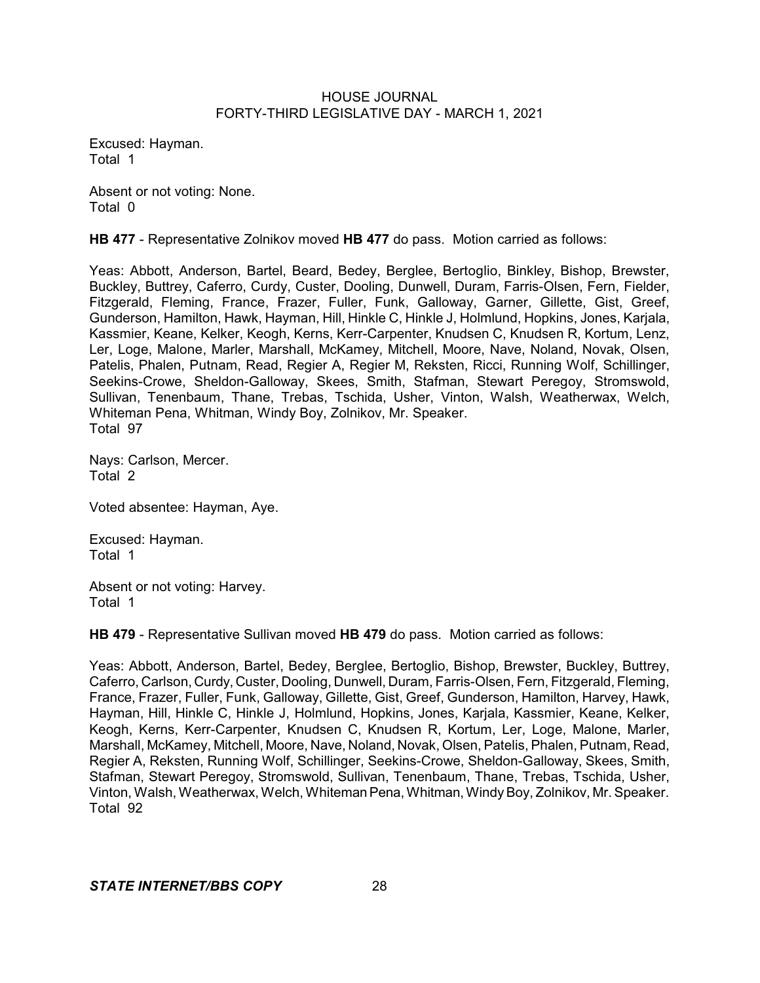Excused: Hayman. Total 1

Absent or not voting: None. Total 0

**HB 477** - Representative Zolnikov moved **HB 477** do pass. Motion carried as follows:

Yeas: Abbott, Anderson, Bartel, Beard, Bedey, Berglee, Bertoglio, Binkley, Bishop, Brewster, Buckley, Buttrey, Caferro, Curdy, Custer, Dooling, Dunwell, Duram, Farris-Olsen, Fern, Fielder, Fitzgerald, Fleming, France, Frazer, Fuller, Funk, Galloway, Garner, Gillette, Gist, Greef, Gunderson, Hamilton, Hawk, Hayman, Hill, Hinkle C, Hinkle J, Holmlund, Hopkins, Jones, Karjala, Kassmier, Keane, Kelker, Keogh, Kerns, Kerr-Carpenter, Knudsen C, Knudsen R, Kortum, Lenz, Ler, Loge, Malone, Marler, Marshall, McKamey, Mitchell, Moore, Nave, Noland, Novak, Olsen, Patelis, Phalen, Putnam, Read, Regier A, Regier M, Reksten, Ricci, Running Wolf, Schillinger, Seekins-Crowe, Sheldon-Galloway, Skees, Smith, Stafman, Stewart Peregoy, Stromswold, Sullivan, Tenenbaum, Thane, Trebas, Tschida, Usher, Vinton, Walsh, Weatherwax, Welch, Whiteman Pena, Whitman, Windy Boy, Zolnikov, Mr. Speaker. Total 97

Nays: Carlson, Mercer. Total 2

Voted absentee: Hayman, Aye.

Excused: Hayman. Total 1

Absent or not voting: Harvey. Total 1

**HB 479** - Representative Sullivan moved **HB 479** do pass. Motion carried as follows:

Yeas: Abbott, Anderson, Bartel, Bedey, Berglee, Bertoglio, Bishop, Brewster, Buckley, Buttrey, Caferro, Carlson, Curdy, Custer, Dooling, Dunwell, Duram, Farris-Olsen, Fern, Fitzgerald, Fleming, France, Frazer, Fuller, Funk, Galloway, Gillette, Gist, Greef, Gunderson, Hamilton, Harvey, Hawk, Hayman, Hill, Hinkle C, Hinkle J, Holmlund, Hopkins, Jones, Karjala, Kassmier, Keane, Kelker, Keogh, Kerns, Kerr-Carpenter, Knudsen C, Knudsen R, Kortum, Ler, Loge, Malone, Marler, Marshall, McKamey, Mitchell, Moore, Nave, Noland, Novak, Olsen, Patelis, Phalen, Putnam, Read, Regier A, Reksten, Running Wolf, Schillinger, Seekins-Crowe, Sheldon-Galloway, Skees, Smith, Stafman, Stewart Peregoy, Stromswold, Sullivan, Tenenbaum, Thane, Trebas, Tschida, Usher, Vinton, Walsh, Weatherwax, Welch, Whiteman Pena, Whitman, Windy Boy, Zolnikov, Mr. Speaker. Total 92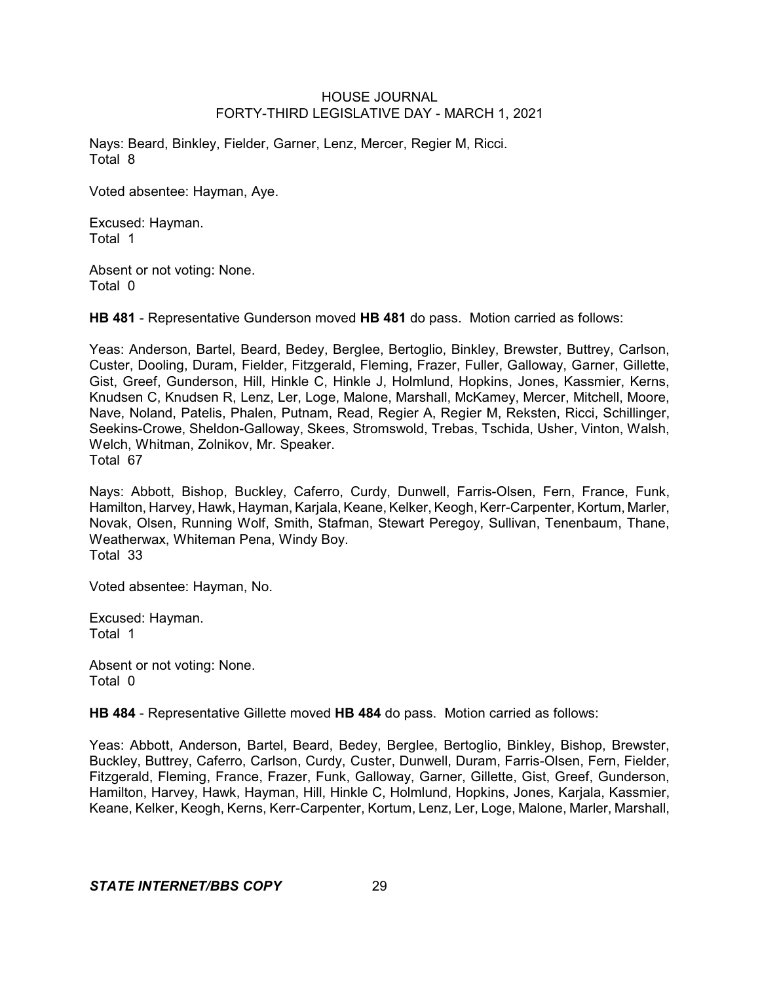Nays: Beard, Binkley, Fielder, Garner, Lenz, Mercer, Regier M, Ricci. Total 8

Voted absentee: Hayman, Aye.

Excused: Hayman. Total 1

Absent or not voting: None. Total 0

**HB 481** - Representative Gunderson moved **HB 481** do pass. Motion carried as follows:

Yeas: Anderson, Bartel, Beard, Bedey, Berglee, Bertoglio, Binkley, Brewster, Buttrey, Carlson, Custer, Dooling, Duram, Fielder, Fitzgerald, Fleming, Frazer, Fuller, Galloway, Garner, Gillette, Gist, Greef, Gunderson, Hill, Hinkle C, Hinkle J, Holmlund, Hopkins, Jones, Kassmier, Kerns, Knudsen C, Knudsen R, Lenz, Ler, Loge, Malone, Marshall, McKamey, Mercer, Mitchell, Moore, Nave, Noland, Patelis, Phalen, Putnam, Read, Regier A, Regier M, Reksten, Ricci, Schillinger, Seekins-Crowe, Sheldon-Galloway, Skees, Stromswold, Trebas, Tschida, Usher, Vinton, Walsh, Welch, Whitman, Zolnikov, Mr. Speaker. Total 67

Nays: Abbott, Bishop, Buckley, Caferro, Curdy, Dunwell, Farris-Olsen, Fern, France, Funk, Hamilton, Harvey, Hawk, Hayman, Kariala, Keane, Kelker, Keogh, Kerr-Carpenter, Kortum, Marler, Novak, Olsen, Running Wolf, Smith, Stafman, Stewart Peregoy, Sullivan, Tenenbaum, Thane, Weatherwax, Whiteman Pena, Windy Boy. Total 33

Voted absentee: Hayman, No.

Excused: Hayman. Total 1

Absent or not voting: None. Total 0

**HB 484** - Representative Gillette moved **HB 484** do pass. Motion carried as follows:

Yeas: Abbott, Anderson, Bartel, Beard, Bedey, Berglee, Bertoglio, Binkley, Bishop, Brewster, Buckley, Buttrey, Caferro, Carlson, Curdy, Custer, Dunwell, Duram, Farris-Olsen, Fern, Fielder, Fitzgerald, Fleming, France, Frazer, Funk, Galloway, Garner, Gillette, Gist, Greef, Gunderson, Hamilton, Harvey, Hawk, Hayman, Hill, Hinkle C, Holmlund, Hopkins, Jones, Karjala, Kassmier, Keane, Kelker, Keogh, Kerns, Kerr-Carpenter, Kortum, Lenz, Ler, Loge, Malone, Marler, Marshall,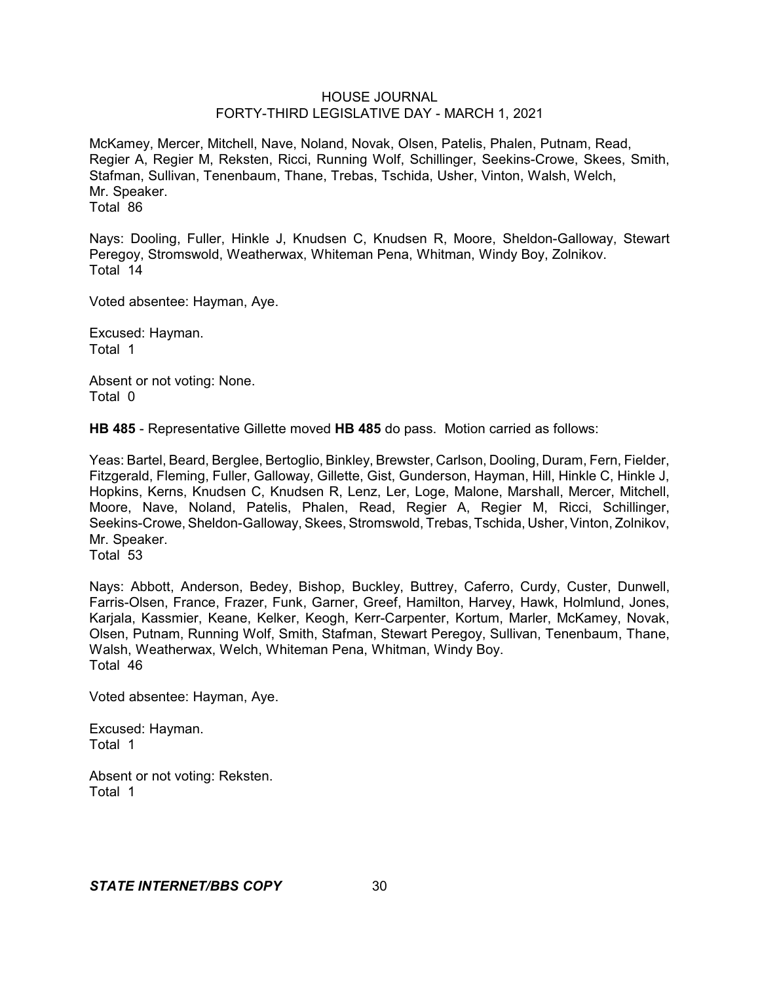McKamey, Mercer, Mitchell, Nave, Noland, Novak, Olsen, Patelis, Phalen, Putnam, Read, Regier A, Regier M, Reksten, Ricci, Running Wolf, Schillinger, Seekins-Crowe, Skees, Smith, Stafman, Sullivan, Tenenbaum, Thane, Trebas, Tschida, Usher, Vinton, Walsh, Welch, Mr. Speaker. Total 86

Nays: Dooling, Fuller, Hinkle J, Knudsen C, Knudsen R, Moore, Sheldon-Galloway, Stewart Peregoy, Stromswold, Weatherwax, Whiteman Pena, Whitman, Windy Boy, Zolnikov. Total 14

Voted absentee: Hayman, Aye.

Excused: Hayman. Total 1

Absent or not voting: None. Total 0

**HB 485** - Representative Gillette moved **HB 485** do pass. Motion carried as follows:

Yeas: Bartel, Beard, Berglee, Bertoglio, Binkley, Brewster, Carlson, Dooling, Duram, Fern, Fielder, Fitzgerald, Fleming, Fuller, Galloway, Gillette, Gist, Gunderson, Hayman, Hill, Hinkle C, Hinkle J, Hopkins, Kerns, Knudsen C, Knudsen R, Lenz, Ler, Loge, Malone, Marshall, Mercer, Mitchell, Moore, Nave, Noland, Patelis, Phalen, Read, Regier A, Regier M, Ricci, Schillinger, Seekins-Crowe, Sheldon-Galloway, Skees, Stromswold, Trebas, Tschida, Usher, Vinton, Zolnikov, Mr. Speaker.

Total 53

Nays: Abbott, Anderson, Bedey, Bishop, Buckley, Buttrey, Caferro, Curdy, Custer, Dunwell, Farris-Olsen, France, Frazer, Funk, Garner, Greef, Hamilton, Harvey, Hawk, Holmlund, Jones, Karjala, Kassmier, Keane, Kelker, Keogh, Kerr-Carpenter, Kortum, Marler, McKamey, Novak, Olsen, Putnam, Running Wolf, Smith, Stafman, Stewart Peregoy, Sullivan, Tenenbaum, Thane, Walsh, Weatherwax, Welch, Whiteman Pena, Whitman, Windy Boy. Total 46

Voted absentee: Hayman, Aye.

Excused: Hayman. Total 1

Absent or not voting: Reksten. Total 1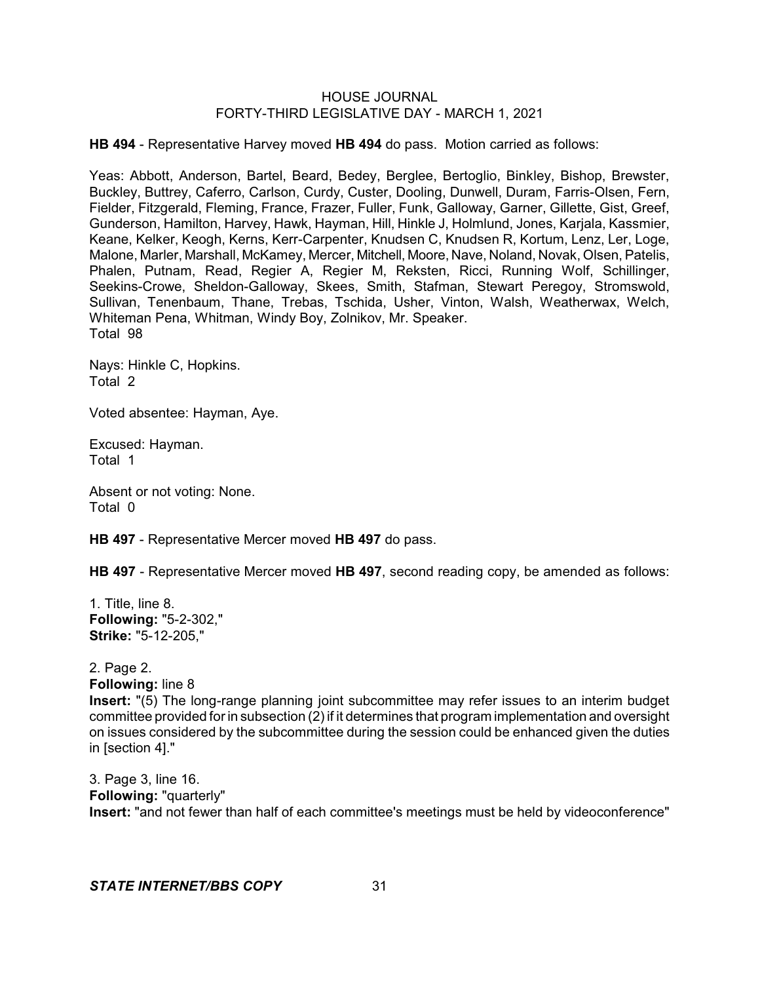**HB 494** - Representative Harvey moved **HB 494** do pass. Motion carried as follows:

Yeas: Abbott, Anderson, Bartel, Beard, Bedey, Berglee, Bertoglio, Binkley, Bishop, Brewster, Buckley, Buttrey, Caferro, Carlson, Curdy, Custer, Dooling, Dunwell, Duram, Farris-Olsen, Fern, Fielder, Fitzgerald, Fleming, France, Frazer, Fuller, Funk, Galloway, Garner, Gillette, Gist, Greef, Gunderson, Hamilton, Harvey, Hawk, Hayman, Hill, Hinkle J, Holmlund, Jones, Karjala, Kassmier, Keane, Kelker, Keogh, Kerns, Kerr-Carpenter, Knudsen C, Knudsen R, Kortum, Lenz, Ler, Loge, Malone, Marler, Marshall, McKamey, Mercer, Mitchell, Moore, Nave, Noland, Novak, Olsen, Patelis, Phalen, Putnam, Read, Regier A, Regier M, Reksten, Ricci, Running Wolf, Schillinger, Seekins-Crowe, Sheldon-Galloway, Skees, Smith, Stafman, Stewart Peregoy, Stromswold, Sullivan, Tenenbaum, Thane, Trebas, Tschida, Usher, Vinton, Walsh, Weatherwax, Welch, Whiteman Pena, Whitman, Windy Boy, Zolnikov, Mr. Speaker. Total 98

Nays: Hinkle C, Hopkins. Total 2

Voted absentee: Hayman, Aye.

Excused: Hayman. Total 1

Absent or not voting: None. Total 0

**HB 497** - Representative Mercer moved **HB 497** do pass.

**HB 497** - Representative Mercer moved **HB 497**, second reading copy, be amended as follows:

1. Title, line 8. **Following:** "5-2-302," **Strike:** "5-12-205,"

2. Page 2. **Following:** line 8

**Insert:** "(5) The long-range planning joint subcommittee may refer issues to an interim budget committee provided forin subsection (2) if it determines that program implementation and oversight on issues considered by the subcommittee during the session could be enhanced given the duties in [section 4]."

3. Page 3, line 16. **Following:** "quarterly" **Insert:** "and not fewer than half of each committee's meetings must be held by videoconference"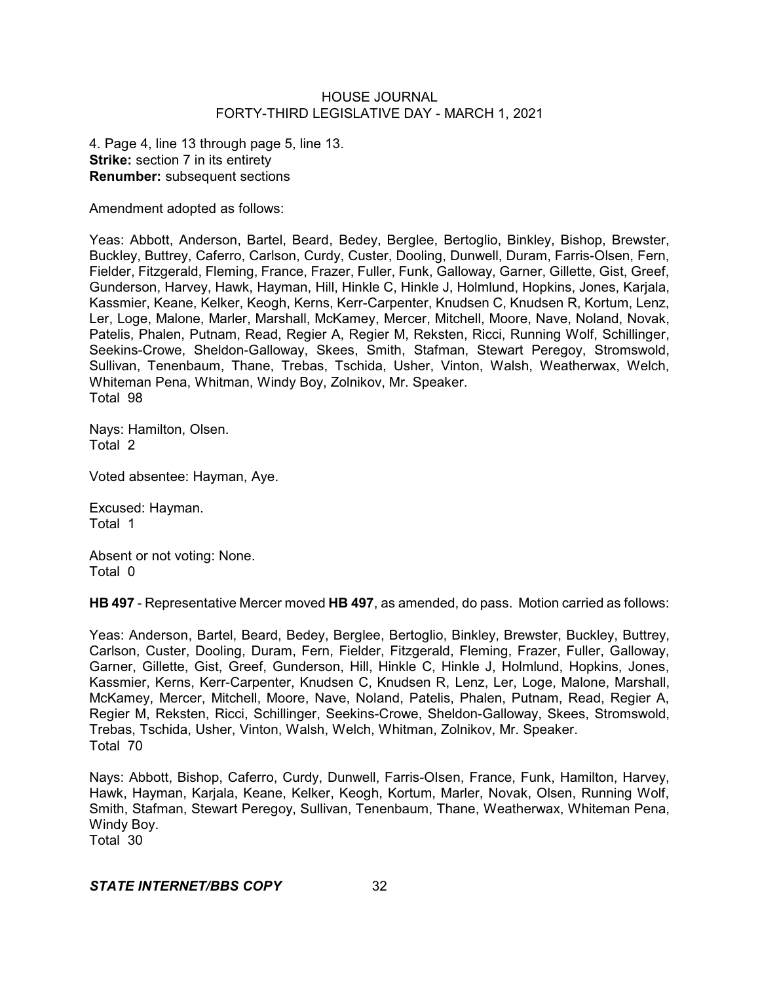4. Page 4, line 13 through page 5, line 13. **Strike:** section 7 in its entirety **Renumber:** subsequent sections

Amendment adopted as follows:

Yeas: Abbott, Anderson, Bartel, Beard, Bedey, Berglee, Bertoglio, Binkley, Bishop, Brewster, Buckley, Buttrey, Caferro, Carlson, Curdy, Custer, Dooling, Dunwell, Duram, Farris-Olsen, Fern, Fielder, Fitzgerald, Fleming, France, Frazer, Fuller, Funk, Galloway, Garner, Gillette, Gist, Greef, Gunderson, Harvey, Hawk, Hayman, Hill, Hinkle C, Hinkle J, Holmlund, Hopkins, Jones, Karjala, Kassmier, Keane, Kelker, Keogh, Kerns, Kerr-Carpenter, Knudsen C, Knudsen R, Kortum, Lenz, Ler, Loge, Malone, Marler, Marshall, McKamey, Mercer, Mitchell, Moore, Nave, Noland, Novak, Patelis, Phalen, Putnam, Read, Regier A, Regier M, Reksten, Ricci, Running Wolf, Schillinger, Seekins-Crowe, Sheldon-Galloway, Skees, Smith, Stafman, Stewart Peregoy, Stromswold, Sullivan, Tenenbaum, Thane, Trebas, Tschida, Usher, Vinton, Walsh, Weatherwax, Welch, Whiteman Pena, Whitman, Windy Boy, Zolnikov, Mr. Speaker. Total 98

Nays: Hamilton, Olsen. Total 2

Voted absentee: Hayman, Aye.

Excused: Hayman. Total 1

Absent or not voting: None. Total 0

**HB 497** - Representative Mercer moved **HB 497**, as amended, do pass. Motion carried as follows:

Yeas: Anderson, Bartel, Beard, Bedey, Berglee, Bertoglio, Binkley, Brewster, Buckley, Buttrey, Carlson, Custer, Dooling, Duram, Fern, Fielder, Fitzgerald, Fleming, Frazer, Fuller, Galloway, Garner, Gillette, Gist, Greef, Gunderson, Hill, Hinkle C, Hinkle J, Holmlund, Hopkins, Jones, Kassmier, Kerns, Kerr-Carpenter, Knudsen C, Knudsen R, Lenz, Ler, Loge, Malone, Marshall, McKamey, Mercer, Mitchell, Moore, Nave, Noland, Patelis, Phalen, Putnam, Read, Regier A, Regier M, Reksten, Ricci, Schillinger, Seekins-Crowe, Sheldon-Galloway, Skees, Stromswold, Trebas, Tschida, Usher, Vinton, Walsh, Welch, Whitman, Zolnikov, Mr. Speaker. Total 70

Nays: Abbott, Bishop, Caferro, Curdy, Dunwell, Farris-Olsen, France, Funk, Hamilton, Harvey, Hawk, Hayman, Karjala, Keane, Kelker, Keogh, Kortum, Marler, Novak, Olsen, Running Wolf, Smith, Stafman, Stewart Peregoy, Sullivan, Tenenbaum, Thane, Weatherwax, Whiteman Pena, Windy Boy.

Total 30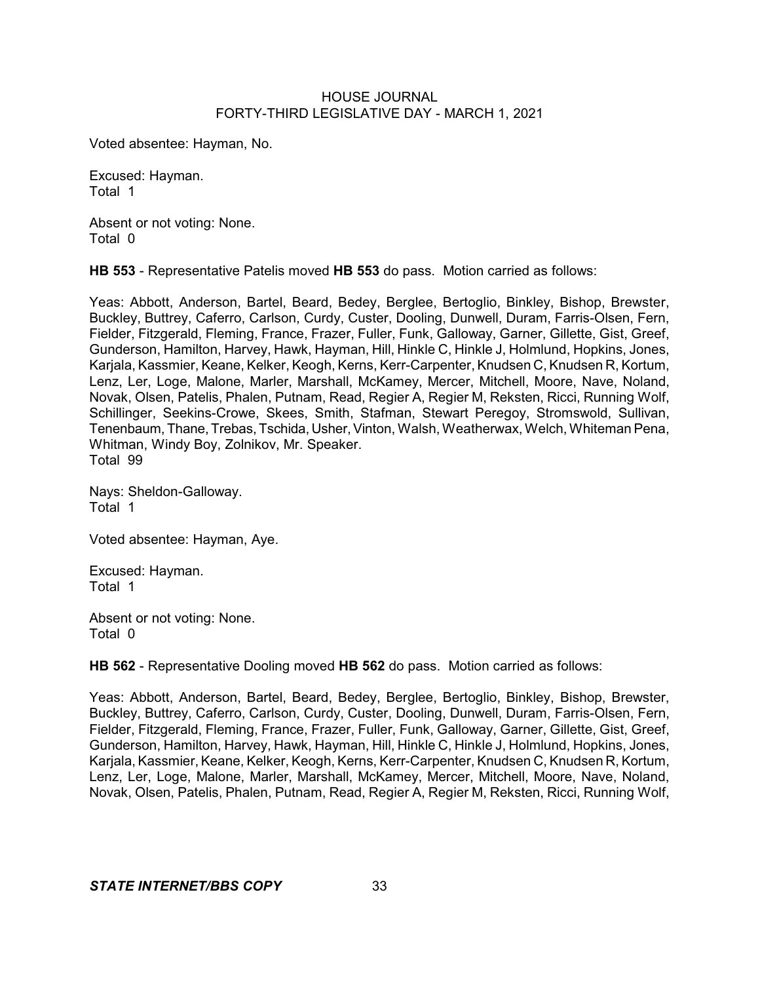Voted absentee: Hayman, No.

Excused: Hayman. Total 1

Absent or not voting: None. Total 0

**HB 553** - Representative Patelis moved **HB 553** do pass. Motion carried as follows:

Yeas: Abbott, Anderson, Bartel, Beard, Bedey, Berglee, Bertoglio, Binkley, Bishop, Brewster, Buckley, Buttrey, Caferro, Carlson, Curdy, Custer, Dooling, Dunwell, Duram, Farris-Olsen, Fern, Fielder, Fitzgerald, Fleming, France, Frazer, Fuller, Funk, Galloway, Garner, Gillette, Gist, Greef, Gunderson, Hamilton, Harvey, Hawk, Hayman, Hill, Hinkle C, Hinkle J, Holmlund, Hopkins, Jones, Karjala, Kassmier, Keane, Kelker, Keogh, Kerns, Kerr-Carpenter, Knudsen C, Knudsen R, Kortum, Lenz, Ler, Loge, Malone, Marler, Marshall, McKamey, Mercer, Mitchell, Moore, Nave, Noland, Novak, Olsen, Patelis, Phalen, Putnam, Read, Regier A, Regier M, Reksten, Ricci, Running Wolf, Schillinger, Seekins-Crowe, Skees, Smith, Stafman, Stewart Peregoy, Stromswold, Sullivan, Tenenbaum, Thane, Trebas, Tschida, Usher, Vinton, Walsh, Weatherwax, Welch, Whiteman Pena, Whitman, Windy Boy, Zolnikov, Mr. Speaker. Total 99

Nays: Sheldon-Galloway. Total 1

Voted absentee: Hayman, Aye.

Excused: Hayman. Total 1

Absent or not voting: None. Total 0

**HB 562** - Representative Dooling moved **HB 562** do pass. Motion carried as follows:

Yeas: Abbott, Anderson, Bartel, Beard, Bedey, Berglee, Bertoglio, Binkley, Bishop, Brewster, Buckley, Buttrey, Caferro, Carlson, Curdy, Custer, Dooling, Dunwell, Duram, Farris-Olsen, Fern, Fielder, Fitzgerald, Fleming, France, Frazer, Fuller, Funk, Galloway, Garner, Gillette, Gist, Greef, Gunderson, Hamilton, Harvey, Hawk, Hayman, Hill, Hinkle C, Hinkle J, Holmlund, Hopkins, Jones, Karjala, Kassmier, Keane, Kelker, Keogh, Kerns, Kerr-Carpenter, Knudsen C, Knudsen R, Kortum, Lenz, Ler, Loge, Malone, Marler, Marshall, McKamey, Mercer, Mitchell, Moore, Nave, Noland, Novak, Olsen, Patelis, Phalen, Putnam, Read, Regier A, Regier M, Reksten, Ricci, Running Wolf,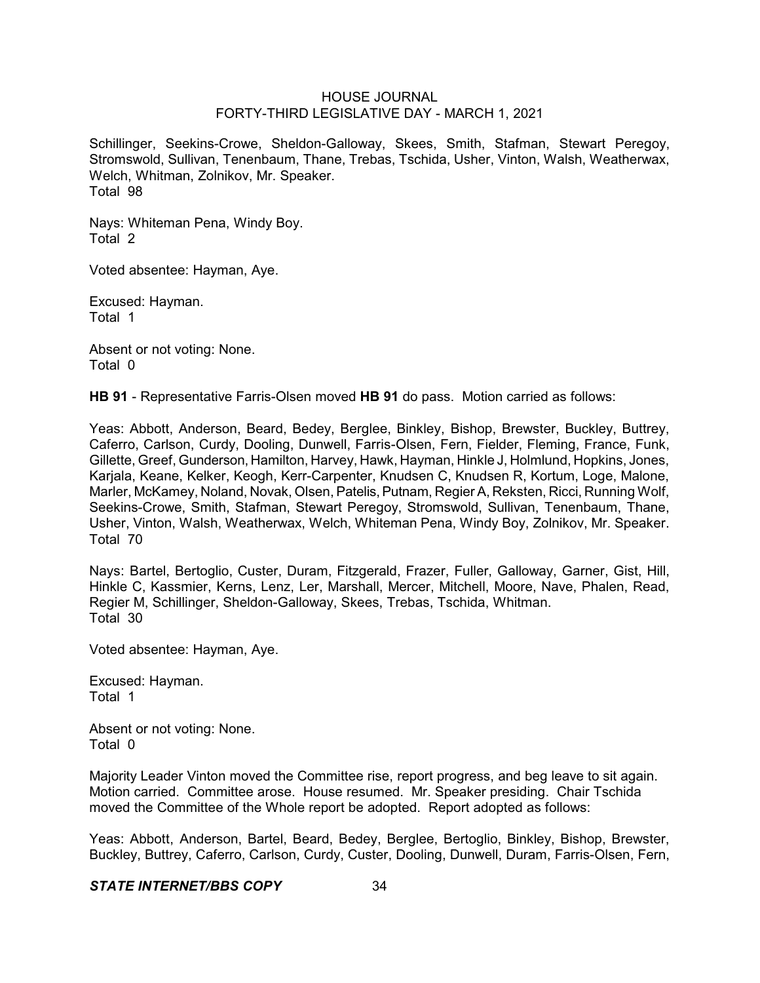Schillinger, Seekins-Crowe, Sheldon-Galloway, Skees, Smith, Stafman, Stewart Peregoy, Stromswold, Sullivan, Tenenbaum, Thane, Trebas, Tschida, Usher, Vinton, Walsh, Weatherwax, Welch, Whitman, Zolnikov, Mr. Speaker. Total 98

Nays: Whiteman Pena, Windy Boy. Total 2

Voted absentee: Hayman, Aye.

Excused: Hayman. Total 1

Absent or not voting: None. Total 0

**HB 91** - Representative Farris-Olsen moved **HB 91** do pass. Motion carried as follows:

Yeas: Abbott, Anderson, Beard, Bedey, Berglee, Binkley, Bishop, Brewster, Buckley, Buttrey, Caferro, Carlson, Curdy, Dooling, Dunwell, Farris-Olsen, Fern, Fielder, Fleming, France, Funk, Gillette, Greef, Gunderson, Hamilton, Harvey, Hawk, Hayman, Hinkle J, Holmlund, Hopkins, Jones, Karjala, Keane, Kelker, Keogh, Kerr-Carpenter, Knudsen C, Knudsen R, Kortum, Loge, Malone, Marler, McKamey, Noland, Novak, Olsen, Patelis, Putnam, Regier A, Reksten, Ricci, Running Wolf, Seekins-Crowe, Smith, Stafman, Stewart Peregoy, Stromswold, Sullivan, Tenenbaum, Thane, Usher, Vinton, Walsh, Weatherwax, Welch, Whiteman Pena, Windy Boy, Zolnikov, Mr. Speaker. Total 70

Nays: Bartel, Bertoglio, Custer, Duram, Fitzgerald, Frazer, Fuller, Galloway, Garner, Gist, Hill, Hinkle C, Kassmier, Kerns, Lenz, Ler, Marshall, Mercer, Mitchell, Moore, Nave, Phalen, Read, Regier M, Schillinger, Sheldon-Galloway, Skees, Trebas, Tschida, Whitman. Total 30

Voted absentee: Hayman, Aye.

Excused: Hayman. Total 1

Absent or not voting: None. Total 0

Majority Leader Vinton moved the Committee rise, report progress, and beg leave to sit again. Motion carried. Committee arose. House resumed. Mr. Speaker presiding. Chair Tschida moved the Committee of the Whole report be adopted. Report adopted as follows:

Yeas: Abbott, Anderson, Bartel, Beard, Bedey, Berglee, Bertoglio, Binkley, Bishop, Brewster, Buckley, Buttrey, Caferro, Carlson, Curdy, Custer, Dooling, Dunwell, Duram, Farris-Olsen, Fern,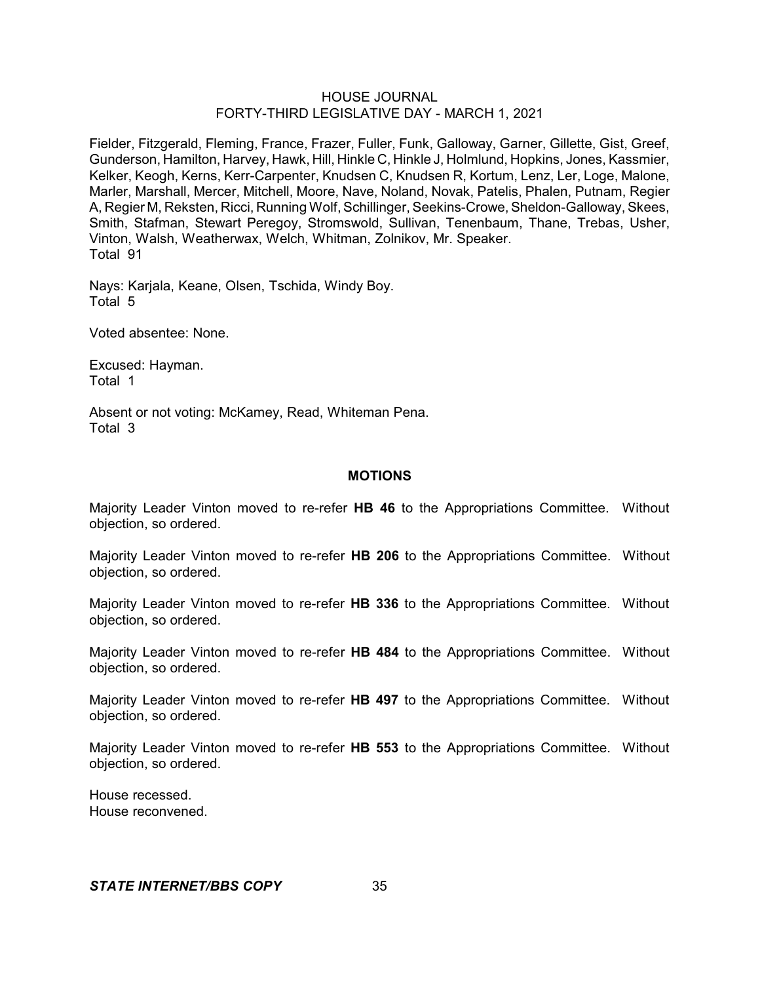Fielder, Fitzgerald, Fleming, France, Frazer, Fuller, Funk, Galloway, Garner, Gillette, Gist, Greef, Gunderson, Hamilton, Harvey, Hawk, Hill, Hinkle C, Hinkle J, Holmlund, Hopkins, Jones, Kassmier, Kelker, Keogh, Kerns, Kerr-Carpenter, Knudsen C, Knudsen R, Kortum, Lenz, Ler, Loge, Malone, Marler, Marshall, Mercer, Mitchell, Moore, Nave, Noland, Novak, Patelis, Phalen, Putnam, Regier A, Regier M, Reksten, Ricci, Running Wolf, Schillinger, Seekins-Crowe, Sheldon-Galloway, Skees, Smith, Stafman, Stewart Peregoy, Stromswold, Sullivan, Tenenbaum, Thane, Trebas, Usher, Vinton, Walsh, Weatherwax, Welch, Whitman, Zolnikov, Mr. Speaker. Total 91

Nays: Karjala, Keane, Olsen, Tschida, Windy Boy. Total 5

Voted absentee: None.

Excused: Hayman. Total 1

Absent or not voting: McKamey, Read, Whiteman Pena. Total 3

### **MOTIONS**

Majority Leader Vinton moved to re-refer **HB 46** to the Appropriations Committee. Without objection, so ordered.

Majority Leader Vinton moved to re-refer **HB 206** to the Appropriations Committee. Without objection, so ordered.

Majority Leader Vinton moved to re-refer **HB 336** to the Appropriations Committee. Without objection, so ordered.

Majority Leader Vinton moved to re-refer **HB 484** to the Appropriations Committee. Without objection, so ordered.

Majority Leader Vinton moved to re-refer **HB 497** to the Appropriations Committee. Without objection, so ordered.

Majority Leader Vinton moved to re-refer **HB 553** to the Appropriations Committee. Without objection, so ordered.

House recessed. House reconvened.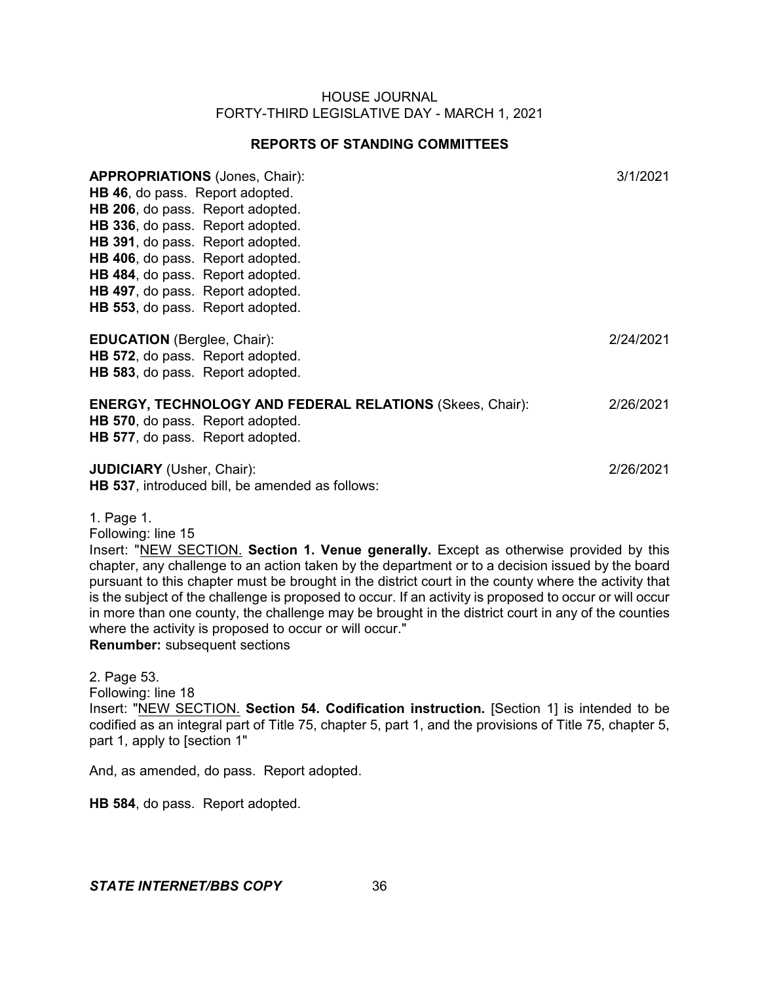# **REPORTS OF STANDING COMMITTEES**

| <b>APPROPRIATIONS (Jones, Chair):</b><br>HB 46, do pass. Report adopted.<br>HB 206, do pass. Report adopted.<br>HB 336, do pass. Report adopted.<br><b>HB 391, do pass. Report adopted.</b><br>HB 406, do pass. Report adopted.<br><b>HB 484, do pass. Report adopted.</b><br>HB 497, do pass. Report adopted.<br>HB 553, do pass. Report adopted. | 3/1/2021  |
|----------------------------------------------------------------------------------------------------------------------------------------------------------------------------------------------------------------------------------------------------------------------------------------------------------------------------------------------------|-----------|
| <b>EDUCATION</b> (Berglee, Chair):<br><b>HB 572, do pass. Report adopted.</b><br><b>HB 583, do pass. Report adopted.</b>                                                                                                                                                                                                                           | 2/24/2021 |
| <b>ENERGY, TECHNOLOGY AND FEDERAL RELATIONS (Skees, Chair):</b><br>HB 570, do pass. Report adopted.<br><b>HB 577, do pass. Report adopted.</b>                                                                                                                                                                                                     | 2/26/2021 |
| <b>JUDICIARY</b> (Usher, Chair):<br>HB 537, introduced bill, be amended as follows:                                                                                                                                                                                                                                                                | 2/26/2021 |

1. Page 1.

Following: line 15

Insert: "NEW SECTION. **Section 1. Venue generally.** Except as otherwise provided by this chapter, any challenge to an action taken by the department or to a decision issued by the board pursuant to this chapter must be brought in the district court in the county where the activity that is the subject of the challenge is proposed to occur. If an activity is proposed to occur or will occur in more than one county, the challenge may be brought in the district court in any of the counties where the activity is proposed to occur or will occur."

**Renumber:** subsequent sections

2. Page 53. Following: line 18 Insert: "NEW SECTION. **Section 54. Codification instruction.** [Section 1] is intended to be codified as an integral part of Title 75, chapter 5, part 1, and the provisions of Title 75, chapter 5, part 1, apply to [section 1"

And, as amended, do pass. Report adopted.

**HB 584**, do pass. Report adopted.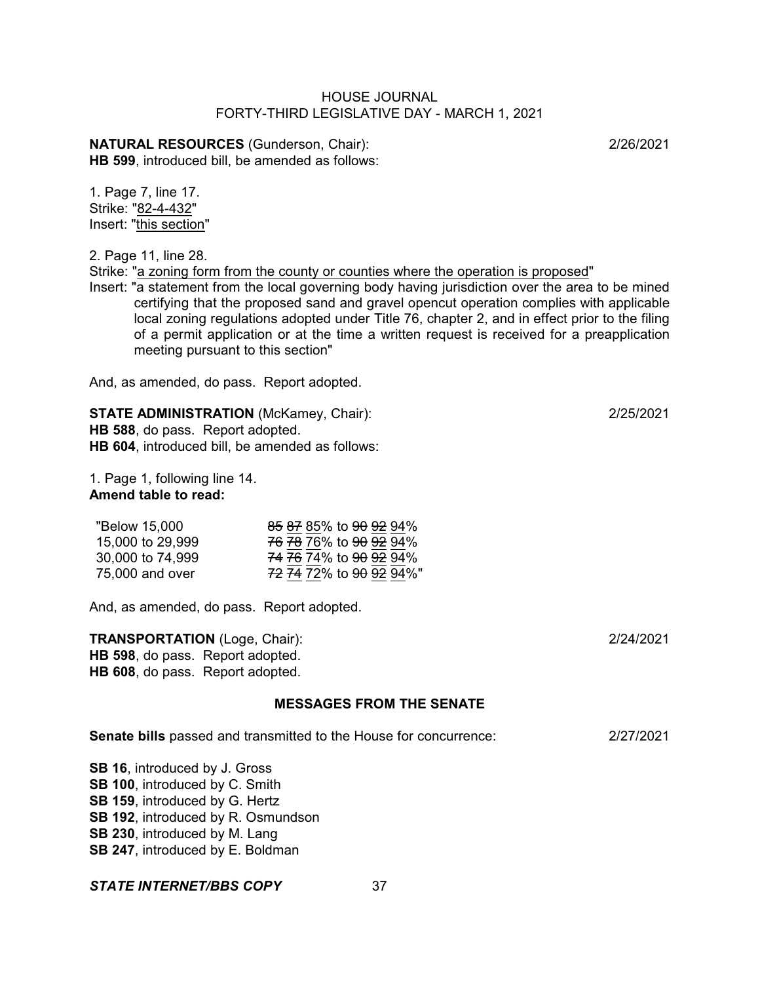**NATURAL RESOURCES** (Gunderson, Chair): 2/26/2021 **HB 599**, introduced bill, be amended as follows:

1. Page 7, line 17. Strike: "82-4-432" Insert: "this section"

2. Page 11, line 28.

Strike: "a zoning form from the county or counties where the operation is proposed"

Insert: "a statement from the local governing body having jurisdiction over the area to be mined certifying that the proposed sand and gravel opencut operation complies with applicable local zoning regulations adopted under Title 76, chapter 2, and in effect prior to the filing of a permit application or at the time a written request is received for a preapplication meeting pursuant to this section"

And, as amended, do pass. Report adopted.

**STATE ADMINISTRATION** (McKamey, Chair): 2/25/2021 **HB 588**, do pass. Report adopted. **HB 604**, introduced bill, be amended as follows:

1. Page 1, following line 14. **Amend table to read:**

| "Below 15,000"   | 85 87 85% to 90 92 94%                        |
|------------------|-----------------------------------------------|
| 15,000 to 29,999 | <del>76 78</del> 76% to <del>90 92</del> 94%  |
| 30,000 to 74,999 | 74 76 74% to 90 92 94%                        |
| 75,000 and over  | <del>72 74</del> 72% to <del>90 92</del> 94%" |

And, as amended, do pass. Report adopted.

**TRANSPORTATION** (Loge, Chair): 2/24/2021 **HB 598**, do pass. Report adopted. **HB 608**, do pass. Report adopted.

# **MESSAGES FROM THE SENATE**

**Senate bills** passed and transmitted to the House for concurrence: 2/27/2021

**SB 16**, introduced by J. Gross **SB 100**, introduced by C. Smith **SB 159**, introduced by G. Hertz **SB 192**, introduced by R. Osmundson **SB 230**, introduced by M. Lang **SB 247**, introduced by E. Boldman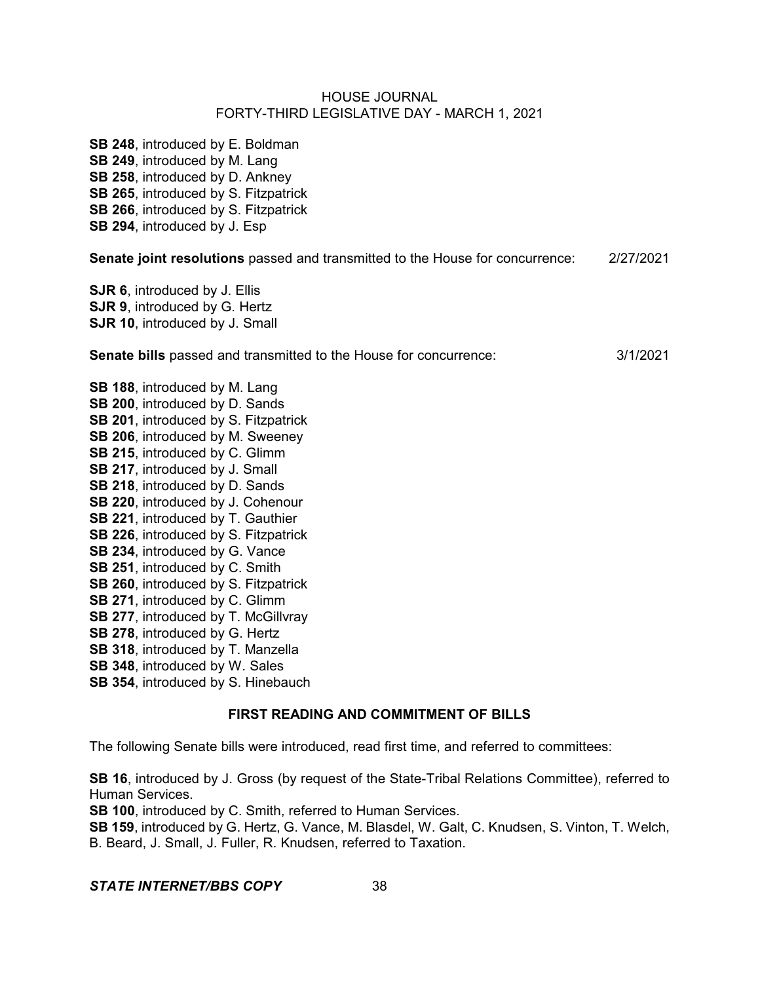**SB 248**, introduced by E. Boldman **SB 249**, introduced by M. Lang **SB 258**, introduced by D. Ankney **SB 265**, introduced by S. Fitzpatrick **SB 266**, introduced by S. Fitzpatrick **SB 294**, introduced by J. Esp **Senate joint resolutions** passed and transmitted to the House for concurrence: 2/27/2021 **SJR 6**, introduced by J. Ellis **SJR 9**, introduced by G. Hertz **SJR 10**, introduced by J. Small

**Senate bills** passed and transmitted to the House for concurrence: 3/1/2021

- **SB 188**, introduced by M. Lang **SB 200**, introduced by D. Sands **SB 201**, introduced by S. Fitzpatrick **SB 206**, introduced by M. Sweeney **SB 215**, introduced by C. Glimm **SB 217**, introduced by J. Small **SB 218**, introduced by D. Sands **SB 220**, introduced by J. Cohenour **SB 221**, introduced by T. Gauthier **SB 226, introduced by S. Fitzpatrick SB 234**, introduced by G. Vance **SB 251**, introduced by C. Smith **SB 260**, introduced by S. Fitzpatrick **SB 271**, introduced by C. Glimm **SB 277**, introduced by T. McGillvray **SB 278**, introduced by G. Hertz **SB 318**, introduced by T. Manzella
- **SB 348**, introduced by W. Sales
- **SB 354**, introduced by S. Hinebauch

# **FIRST READING AND COMMITMENT OF BILLS**

The following Senate bills were introduced, read first time, and referred to committees:

**SB 16**, introduced by J. Gross (by request of the State-Tribal Relations Committee), referred to Human Services.

**SB 100**, introduced by C. Smith, referred to Human Services.

**SB 159**, introduced by G. Hertz, G. Vance, M. Blasdel, W. Galt, C. Knudsen, S. Vinton, T. Welch, B. Beard, J. Small, J. Fuller, R. Knudsen, referred to Taxation.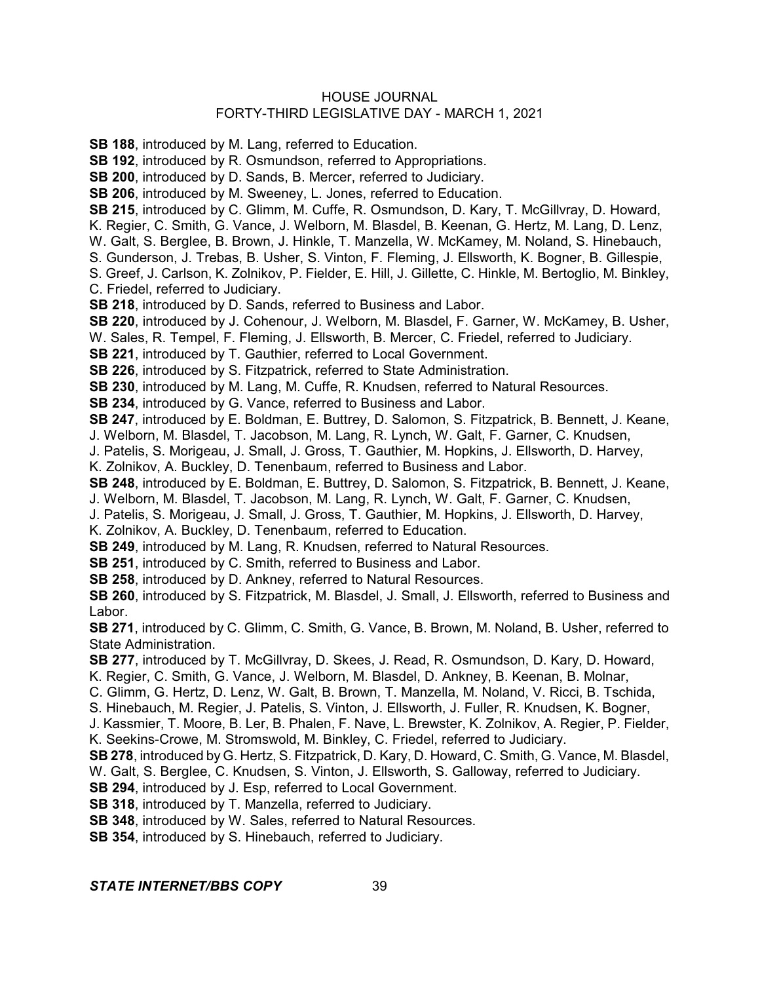**SB 188**, introduced by M. Lang, referred to Education.

**SB 192**, introduced by R. Osmundson, referred to Appropriations.

**SB 200**, introduced by D. Sands, B. Mercer, referred to Judiciary.

**SB 206**, introduced by M. Sweeney, L. Jones, referred to Education.

**SB 215**, introduced by C. Glimm, M. Cuffe, R. Osmundson, D. Kary, T. McGillvray, D. Howard,

K. Regier, C. Smith, G. Vance, J. Welborn, M. Blasdel, B. Keenan, G. Hertz, M. Lang, D. Lenz,

W. Galt, S. Berglee, B. Brown, J. Hinkle, T. Manzella, W. McKamey, M. Noland, S. Hinebauch,

S. Gunderson, J. Trebas, B. Usher, S. Vinton, F. Fleming, J. Ellsworth, K. Bogner, B. Gillespie,

S. Greef, J. Carlson, K. Zolnikov, P. Fielder, E. Hill, J. Gillette, C. Hinkle, M. Bertoglio, M. Binkley, C. Friedel, referred to Judiciary.

**SB 218**, introduced by D. Sands, referred to Business and Labor.

**SB 220**, introduced by J. Cohenour, J. Welborn, M. Blasdel, F. Garner, W. McKamey, B. Usher,

W. Sales, R. Tempel, F. Fleming, J. Ellsworth, B. Mercer, C. Friedel, referred to Judiciary.

**SB 221**, introduced by T. Gauthier, referred to Local Government.

**SB 226**, introduced by S. Fitzpatrick, referred to State Administration.

**SB 230**, introduced by M. Lang, M. Cuffe, R. Knudsen, referred to Natural Resources.

**SB 234**, introduced by G. Vance, referred to Business and Labor.

**SB 247**, introduced by E. Boldman, E. Buttrey, D. Salomon, S. Fitzpatrick, B. Bennett, J. Keane,

J. Welborn, M. Blasdel, T. Jacobson, M. Lang, R. Lynch, W. Galt, F. Garner, C. Knudsen,

J. Patelis, S. Morigeau, J. Small, J. Gross, T. Gauthier, M. Hopkins, J. Ellsworth, D. Harvey,

K. Zolnikov, A. Buckley, D. Tenenbaum, referred to Business and Labor.

**SB 248**, introduced by E. Boldman, E. Buttrey, D. Salomon, S. Fitzpatrick, B. Bennett, J. Keane,

J. Welborn, M. Blasdel, T. Jacobson, M. Lang, R. Lynch, W. Galt, F. Garner, C. Knudsen,

J. Patelis, S. Morigeau, J. Small, J. Gross, T. Gauthier, M. Hopkins, J. Ellsworth, D. Harvey,

K. Zolnikov, A. Buckley, D. Tenenbaum, referred to Education.

**SB 249**, introduced by M. Lang, R. Knudsen, referred to Natural Resources.

**SB 251**, introduced by C. Smith, referred to Business and Labor.

**SB 258**, introduced by D. Ankney, referred to Natural Resources.

**SB 260**, introduced by S. Fitzpatrick, M. Blasdel, J. Small, J. Ellsworth, referred to Business and Labor.

**SB 271**, introduced by C. Glimm, C. Smith, G. Vance, B. Brown, M. Noland, B. Usher, referred to State Administration.

**SB 277**, introduced by T. McGillvray, D. Skees, J. Read, R. Osmundson, D. Kary, D. Howard,

K. Regier, C. Smith, G. Vance, J. Welborn, M. Blasdel, D. Ankney, B. Keenan, B. Molnar,

C. Glimm, G. Hertz, D. Lenz, W. Galt, B. Brown, T. Manzella, M. Noland, V. Ricci, B. Tschida,

S. Hinebauch, M. Regier, J. Patelis, S. Vinton, J. Ellsworth, J. Fuller, R. Knudsen, K. Bogner,

J. Kassmier, T. Moore, B. Ler, B. Phalen, F. Nave, L. Brewster, K. Zolnikov, A. Regier, P. Fielder, K. Seekins-Crowe, M. Stromswold, M. Binkley, C. Friedel, referred to Judiciary.

**SB 278**, introduced by G. Hertz, S. Fitzpatrick, D. Kary, D. Howard, C. Smith, G. Vance, M. Blasdel,

W. Galt, S. Berglee, C. Knudsen, S. Vinton, J. Ellsworth, S. Galloway, referred to Judiciary.

**SB 294**, introduced by J. Esp, referred to Local Government.

**SB 318**, introduced by T. Manzella, referred to Judiciary.

**SB 348**, introduced by W. Sales, referred to Natural Resources.

**SB 354**, introduced by S. Hinebauch, referred to Judiciary.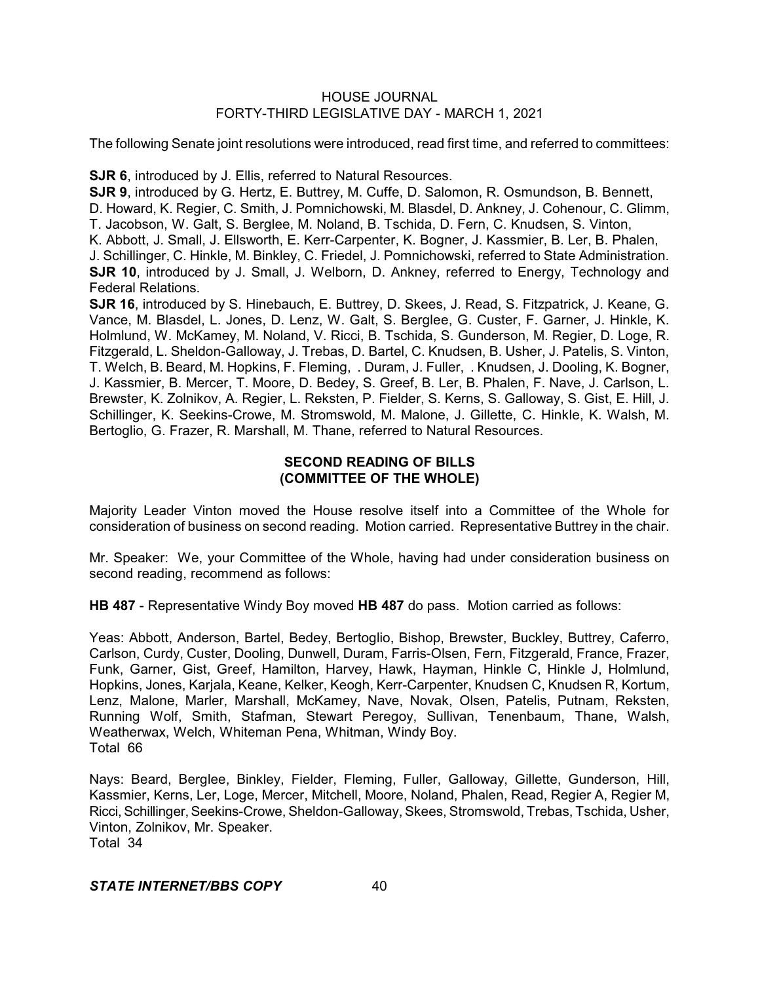The following Senate joint resolutions were introduced, read first time, and referred to committees:

**SJR 6**, introduced by J. Ellis, referred to Natural Resources.

**SJR 9**, introduced by G. Hertz, E. Buttrey, M. Cuffe, D. Salomon, R. Osmundson, B. Bennett,

D. Howard, K. Regier, C. Smith, J. Pomnichowski, M. Blasdel, D. Ankney, J. Cohenour, C. Glimm,

T. Jacobson, W. Galt, S. Berglee, M. Noland, B. Tschida, D. Fern, C. Knudsen, S. Vinton,

K. Abbott, J. Small, J. Ellsworth, E. Kerr-Carpenter, K. Bogner, J. Kassmier, B. Ler, B. Phalen,

J. Schillinger, C. Hinkle, M. Binkley, C. Friedel, J. Pomnichowski, referred to State Administration. **SJR 10**, introduced by J. Small, J. Welborn, D. Ankney, referred to Energy, Technology and Federal Relations.

**SJR 16**, introduced by S. Hinebauch, E. Buttrey, D. Skees, J. Read, S. Fitzpatrick, J. Keane, G. Vance, M. Blasdel, L. Jones, D. Lenz, W. Galt, S. Berglee, G. Custer, F. Garner, J. Hinkle, K. Holmlund, W. McKamey, M. Noland, V. Ricci, B. Tschida, S. Gunderson, M. Regier, D. Loge, R. Fitzgerald, L. Sheldon-Galloway, J. Trebas, D. Bartel, C. Knudsen, B. Usher, J. Patelis, S. Vinton, T. Welch, B. Beard, M. Hopkins, F. Fleming, . Duram, J. Fuller, . Knudsen, J. Dooling, K. Bogner, J. Kassmier, B. Mercer, T. Moore, D. Bedey, S. Greef, B. Ler, B. Phalen, F. Nave, J. Carlson, L. Brewster, K. Zolnikov, A. Regier, L. Reksten, P. Fielder, S. Kerns, S. Galloway, S. Gist, E. Hill, J. Schillinger, K. Seekins-Crowe, M. Stromswold, M. Malone, J. Gillette, C. Hinkle, K. Walsh, M. Bertoglio, G. Frazer, R. Marshall, M. Thane, referred to Natural Resources.

# **SECOND READING OF BILLS (COMMITTEE OF THE WHOLE)**

Majority Leader Vinton moved the House resolve itself into a Committee of the Whole for consideration of business on second reading. Motion carried. Representative Buttrey in the chair.

Mr. Speaker: We, your Committee of the Whole, having had under consideration business on second reading, recommend as follows:

**HB 487** - Representative Windy Boy moved **HB 487** do pass. Motion carried as follows:

Yeas: Abbott, Anderson, Bartel, Bedey, Bertoglio, Bishop, Brewster, Buckley, Buttrey, Caferro, Carlson, Curdy, Custer, Dooling, Dunwell, Duram, Farris-Olsen, Fern, Fitzgerald, France, Frazer, Funk, Garner, Gist, Greef, Hamilton, Harvey, Hawk, Hayman, Hinkle C, Hinkle J, Holmlund, Hopkins, Jones, Karjala, Keane, Kelker, Keogh, Kerr-Carpenter, Knudsen C, Knudsen R, Kortum, Lenz, Malone, Marler, Marshall, McKamey, Nave, Novak, Olsen, Patelis, Putnam, Reksten, Running Wolf, Smith, Stafman, Stewart Peregoy, Sullivan, Tenenbaum, Thane, Walsh, Weatherwax, Welch, Whiteman Pena, Whitman, Windy Boy. Total 66

Nays: Beard, Berglee, Binkley, Fielder, Fleming, Fuller, Galloway, Gillette, Gunderson, Hill, Kassmier, Kerns, Ler, Loge, Mercer, Mitchell, Moore, Noland, Phalen, Read, Regier A, Regier M, Ricci, Schillinger, Seekins-Crowe, Sheldon-Galloway, Skees, Stromswold, Trebas, Tschida, Usher, Vinton, Zolnikov, Mr. Speaker. Total 34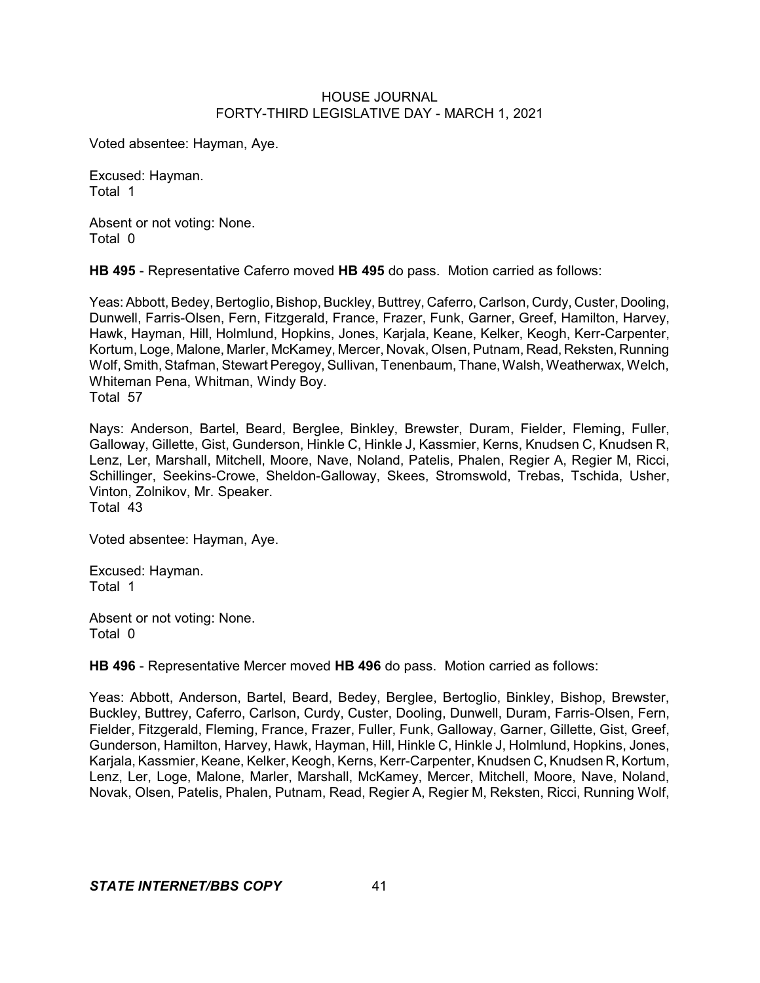Voted absentee: Hayman, Aye.

Excused: Hayman. Total 1

Absent or not voting: None. Total 0

**HB 495** - Representative Caferro moved **HB 495** do pass. Motion carried as follows:

Yeas: Abbott, Bedey, Bertoglio, Bishop, Buckley, Buttrey, Caferro, Carlson, Curdy, Custer, Dooling, Dunwell, Farris-Olsen, Fern, Fitzgerald, France, Frazer, Funk, Garner, Greef, Hamilton, Harvey, Hawk, Hayman, Hill, Holmlund, Hopkins, Jones, Karjala, Keane, Kelker, Keogh, Kerr-Carpenter, Kortum, Loge, Malone, Marler, McKamey, Mercer, Novak, Olsen, Putnam, Read, Reksten, Running Wolf, Smith, Stafman, Stewart Peregoy, Sullivan, Tenenbaum, Thane, Walsh, Weatherwax, Welch, Whiteman Pena, Whitman, Windy Boy. Total 57

Nays: Anderson, Bartel, Beard, Berglee, Binkley, Brewster, Duram, Fielder, Fleming, Fuller, Galloway, Gillette, Gist, Gunderson, Hinkle C, Hinkle J, Kassmier, Kerns, Knudsen C, Knudsen R, Lenz, Ler, Marshall, Mitchell, Moore, Nave, Noland, Patelis, Phalen, Regier A, Regier M, Ricci, Schillinger, Seekins-Crowe, Sheldon-Galloway, Skees, Stromswold, Trebas, Tschida, Usher, Vinton, Zolnikov, Mr. Speaker. Total 43

Voted absentee: Hayman, Aye.

Excused: Hayman. Total 1

Absent or not voting: None. Total 0

**HB 496** - Representative Mercer moved **HB 496** do pass. Motion carried as follows:

Yeas: Abbott, Anderson, Bartel, Beard, Bedey, Berglee, Bertoglio, Binkley, Bishop, Brewster, Buckley, Buttrey, Caferro, Carlson, Curdy, Custer, Dooling, Dunwell, Duram, Farris-Olsen, Fern, Fielder, Fitzgerald, Fleming, France, Frazer, Fuller, Funk, Galloway, Garner, Gillette, Gist, Greef, Gunderson, Hamilton, Harvey, Hawk, Hayman, Hill, Hinkle C, Hinkle J, Holmlund, Hopkins, Jones, Karjala, Kassmier, Keane, Kelker, Keogh, Kerns, Kerr-Carpenter, Knudsen C, Knudsen R, Kortum, Lenz, Ler, Loge, Malone, Marler, Marshall, McKamey, Mercer, Mitchell, Moore, Nave, Noland, Novak, Olsen, Patelis, Phalen, Putnam, Read, Regier A, Regier M, Reksten, Ricci, Running Wolf,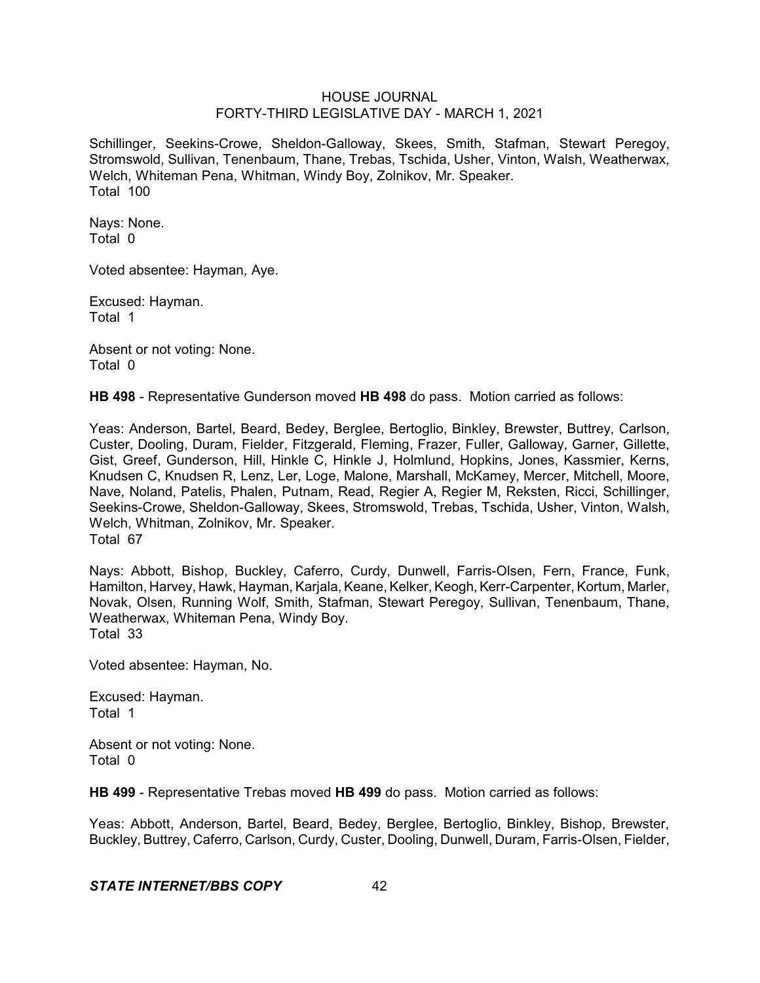Schillinger, Seekins-Crowe, Sheldon-Galloway, Skees, Smith, Stafman, Stewart Peregoy, Stromswold, Sullivan, Tenenbaum, Thane, Trebas, Tschida, Usher, Vinton, Walsh, Weatherwax, Welch, Whiteman Pena, Whitman, Windy Boy, Zolnikov, Mr. Speaker. Total 100

Nays: None. Total 0

Voted absentee: Hayman, Aye.

Excused: Hayman. Total 1

Absent or not voting: None. Total 0

**HB 498** - Representative Gunderson moved **HB 498** do pass. Motion carried as follows:

Yeas: Anderson, Bartel, Beard, Bedey, Berglee, Bertoglio, Binkley, Brewster, Buttrey, Carlson, Custer, Dooling, Duram, Fielder, Fitzgerald, Fleming, Frazer, Fuller, Galloway, Garner, Gillette, Gist, Greef, Gunderson, Hill, Hinkle C, Hinkle J, Holmlund, Hopkins, Jones, Kassmier, Kerns, Knudsen C, Knudsen R, Lenz, Ler, Loge, Malone, Marshall, McKamey, Mercer, Mitchell, Moore, Nave, Noland, Patelis, Phalen, Putnam, Read, Regier A, Regier M, Reksten, Ricci, Schillinger, Seekins-Crowe, Sheldon-Galloway, Skees, Stromswold, Trebas, Tschida, Usher, Vinton, Walsh, Welch, Whitman, Zolnikov, Mr. Speaker. Total 67

Nays: Abbott, Bishop, Buckley, Caferro, Curdy, Dunwell, Farris-Olsen, Fern, France, Funk, Hamilton, Harvey, Hawk, Hayman, Karjala, Keane, Kelker, Keogh,Kerr-Carpenter, Kortum, Marler, Novak, Olsen, Running Wolf, Smith, Stafman, Stewart Peregoy, Sullivan, Tenenbaum, Thane, Weatherwax, Whiteman Pena, Windy Boy. Total 33

Voted absentee: Hayman, No.

Excused: Hayman. Total 1

Absent or not voting: None. Total 0

**HB 499** - Representative Trebas moved **HB 499** do pass. Motion carried as follows:

Yeas: Abbott, Anderson, Bartel, Beard, Bedey, Berglee, Bertoglio, Binkley, Bishop, Brewster, Buckley, Buttrey, Caferro, Carlson, Curdy, Custer, Dooling, Dunwell, Duram, Farris-Olsen, Fielder,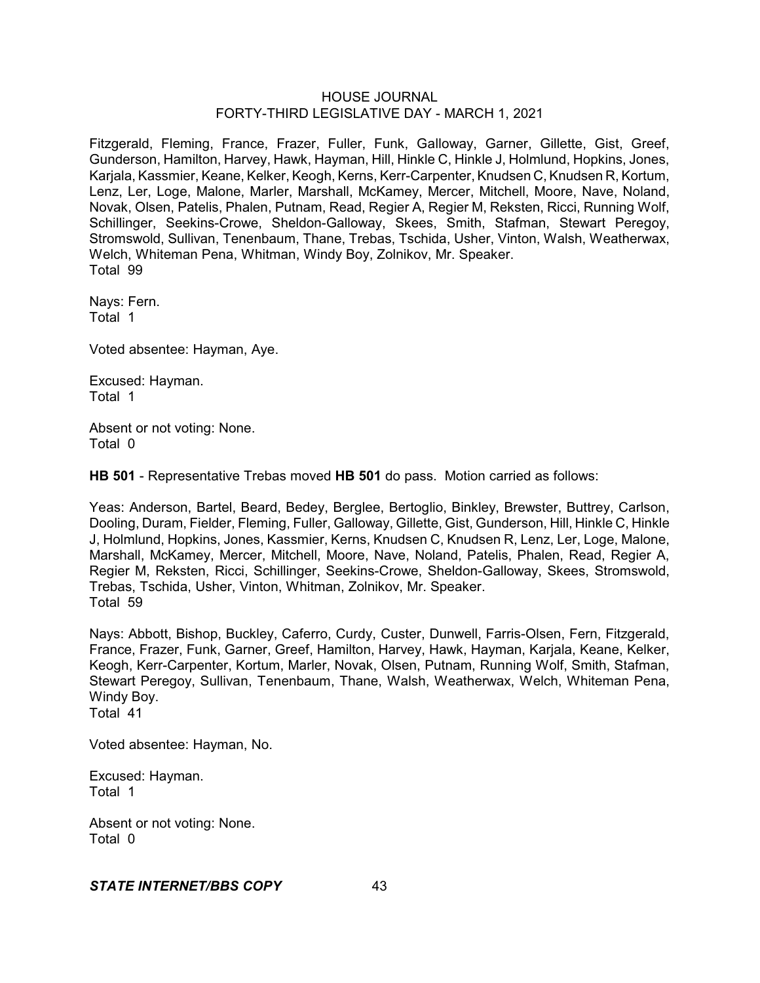Fitzgerald, Fleming, France, Frazer, Fuller, Funk, Galloway, Garner, Gillette, Gist, Greef, Gunderson, Hamilton, Harvey, Hawk, Hayman, Hill, Hinkle C, Hinkle J, Holmlund, Hopkins, Jones, Karjala, Kassmier, Keane, Kelker, Keogh, Kerns, Kerr-Carpenter, Knudsen C, Knudsen R, Kortum, Lenz, Ler, Loge, Malone, Marler, Marshall, McKamey, Mercer, Mitchell, Moore, Nave, Noland, Novak, Olsen, Patelis, Phalen, Putnam, Read, Regier A, Regier M, Reksten, Ricci, Running Wolf, Schillinger, Seekins-Crowe, Sheldon-Galloway, Skees, Smith, Stafman, Stewart Peregoy, Stromswold, Sullivan, Tenenbaum, Thane, Trebas, Tschida, Usher, Vinton, Walsh, Weatherwax, Welch, Whiteman Pena, Whitman, Windy Boy, Zolnikov, Mr. Speaker. Total 99

Nays: Fern. Total 1

Voted absentee: Hayman, Aye.

Excused: Hayman. Total 1

Absent or not voting: None. Total 0

**HB 501** - Representative Trebas moved **HB 501** do pass. Motion carried as follows:

Yeas: Anderson, Bartel, Beard, Bedey, Berglee, Bertoglio, Binkley, Brewster, Buttrey, Carlson, Dooling, Duram, Fielder, Fleming, Fuller, Galloway, Gillette, Gist, Gunderson, Hill, Hinkle C, Hinkle J, Holmlund, Hopkins, Jones, Kassmier, Kerns, Knudsen C, Knudsen R, Lenz, Ler, Loge, Malone, Marshall, McKamey, Mercer, Mitchell, Moore, Nave, Noland, Patelis, Phalen, Read, Regier A, Regier M, Reksten, Ricci, Schillinger, Seekins-Crowe, Sheldon-Galloway, Skees, Stromswold, Trebas, Tschida, Usher, Vinton, Whitman, Zolnikov, Mr. Speaker. Total 59

Nays: Abbott, Bishop, Buckley, Caferro, Curdy, Custer, Dunwell, Farris-Olsen, Fern, Fitzgerald, France, Frazer, Funk, Garner, Greef, Hamilton, Harvey, Hawk, Hayman, Karjala, Keane, Kelker, Keogh, Kerr-Carpenter, Kortum, Marler, Novak, Olsen, Putnam, Running Wolf, Smith, Stafman, Stewart Peregoy, Sullivan, Tenenbaum, Thane, Walsh, Weatherwax, Welch, Whiteman Pena, Windy Boy. Total 41

Voted absentee: Hayman, No.

Excused: Hayman. Total 1

Absent or not voting: None. Total 0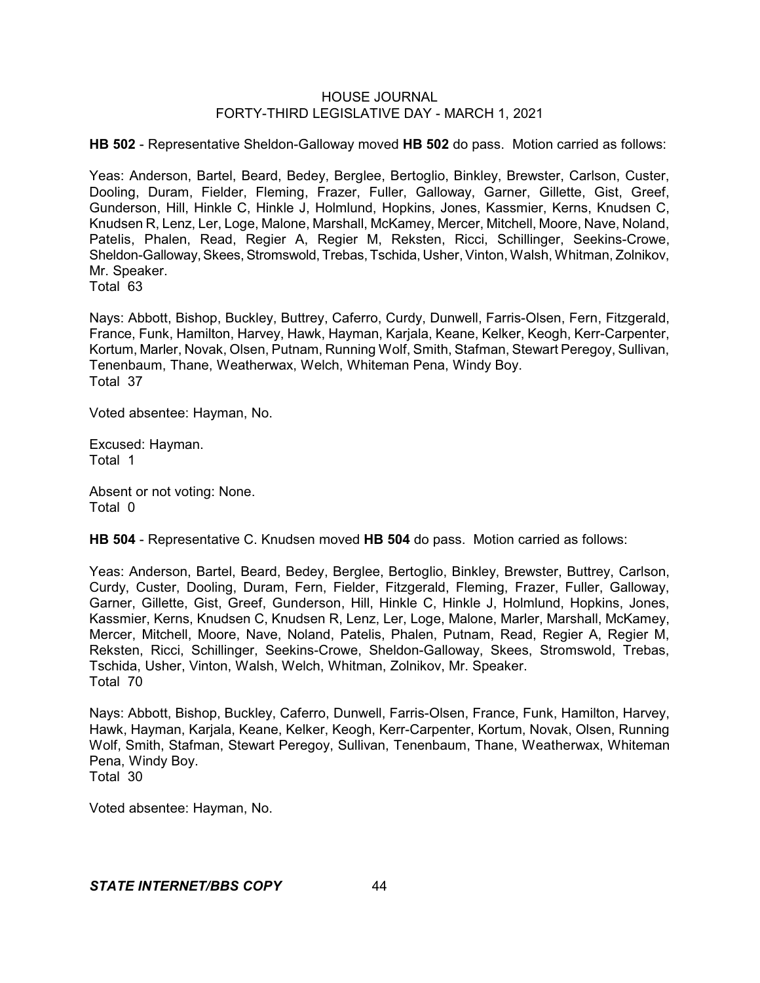**HB 502** - Representative Sheldon-Galloway moved **HB 502** do pass. Motion carried as follows:

Yeas: Anderson, Bartel, Beard, Bedey, Berglee, Bertoglio, Binkley, Brewster, Carlson, Custer, Dooling, Duram, Fielder, Fleming, Frazer, Fuller, Galloway, Garner, Gillette, Gist, Greef, Gunderson, Hill, Hinkle C, Hinkle J, Holmlund, Hopkins, Jones, Kassmier, Kerns, Knudsen C, Knudsen R, Lenz, Ler, Loge, Malone, Marshall, McKamey, Mercer, Mitchell, Moore, Nave, Noland, Patelis, Phalen, Read, Regier A, Regier M, Reksten, Ricci, Schillinger, Seekins-Crowe, Sheldon-Galloway, Skees, Stromswold, Trebas, Tschida, Usher, Vinton, Walsh, Whitman, Zolnikov, Mr. Speaker.

Total 63

Nays: Abbott, Bishop, Buckley, Buttrey, Caferro, Curdy, Dunwell, Farris-Olsen, Fern, Fitzgerald, France, Funk, Hamilton, Harvey, Hawk, Hayman, Karjala, Keane, Kelker, Keogh, Kerr-Carpenter, Kortum, Marler, Novak, Olsen, Putnam, Running Wolf, Smith, Stafman, Stewart Peregoy, Sullivan, Tenenbaum, Thane, Weatherwax, Welch, Whiteman Pena, Windy Boy. Total 37

Voted absentee: Hayman, No.

Excused: Hayman. Total 1

Absent or not voting: None. Total 0

**HB 504** - Representative C. Knudsen moved **HB 504** do pass. Motion carried as follows:

Yeas: Anderson, Bartel, Beard, Bedey, Berglee, Bertoglio, Binkley, Brewster, Buttrey, Carlson, Curdy, Custer, Dooling, Duram, Fern, Fielder, Fitzgerald, Fleming, Frazer, Fuller, Galloway, Garner, Gillette, Gist, Greef, Gunderson, Hill, Hinkle C, Hinkle J, Holmlund, Hopkins, Jones, Kassmier, Kerns, Knudsen C, Knudsen R, Lenz, Ler, Loge, Malone, Marler, Marshall, McKamey, Mercer, Mitchell, Moore, Nave, Noland, Patelis, Phalen, Putnam, Read, Regier A, Regier M, Reksten, Ricci, Schillinger, Seekins-Crowe, Sheldon-Galloway, Skees, Stromswold, Trebas, Tschida, Usher, Vinton, Walsh, Welch, Whitman, Zolnikov, Mr. Speaker. Total 70

Nays: Abbott, Bishop, Buckley, Caferro, Dunwell, Farris-Olsen, France, Funk, Hamilton, Harvey, Hawk, Hayman, Karjala, Keane, Kelker, Keogh, Kerr-Carpenter, Kortum, Novak, Olsen, Running Wolf, Smith, Stafman, Stewart Peregoy, Sullivan, Tenenbaum, Thane, Weatherwax, Whiteman Pena, Windy Boy. Total 30

Voted absentee: Hayman, No.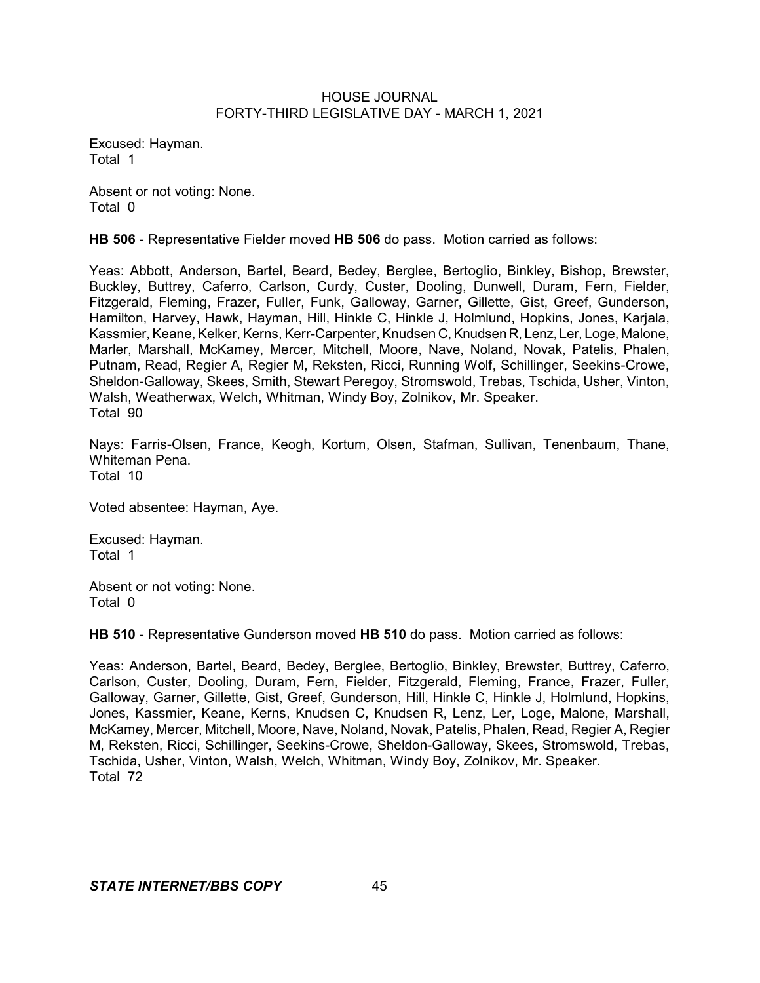Excused: Hayman. Total 1

Absent or not voting: None. Total 0

**HB 506** - Representative Fielder moved **HB 506** do pass. Motion carried as follows:

Yeas: Abbott, Anderson, Bartel, Beard, Bedey, Berglee, Bertoglio, Binkley, Bishop, Brewster, Buckley, Buttrey, Caferro, Carlson, Curdy, Custer, Dooling, Dunwell, Duram, Fern, Fielder, Fitzgerald, Fleming, Frazer, Fuller, Funk, Galloway, Garner, Gillette, Gist, Greef, Gunderson, Hamilton, Harvey, Hawk, Hayman, Hill, Hinkle C, Hinkle J, Holmlund, Hopkins, Jones, Karjala, Kassmier, Keane, Kelker, Kerns, Kerr-Carpenter, Knudsen C,Knudsen R, Lenz, Ler, Loge, Malone, Marler, Marshall, McKamey, Mercer, Mitchell, Moore, Nave, Noland, Novak, Patelis, Phalen, Putnam, Read, Regier A, Regier M, Reksten, Ricci, Running Wolf, Schillinger, Seekins-Crowe, Sheldon-Galloway, Skees, Smith, Stewart Peregoy, Stromswold, Trebas, Tschida, Usher, Vinton, Walsh, Weatherwax, Welch, Whitman, Windy Boy, Zolnikov, Mr. Speaker. Total 90

Nays: Farris-Olsen, France, Keogh, Kortum, Olsen, Stafman, Sullivan, Tenenbaum, Thane, Whiteman Pena. Total 10

Voted absentee: Hayman, Aye.

Excused: Hayman. Total 1

Absent or not voting: None. Total 0

**HB 510** - Representative Gunderson moved **HB 510** do pass. Motion carried as follows:

Yeas: Anderson, Bartel, Beard, Bedey, Berglee, Bertoglio, Binkley, Brewster, Buttrey, Caferro, Carlson, Custer, Dooling, Duram, Fern, Fielder, Fitzgerald, Fleming, France, Frazer, Fuller, Galloway, Garner, Gillette, Gist, Greef, Gunderson, Hill, Hinkle C, Hinkle J, Holmlund, Hopkins, Jones, Kassmier, Keane, Kerns, Knudsen C, Knudsen R, Lenz, Ler, Loge, Malone, Marshall, McKamey, Mercer, Mitchell, Moore, Nave, Noland, Novak, Patelis, Phalen, Read, Regier A, Regier M, Reksten, Ricci, Schillinger, Seekins-Crowe, Sheldon-Galloway, Skees, Stromswold, Trebas, Tschida, Usher, Vinton, Walsh, Welch, Whitman, Windy Boy, Zolnikov, Mr. Speaker. Total 72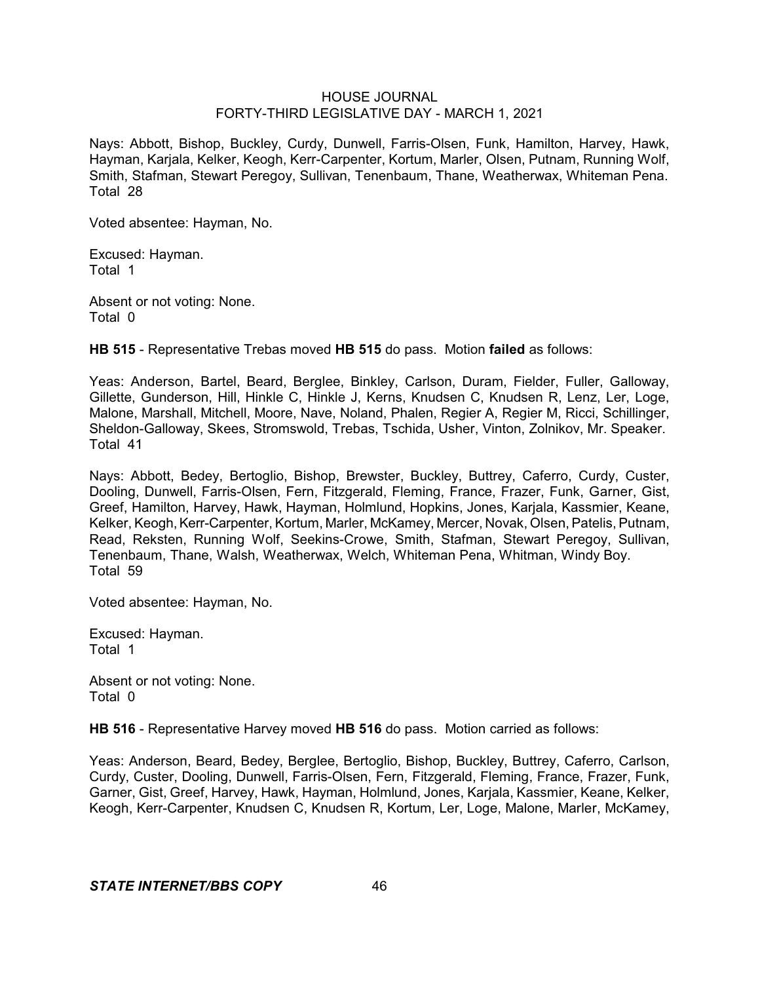Nays: Abbott, Bishop, Buckley, Curdy, Dunwell, Farris-Olsen, Funk, Hamilton, Harvey, Hawk, Hayman, Karjala, Kelker, Keogh, Kerr-Carpenter, Kortum, Marler, Olsen, Putnam, Running Wolf, Smith, Stafman, Stewart Peregoy, Sullivan, Tenenbaum, Thane, Weatherwax, Whiteman Pena. Total 28

Voted absentee: Hayman, No.

Excused: Hayman. Total 1

Absent or not voting: None. Total 0

**HB 515** - Representative Trebas moved **HB 515** do pass. Motion **failed** as follows:

Yeas: Anderson, Bartel, Beard, Berglee, Binkley, Carlson, Duram, Fielder, Fuller, Galloway, Gillette, Gunderson, Hill, Hinkle C, Hinkle J, Kerns, Knudsen C, Knudsen R, Lenz, Ler, Loge, Malone, Marshall, Mitchell, Moore, Nave, Noland, Phalen, Regier A, Regier M, Ricci, Schillinger, Sheldon-Galloway, Skees, Stromswold, Trebas, Tschida, Usher, Vinton, Zolnikov, Mr. Speaker. Total 41

Nays: Abbott, Bedey, Bertoglio, Bishop, Brewster, Buckley, Buttrey, Caferro, Curdy, Custer, Dooling, Dunwell, Farris-Olsen, Fern, Fitzgerald, Fleming, France, Frazer, Funk, Garner, Gist, Greef, Hamilton, Harvey, Hawk, Hayman, Holmlund, Hopkins, Jones, Karjala, Kassmier, Keane, Kelker, Keogh, Kerr-Carpenter, Kortum, Marler, McKamey, Mercer, Novak, Olsen, Patelis, Putnam, Read, Reksten, Running Wolf, Seekins-Crowe, Smith, Stafman, Stewart Peregoy, Sullivan, Tenenbaum, Thane, Walsh, Weatherwax, Welch, Whiteman Pena, Whitman, Windy Boy. Total 59

Voted absentee: Hayman, No.

Excused: Hayman. Total 1

Absent or not voting: None. Total 0

**HB 516** - Representative Harvey moved **HB 516** do pass. Motion carried as follows:

Yeas: Anderson, Beard, Bedey, Berglee, Bertoglio, Bishop, Buckley, Buttrey, Caferro, Carlson, Curdy, Custer, Dooling, Dunwell, Farris-Olsen, Fern, Fitzgerald, Fleming, France, Frazer, Funk, Garner, Gist, Greef, Harvey, Hawk, Hayman, Holmlund, Jones, Karjala, Kassmier, Keane, Kelker, Keogh, Kerr-Carpenter, Knudsen C, Knudsen R, Kortum, Ler, Loge, Malone, Marler, McKamey,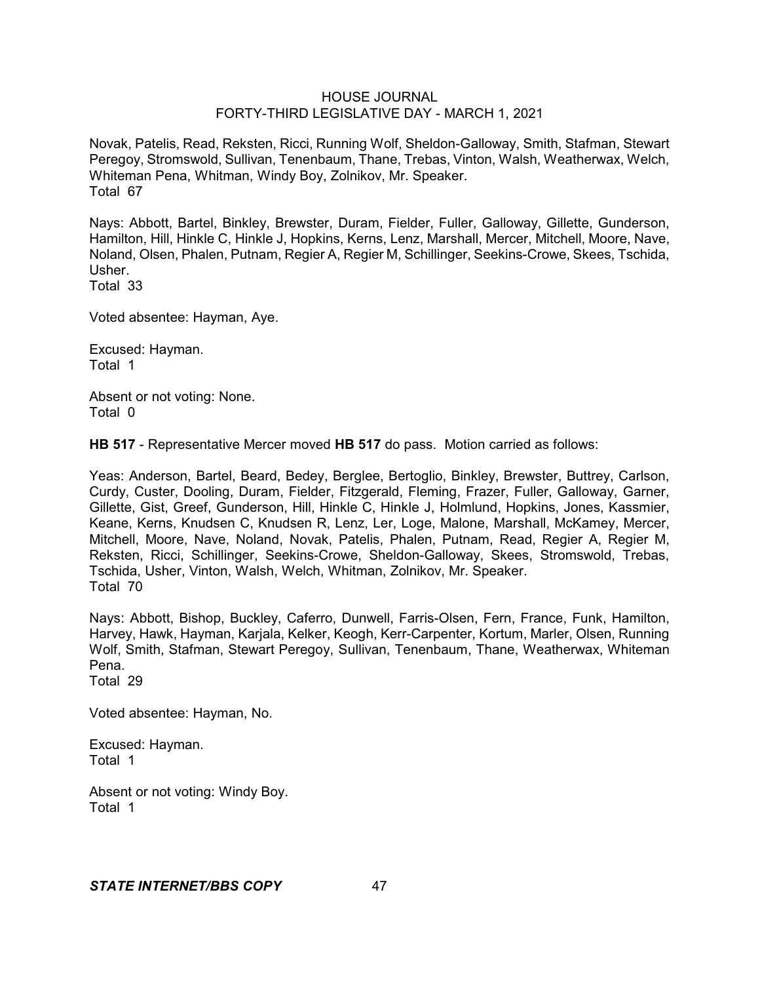Novak, Patelis, Read, Reksten, Ricci, Running Wolf, Sheldon-Galloway, Smith, Stafman, Stewart Peregoy, Stromswold, Sullivan, Tenenbaum, Thane, Trebas, Vinton, Walsh, Weatherwax, Welch, Whiteman Pena, Whitman, Windy Boy, Zolnikov, Mr. Speaker. Total 67

Nays: Abbott, Bartel, Binkley, Brewster, Duram, Fielder, Fuller, Galloway, Gillette, Gunderson, Hamilton, Hill, Hinkle C, Hinkle J, Hopkins, Kerns, Lenz, Marshall, Mercer, Mitchell, Moore, Nave, Noland, Olsen, Phalen, Putnam, Regier A, Regier M, Schillinger, Seekins-Crowe, Skees, Tschida, Usher.

Total 33

Voted absentee: Hayman, Aye.

Excused: Hayman. Total 1

Absent or not voting: None. Total 0

**HB 517** - Representative Mercer moved **HB 517** do pass. Motion carried as follows:

Yeas: Anderson, Bartel, Beard, Bedey, Berglee, Bertoglio, Binkley, Brewster, Buttrey, Carlson, Curdy, Custer, Dooling, Duram, Fielder, Fitzgerald, Fleming, Frazer, Fuller, Galloway, Garner, Gillette, Gist, Greef, Gunderson, Hill, Hinkle C, Hinkle J, Holmlund, Hopkins, Jones, Kassmier, Keane, Kerns, Knudsen C, Knudsen R, Lenz, Ler, Loge, Malone, Marshall, McKamey, Mercer, Mitchell, Moore, Nave, Noland, Novak, Patelis, Phalen, Putnam, Read, Regier A, Regier M, Reksten, Ricci, Schillinger, Seekins-Crowe, Sheldon-Galloway, Skees, Stromswold, Trebas, Tschida, Usher, Vinton, Walsh, Welch, Whitman, Zolnikov, Mr. Speaker. Total 70

Nays: Abbott, Bishop, Buckley, Caferro, Dunwell, Farris-Olsen, Fern, France, Funk, Hamilton, Harvey, Hawk, Hayman, Karjala, Kelker, Keogh, Kerr-Carpenter, Kortum, Marler, Olsen, Running Wolf, Smith, Stafman, Stewart Peregoy, Sullivan, Tenenbaum, Thane, Weatherwax, Whiteman Pena.

Total 29

Voted absentee: Hayman, No.

Excused: Hayman. Total 1

Absent or not voting: Windy Boy. Total 1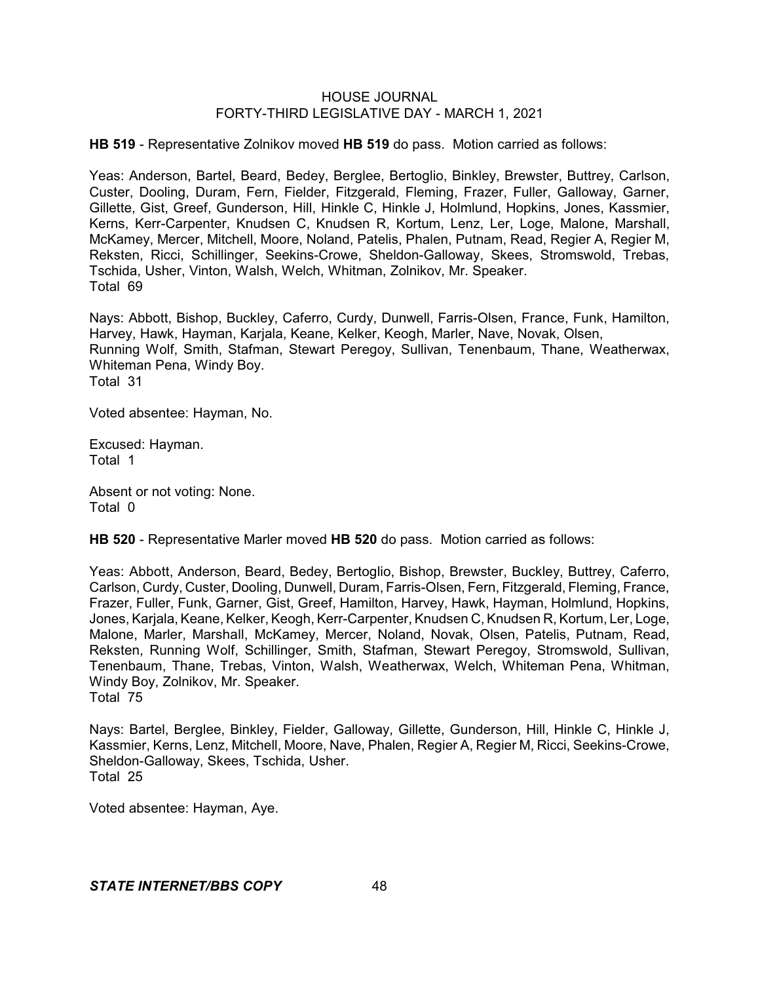**HB 519** - Representative Zolnikov moved **HB 519** do pass. Motion carried as follows:

Yeas: Anderson, Bartel, Beard, Bedey, Berglee, Bertoglio, Binkley, Brewster, Buttrey, Carlson, Custer, Dooling, Duram, Fern, Fielder, Fitzgerald, Fleming, Frazer, Fuller, Galloway, Garner, Gillette, Gist, Greef, Gunderson, Hill, Hinkle C, Hinkle J, Holmlund, Hopkins, Jones, Kassmier, Kerns, Kerr-Carpenter, Knudsen C, Knudsen R, Kortum, Lenz, Ler, Loge, Malone, Marshall, McKamey, Mercer, Mitchell, Moore, Noland, Patelis, Phalen, Putnam, Read, Regier A, Regier M, Reksten, Ricci, Schillinger, Seekins-Crowe, Sheldon-Galloway, Skees, Stromswold, Trebas, Tschida, Usher, Vinton, Walsh, Welch, Whitman, Zolnikov, Mr. Speaker. Total 69

Nays: Abbott, Bishop, Buckley, Caferro, Curdy, Dunwell, Farris-Olsen, France, Funk, Hamilton, Harvey, Hawk, Hayman, Karjala, Keane, Kelker, Keogh, Marler, Nave, Novak, Olsen, Running Wolf, Smith, Stafman, Stewart Peregoy, Sullivan, Tenenbaum, Thane, Weatherwax, Whiteman Pena, Windy Boy. Total 31

Voted absentee: Hayman, No.

Excused: Hayman. Total 1

Absent or not voting: None. Total 0

**HB 520** - Representative Marler moved **HB 520** do pass. Motion carried as follows:

Yeas: Abbott, Anderson, Beard, Bedey, Bertoglio, Bishop, Brewster, Buckley, Buttrey, Caferro, Carlson, Curdy, Custer, Dooling, Dunwell, Duram, Farris-Olsen, Fern, Fitzgerald, Fleming, France, Frazer, Fuller, Funk, Garner, Gist, Greef, Hamilton, Harvey, Hawk, Hayman, Holmlund, Hopkins, Jones, Karjala, Keane, Kelker, Keogh, Kerr-Carpenter, Knudsen C, Knudsen R, Kortum, Ler, Loge, Malone, Marler, Marshall, McKamey, Mercer, Noland, Novak, Olsen, Patelis, Putnam, Read, Reksten, Running Wolf, Schillinger, Smith, Stafman, Stewart Peregoy, Stromswold, Sullivan, Tenenbaum, Thane, Trebas, Vinton, Walsh, Weatherwax, Welch, Whiteman Pena, Whitman, Windy Boy, Zolnikov, Mr. Speaker. Total 75

Nays: Bartel, Berglee, Binkley, Fielder, Galloway, Gillette, Gunderson, Hill, Hinkle C, Hinkle J, Kassmier, Kerns, Lenz, Mitchell, Moore, Nave, Phalen, Regier A, Regier M, Ricci, Seekins-Crowe, Sheldon-Galloway, Skees, Tschida, Usher. Total 25

Voted absentee: Hayman, Aye.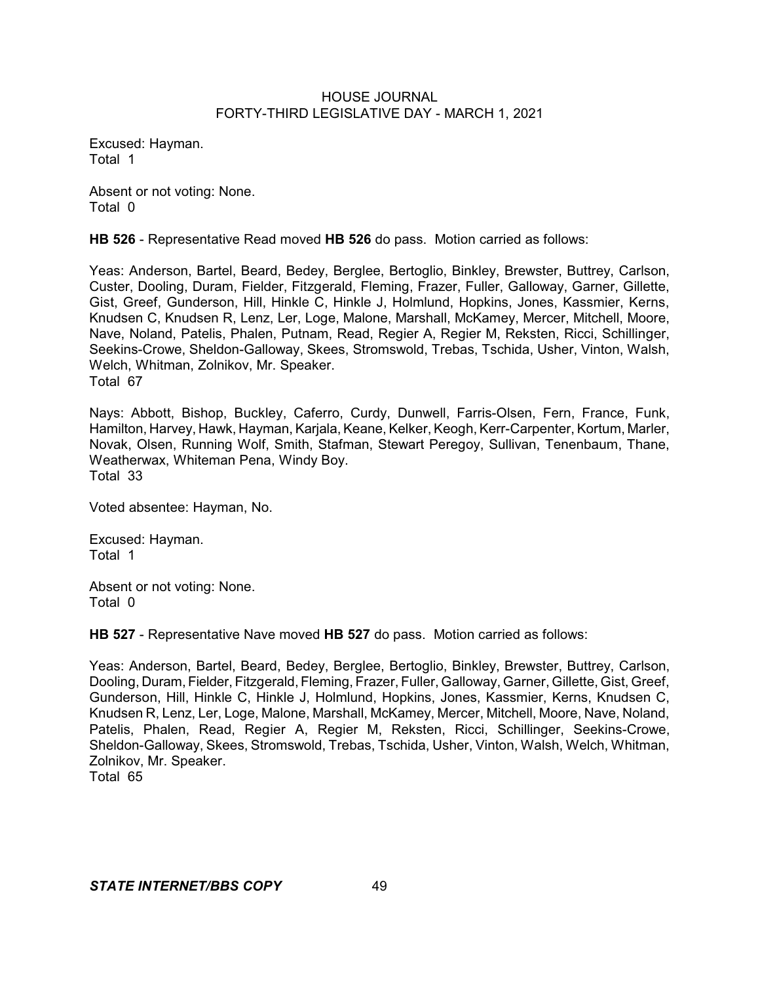Excused: Hayman. Total 1

Absent or not voting: None. Total 0

**HB 526** - Representative Read moved **HB 526** do pass. Motion carried as follows:

Yeas: Anderson, Bartel, Beard, Bedey, Berglee, Bertoglio, Binkley, Brewster, Buttrey, Carlson, Custer, Dooling, Duram, Fielder, Fitzgerald, Fleming, Frazer, Fuller, Galloway, Garner, Gillette, Gist, Greef, Gunderson, Hill, Hinkle C, Hinkle J, Holmlund, Hopkins, Jones, Kassmier, Kerns, Knudsen C, Knudsen R, Lenz, Ler, Loge, Malone, Marshall, McKamey, Mercer, Mitchell, Moore, Nave, Noland, Patelis, Phalen, Putnam, Read, Regier A, Regier M, Reksten, Ricci, Schillinger, Seekins-Crowe, Sheldon-Galloway, Skees, Stromswold, Trebas, Tschida, Usher, Vinton, Walsh, Welch, Whitman, Zolnikov, Mr. Speaker. Total 67

Nays: Abbott, Bishop, Buckley, Caferro, Curdy, Dunwell, Farris-Olsen, Fern, France, Funk, Hamilton, Harvey, Hawk, Hayman, Karjala, Keane, Kelker, Keogh, Kerr-Carpenter, Kortum, Marler, Novak, Olsen, Running Wolf, Smith, Stafman, Stewart Peregoy, Sullivan, Tenenbaum, Thane, Weatherwax, Whiteman Pena, Windy Boy. Total 33

Voted absentee: Hayman, No.

Excused: Hayman. Total 1

Absent or not voting: None. Total 0

**HB 527** - Representative Nave moved **HB 527** do pass. Motion carried as follows:

Yeas: Anderson, Bartel, Beard, Bedey, Berglee, Bertoglio, Binkley, Brewster, Buttrey, Carlson, Dooling, Duram, Fielder, Fitzgerald, Fleming, Frazer, Fuller, Galloway, Garner, Gillette, Gist, Greef, Gunderson, Hill, Hinkle C, Hinkle J, Holmlund, Hopkins, Jones, Kassmier, Kerns, Knudsen C, Knudsen R, Lenz, Ler, Loge, Malone, Marshall, McKamey, Mercer, Mitchell, Moore, Nave, Noland, Patelis, Phalen, Read, Regier A, Regier M, Reksten, Ricci, Schillinger, Seekins-Crowe, Sheldon-Galloway, Skees, Stromswold, Trebas, Tschida, Usher, Vinton, Walsh, Welch, Whitman, Zolnikov, Mr. Speaker.

Total 65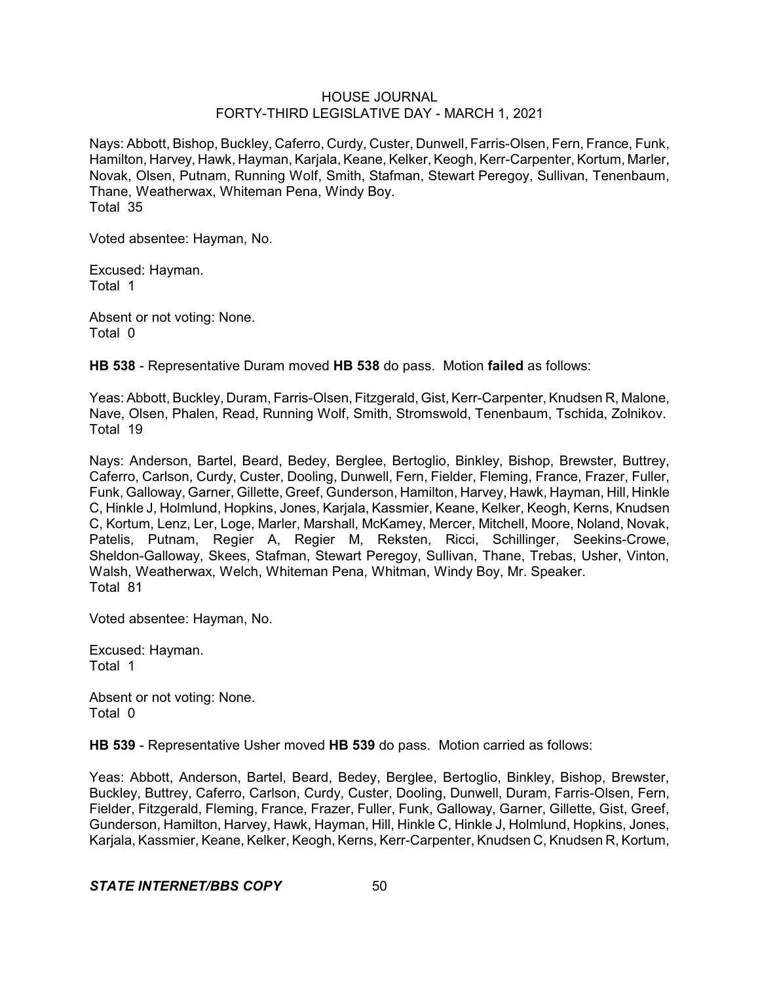Nays: Abbott, Bishop, Buckley, Caferro, Curdy, Custer, Dunwell, Farris-Olsen, Fern, France, Funk, Hamilton, Harvey, Hawk, Hayman, Karjala, Keane, Kelker, Keogh, Kerr-Carpenter, Kortum, Marler, Novak, Olsen, Putnam, Running Wolf, Smith, Stafman, Stewart Peregoy, Sullivan, Tenenbaum, Thane, Weatherwax, Whiteman Pena, Windy Boy. Total 35

Voted absentee: Hayman, No.

Excused: Hayman. Total 1

Absent or not voting: None. Total 0

**HB 538** - Representative Duram moved **HB 538** do pass. Motion **failed** as follows:

Yeas: Abbott, Buckley, Duram, Farris-Olsen, Fitzgerald, Gist, Kerr-Carpenter, Knudsen R, Malone, Nave, Olsen, Phalen, Read, Running Wolf, Smith, Stromswold, Tenenbaum, Tschida, Zolnikov. Total 19

Nays: Anderson, Bartel, Beard, Bedey, Berglee, Bertoglio, Binkley, Bishop, Brewster, Buttrey, Caferro, Carlson, Curdy, Custer, Dooling, Dunwell, Fern, Fielder, Fleming, France, Frazer, Fuller, Funk, Galloway, Garner, Gillette, Greef, Gunderson, Hamilton, Harvey, Hawk, Hayman, Hill, Hinkle C, Hinkle J, Holmlund, Hopkins, Jones, Karjala, Kassmier, Keane, Kelker, Keogh, Kerns, Knudsen C, Kortum, Lenz, Ler, Loge, Marler, Marshall, McKamey, Mercer, Mitchell, Moore, Noland, Novak, Patelis, Putnam, Regier A, Regier M, Reksten, Ricci, Schillinger, Seekins-Crowe, Sheldon-Galloway, Skees, Stafman, Stewart Peregoy, Sullivan, Thane, Trebas, Usher, Vinton, Walsh, Weatherwax, Welch, Whiteman Pena, Whitman, Windy Boy, Mr. Speaker. Total 81

Voted absentee: Hayman, No.

Excused: Hayman. Total 1

Absent or not voting: None. Total 0

**HB 539** - Representative Usher moved **HB 539** do pass. Motion carried as follows:

Yeas: Abbott, Anderson, Bartel, Beard, Bedey, Berglee, Bertoglio, Binkley, Bishop, Brewster, Buckley, Buttrey, Caferro, Carlson, Curdy, Custer, Dooling, Dunwell, Duram, Farris-Olsen, Fern, Fielder, Fitzgerald, Fleming, France, Frazer, Fuller, Funk, Galloway, Garner, Gillette, Gist, Greef, Gunderson, Hamilton, Harvey, Hawk, Hayman, Hill, Hinkle C, Hinkle J, Holmlund, Hopkins, Jones, Karjala, Kassmier, Keane, Kelker, Keogh, Kerns, Kerr-Carpenter, Knudsen C, Knudsen R, Kortum,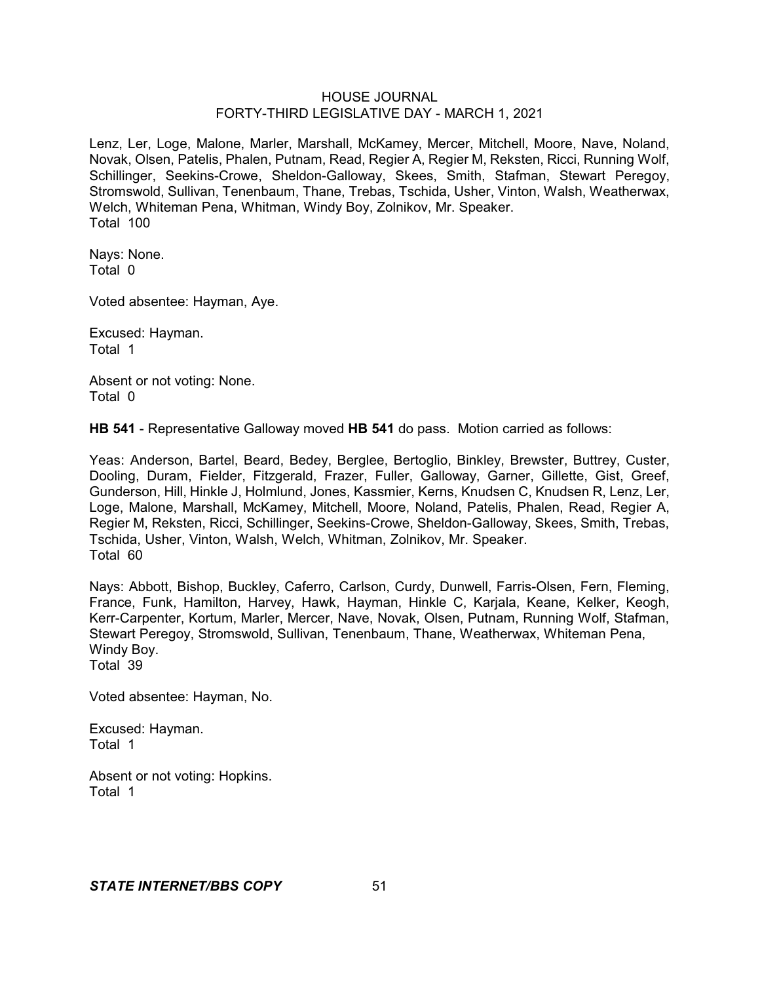Lenz, Ler, Loge, Malone, Marler, Marshall, McKamey, Mercer, Mitchell, Moore, Nave, Noland, Novak, Olsen, Patelis, Phalen, Putnam, Read, Regier A, Regier M, Reksten, Ricci, Running Wolf, Schillinger, Seekins-Crowe, Sheldon-Galloway, Skees, Smith, Stafman, Stewart Peregoy, Stromswold, Sullivan, Tenenbaum, Thane, Trebas, Tschida, Usher, Vinton, Walsh, Weatherwax, Welch, Whiteman Pena, Whitman, Windy Boy, Zolnikov, Mr. Speaker. Total 100

Nays: None. Total 0

Voted absentee: Hayman, Aye.

Excused: Hayman. Total 1

Absent or not voting: None. Total 0

**HB 541** - Representative Galloway moved **HB 541** do pass. Motion carried as follows:

Yeas: Anderson, Bartel, Beard, Bedey, Berglee, Bertoglio, Binkley, Brewster, Buttrey, Custer, Dooling, Duram, Fielder, Fitzgerald, Frazer, Fuller, Galloway, Garner, Gillette, Gist, Greef, Gunderson, Hill, Hinkle J, Holmlund, Jones, Kassmier, Kerns, Knudsen C, Knudsen R, Lenz, Ler, Loge, Malone, Marshall, McKamey, Mitchell, Moore, Noland, Patelis, Phalen, Read, Regier A, Regier M, Reksten, Ricci, Schillinger, Seekins-Crowe, Sheldon-Galloway, Skees, Smith, Trebas, Tschida, Usher, Vinton, Walsh, Welch, Whitman, Zolnikov, Mr. Speaker. Total 60

Nays: Abbott, Bishop, Buckley, Caferro, Carlson, Curdy, Dunwell, Farris-Olsen, Fern, Fleming, France, Funk, Hamilton, Harvey, Hawk, Hayman, Hinkle C, Karjala, Keane, Kelker, Keogh, Kerr-Carpenter, Kortum, Marler, Mercer, Nave, Novak, Olsen, Putnam, Running Wolf, Stafman, Stewart Peregoy, Stromswold, Sullivan, Tenenbaum, Thane, Weatherwax, Whiteman Pena, Windy Boy. Total 39

Voted absentee: Hayman, No.

Excused: Hayman. Total 1

Absent or not voting: Hopkins. Total 1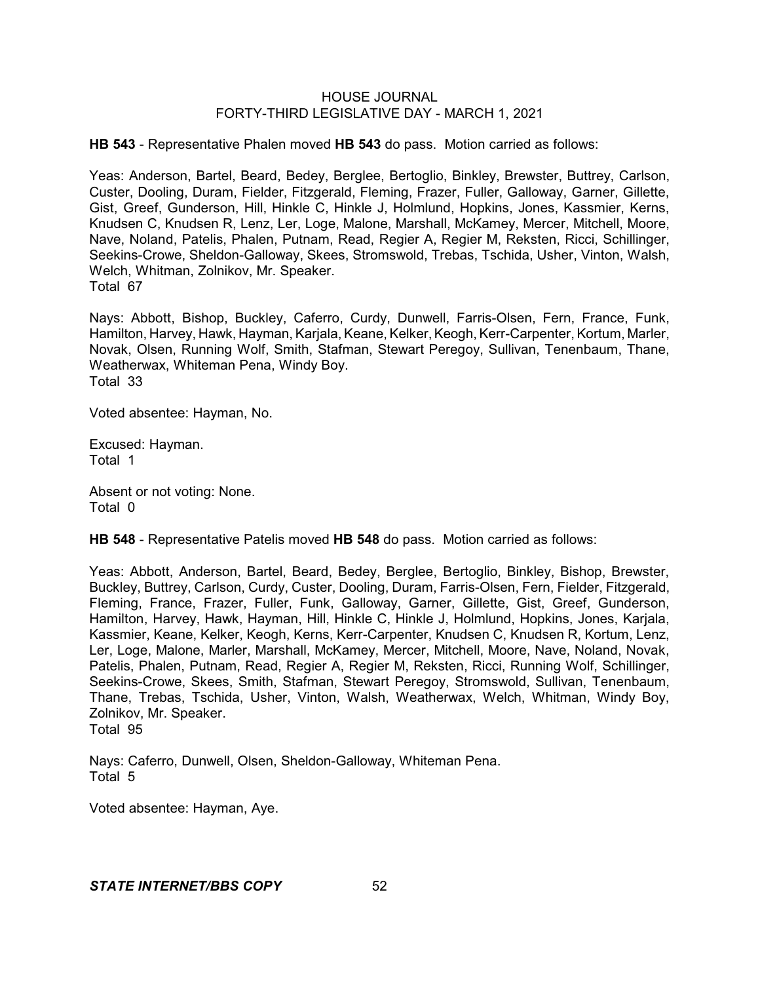**HB 543** - Representative Phalen moved **HB 543** do pass. Motion carried as follows:

Yeas: Anderson, Bartel, Beard, Bedey, Berglee, Bertoglio, Binkley, Brewster, Buttrey, Carlson, Custer, Dooling, Duram, Fielder, Fitzgerald, Fleming, Frazer, Fuller, Galloway, Garner, Gillette, Gist, Greef, Gunderson, Hill, Hinkle C, Hinkle J, Holmlund, Hopkins, Jones, Kassmier, Kerns, Knudsen C, Knudsen R, Lenz, Ler, Loge, Malone, Marshall, McKamey, Mercer, Mitchell, Moore, Nave, Noland, Patelis, Phalen, Putnam, Read, Regier A, Regier M, Reksten, Ricci, Schillinger, Seekins-Crowe, Sheldon-Galloway, Skees, Stromswold, Trebas, Tschida, Usher, Vinton, Walsh, Welch, Whitman, Zolnikov, Mr. Speaker. Total 67

Nays: Abbott, Bishop, Buckley, Caferro, Curdy, Dunwell, Farris-Olsen, Fern, France, Funk, Hamilton, Harvey, Hawk, Hayman, Karjala, Keane, Kelker, Keogh, Kerr-Carpenter, Kortum, Marler, Novak, Olsen, Running Wolf, Smith, Stafman, Stewart Peregoy, Sullivan, Tenenbaum, Thane, Weatherwax, Whiteman Pena, Windy Boy. Total 33

Voted absentee: Hayman, No.

Excused: Hayman. Total 1

Absent or not voting: None. Total 0

**HB 548** - Representative Patelis moved **HB 548** do pass. Motion carried as follows:

Yeas: Abbott, Anderson, Bartel, Beard, Bedey, Berglee, Bertoglio, Binkley, Bishop, Brewster, Buckley, Buttrey, Carlson, Curdy, Custer, Dooling, Duram, Farris-Olsen, Fern, Fielder, Fitzgerald, Fleming, France, Frazer, Fuller, Funk, Galloway, Garner, Gillette, Gist, Greef, Gunderson, Hamilton, Harvey, Hawk, Hayman, Hill, Hinkle C, Hinkle J, Holmlund, Hopkins, Jones, Karjala, Kassmier, Keane, Kelker, Keogh, Kerns, Kerr-Carpenter, Knudsen C, Knudsen R, Kortum, Lenz, Ler, Loge, Malone, Marler, Marshall, McKamey, Mercer, Mitchell, Moore, Nave, Noland, Novak, Patelis, Phalen, Putnam, Read, Regier A, Regier M, Reksten, Ricci, Running Wolf, Schillinger, Seekins-Crowe, Skees, Smith, Stafman, Stewart Peregoy, Stromswold, Sullivan, Tenenbaum, Thane, Trebas, Tschida, Usher, Vinton, Walsh, Weatherwax, Welch, Whitman, Windy Boy, Zolnikov, Mr. Speaker. Total 95

Nays: Caferro, Dunwell, Olsen, Sheldon-Galloway, Whiteman Pena. Total 5

Voted absentee: Hayman, Aye.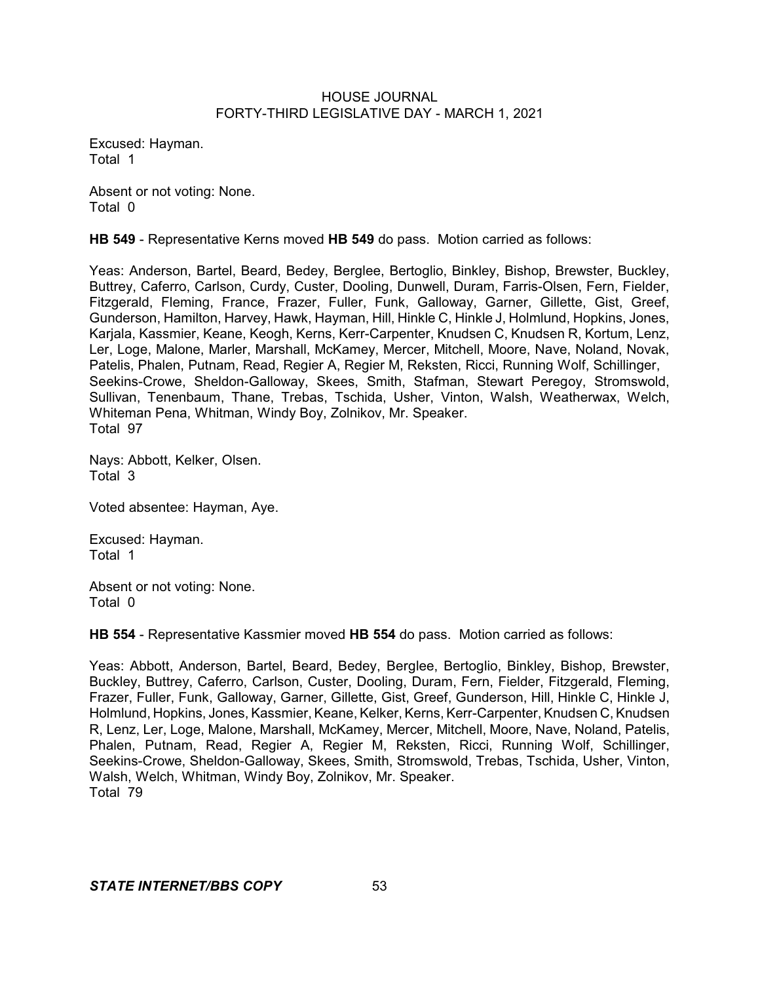Excused: Hayman. Total 1

Absent or not voting: None. Total 0

**HB 549** - Representative Kerns moved **HB 549** do pass. Motion carried as follows:

Yeas: Anderson, Bartel, Beard, Bedey, Berglee, Bertoglio, Binkley, Bishop, Brewster, Buckley, Buttrey, Caferro, Carlson, Curdy, Custer, Dooling, Dunwell, Duram, Farris-Olsen, Fern, Fielder, Fitzgerald, Fleming, France, Frazer, Fuller, Funk, Galloway, Garner, Gillette, Gist, Greef, Gunderson, Hamilton, Harvey, Hawk, Hayman, Hill, Hinkle C, Hinkle J, Holmlund, Hopkins, Jones, Karjala, Kassmier, Keane, Keogh, Kerns, Kerr-Carpenter, Knudsen C, Knudsen R, Kortum, Lenz, Ler, Loge, Malone, Marler, Marshall, McKamey, Mercer, Mitchell, Moore, Nave, Noland, Novak, Patelis, Phalen, Putnam, Read, Regier A, Regier M, Reksten, Ricci, Running Wolf, Schillinger, Seekins-Crowe, Sheldon-Galloway, Skees, Smith, Stafman, Stewart Peregoy, Stromswold, Sullivan, Tenenbaum, Thane, Trebas, Tschida, Usher, Vinton, Walsh, Weatherwax, Welch, Whiteman Pena, Whitman, Windy Boy, Zolnikov, Mr. Speaker. Total 97

Nays: Abbott, Kelker, Olsen. Total 3

Voted absentee: Hayman, Aye.

Excused: Hayman. Total 1

Absent or not voting: None. Total 0

**HB 554** - Representative Kassmier moved **HB 554** do pass. Motion carried as follows:

Yeas: Abbott, Anderson, Bartel, Beard, Bedey, Berglee, Bertoglio, Binkley, Bishop, Brewster, Buckley, Buttrey, Caferro, Carlson, Custer, Dooling, Duram, Fern, Fielder, Fitzgerald, Fleming, Frazer, Fuller, Funk, Galloway, Garner, Gillette, Gist, Greef, Gunderson, Hill, Hinkle C, Hinkle J, Holmlund, Hopkins, Jones, Kassmier, Keane, Kelker, Kerns, Kerr-Carpenter, Knudsen C, Knudsen R, Lenz, Ler, Loge, Malone, Marshall, McKamey, Mercer, Mitchell, Moore, Nave, Noland, Patelis, Phalen, Putnam, Read, Regier A, Regier M, Reksten, Ricci, Running Wolf, Schillinger, Seekins-Crowe, Sheldon-Galloway, Skees, Smith, Stromswold, Trebas, Tschida, Usher, Vinton, Walsh, Welch, Whitman, Windy Boy, Zolnikov, Mr. Speaker. Total 79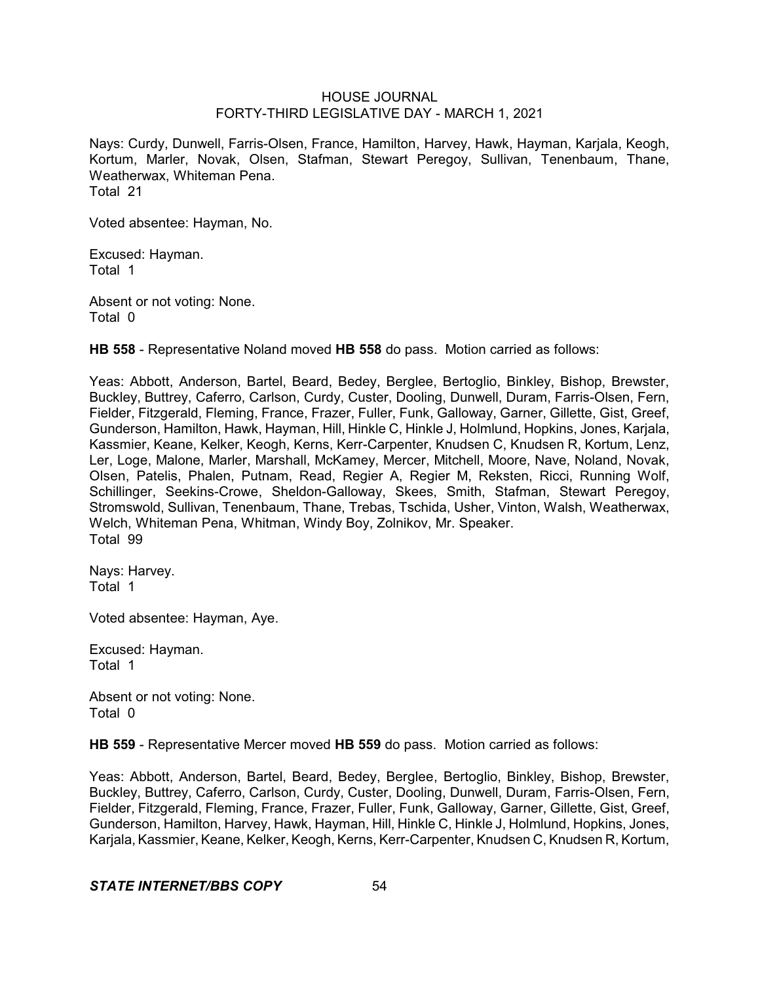Nays: Curdy, Dunwell, Farris-Olsen, France, Hamilton, Harvey, Hawk, Hayman, Karjala, Keogh, Kortum, Marler, Novak, Olsen, Stafman, Stewart Peregoy, Sullivan, Tenenbaum, Thane, Weatherwax, Whiteman Pena. Total 21

Voted absentee: Hayman, No.

Excused: Hayman. Total 1

Absent or not voting: None. Total 0

**HB 558** - Representative Noland moved **HB 558** do pass. Motion carried as follows:

Yeas: Abbott, Anderson, Bartel, Beard, Bedey, Berglee, Bertoglio, Binkley, Bishop, Brewster, Buckley, Buttrey, Caferro, Carlson, Curdy, Custer, Dooling, Dunwell, Duram, Farris-Olsen, Fern, Fielder, Fitzgerald, Fleming, France, Frazer, Fuller, Funk, Galloway, Garner, Gillette, Gist, Greef, Gunderson, Hamilton, Hawk, Hayman, Hill, Hinkle C, Hinkle J, Holmlund, Hopkins, Jones, Karjala, Kassmier, Keane, Kelker, Keogh, Kerns, Kerr-Carpenter, Knudsen C, Knudsen R, Kortum, Lenz, Ler, Loge, Malone, Marler, Marshall, McKamey, Mercer, Mitchell, Moore, Nave, Noland, Novak, Olsen, Patelis, Phalen, Putnam, Read, Regier A, Regier M, Reksten, Ricci, Running Wolf, Schillinger, Seekins-Crowe, Sheldon-Galloway, Skees, Smith, Stafman, Stewart Peregoy, Stromswold, Sullivan, Tenenbaum, Thane, Trebas, Tschida, Usher, Vinton, Walsh, Weatherwax, Welch, Whiteman Pena, Whitman, Windy Boy, Zolnikov, Mr. Speaker. Total 99

Nays: Harvey. Total 1

Voted absentee: Hayman, Aye.

Excused: Hayman. Total 1

Absent or not voting: None. Total 0

**HB 559** - Representative Mercer moved **HB 559** do pass. Motion carried as follows:

Yeas: Abbott, Anderson, Bartel, Beard, Bedey, Berglee, Bertoglio, Binkley, Bishop, Brewster, Buckley, Buttrey, Caferro, Carlson, Curdy, Custer, Dooling, Dunwell, Duram, Farris-Olsen, Fern, Fielder, Fitzgerald, Fleming, France, Frazer, Fuller, Funk, Galloway, Garner, Gillette, Gist, Greef, Gunderson, Hamilton, Harvey, Hawk, Hayman, Hill, Hinkle C, Hinkle J, Holmlund, Hopkins, Jones, Karjala, Kassmier, Keane, Kelker, Keogh, Kerns, Kerr-Carpenter, Knudsen C, Knudsen R, Kortum,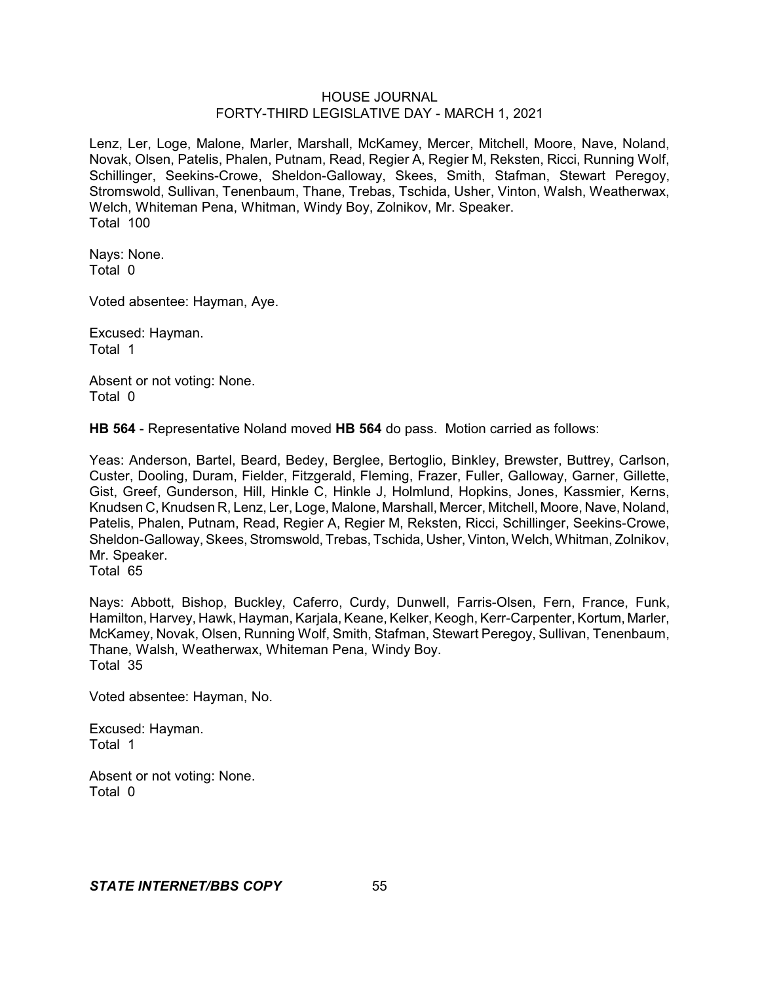Lenz, Ler, Loge, Malone, Marler, Marshall, McKamey, Mercer, Mitchell, Moore, Nave, Noland, Novak, Olsen, Patelis, Phalen, Putnam, Read, Regier A, Regier M, Reksten, Ricci, Running Wolf, Schillinger, Seekins-Crowe, Sheldon-Galloway, Skees, Smith, Stafman, Stewart Peregoy, Stromswold, Sullivan, Tenenbaum, Thane, Trebas, Tschida, Usher, Vinton, Walsh, Weatherwax, Welch, Whiteman Pena, Whitman, Windy Boy, Zolnikov, Mr. Speaker. Total 100

Nays: None. Total 0

Voted absentee: Hayman, Aye.

Excused: Hayman. Total 1

Absent or not voting: None. Total 0

**HB 564** - Representative Noland moved **HB 564** do pass. Motion carried as follows:

Yeas: Anderson, Bartel, Beard, Bedey, Berglee, Bertoglio, Binkley, Brewster, Buttrey, Carlson, Custer, Dooling, Duram, Fielder, Fitzgerald, Fleming, Frazer, Fuller, Galloway, Garner, Gillette, Gist, Greef, Gunderson, Hill, Hinkle C, Hinkle J, Holmlund, Hopkins, Jones, Kassmier, Kerns, Knudsen C, Knudsen R, Lenz, Ler, Loge, Malone, Marshall, Mercer, Mitchell, Moore, Nave, Noland, Patelis, Phalen, Putnam, Read, Regier A, Regier M, Reksten, Ricci, Schillinger, Seekins-Crowe, Sheldon-Galloway, Skees, Stromswold, Trebas, Tschida, Usher, Vinton, Welch, Whitman, Zolnikov, Mr. Speaker.

Total 65

Nays: Abbott, Bishop, Buckley, Caferro, Curdy, Dunwell, Farris-Olsen, Fern, France, Funk, Hamilton, Harvey, Hawk, Hayman, Karjala, Keane, Kelker, Keogh, Kerr-Carpenter, Kortum, Marler, McKamey, Novak, Olsen, Running Wolf, Smith, Stafman, Stewart Peregoy, Sullivan, Tenenbaum, Thane, Walsh, Weatherwax, Whiteman Pena, Windy Boy. Total 35

Voted absentee: Hayman, No.

Excused: Hayman. Total 1

Absent or not voting: None. Total 0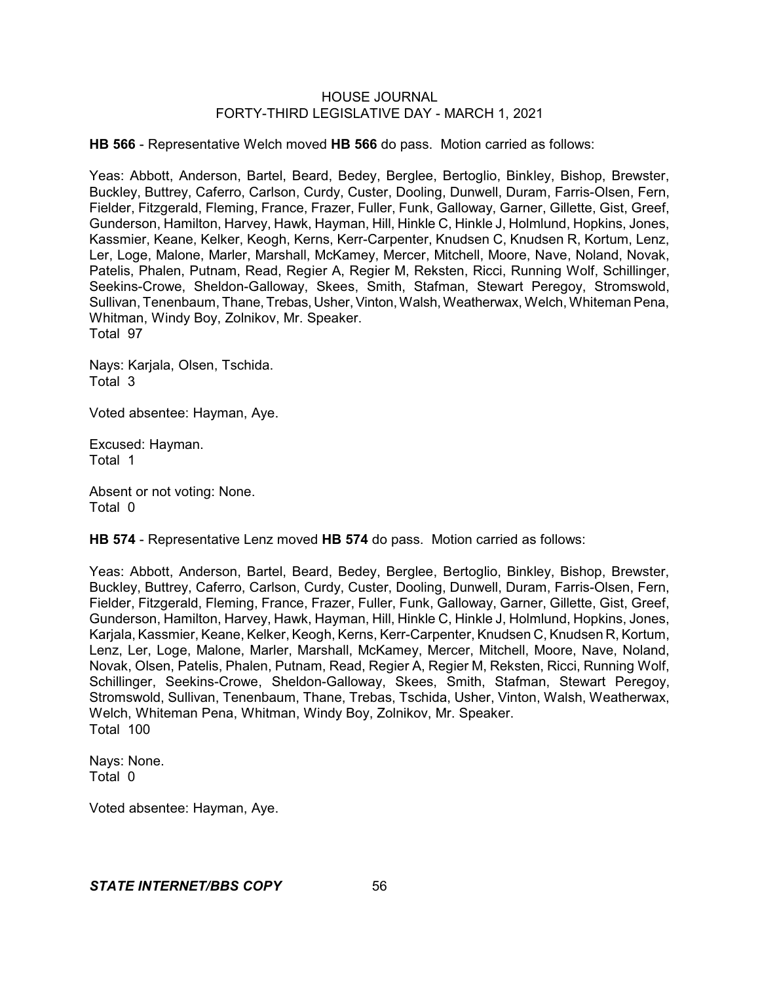**HB 566** - Representative Welch moved **HB 566** do pass. Motion carried as follows:

Yeas: Abbott, Anderson, Bartel, Beard, Bedey, Berglee, Bertoglio, Binkley, Bishop, Brewster, Buckley, Buttrey, Caferro, Carlson, Curdy, Custer, Dooling, Dunwell, Duram, Farris-Olsen, Fern, Fielder, Fitzgerald, Fleming, France, Frazer, Fuller, Funk, Galloway, Garner, Gillette, Gist, Greef, Gunderson, Hamilton, Harvey, Hawk, Hayman, Hill, Hinkle C, Hinkle J, Holmlund, Hopkins, Jones, Kassmier, Keane, Kelker, Keogh, Kerns, Kerr-Carpenter, Knudsen C, Knudsen R, Kortum, Lenz, Ler, Loge, Malone, Marler, Marshall, McKamey, Mercer, Mitchell, Moore, Nave, Noland, Novak, Patelis, Phalen, Putnam, Read, Regier A, Regier M, Reksten, Ricci, Running Wolf, Schillinger, Seekins-Crowe, Sheldon-Galloway, Skees, Smith, Stafman, Stewart Peregoy, Stromswold, Sullivan, Tenenbaum, Thane, Trebas, Usher, Vinton, Walsh, Weatherwax, Welch, Whiteman Pena, Whitman, Windy Boy, Zolnikov, Mr. Speaker. Total 97

Nays: Karjala, Olsen, Tschida. Total 3

Voted absentee: Hayman, Aye.

Excused: Hayman. Total 1

Absent or not voting: None. Total 0

**HB 574** - Representative Lenz moved **HB 574** do pass. Motion carried as follows:

Yeas: Abbott, Anderson, Bartel, Beard, Bedey, Berglee, Bertoglio, Binkley, Bishop, Brewster, Buckley, Buttrey, Caferro, Carlson, Curdy, Custer, Dooling, Dunwell, Duram, Farris-Olsen, Fern, Fielder, Fitzgerald, Fleming, France, Frazer, Fuller, Funk, Galloway, Garner, Gillette, Gist, Greef, Gunderson, Hamilton, Harvey, Hawk, Hayman, Hill, Hinkle C, Hinkle J, Holmlund, Hopkins, Jones, Karjala, Kassmier, Keane, Kelker, Keogh, Kerns, Kerr-Carpenter, Knudsen C, Knudsen R, Kortum, Lenz, Ler, Loge, Malone, Marler, Marshall, McKamey, Mercer, Mitchell, Moore, Nave, Noland, Novak, Olsen, Patelis, Phalen, Putnam, Read, Regier A, Regier M, Reksten, Ricci, Running Wolf, Schillinger, Seekins-Crowe, Sheldon-Galloway, Skees, Smith, Stafman, Stewart Peregoy, Stromswold, Sullivan, Tenenbaum, Thane, Trebas, Tschida, Usher, Vinton, Walsh, Weatherwax, Welch, Whiteman Pena, Whitman, Windy Boy, Zolnikov, Mr. Speaker. Total 100

Nays: None. Total 0

Voted absentee: Hayman, Aye.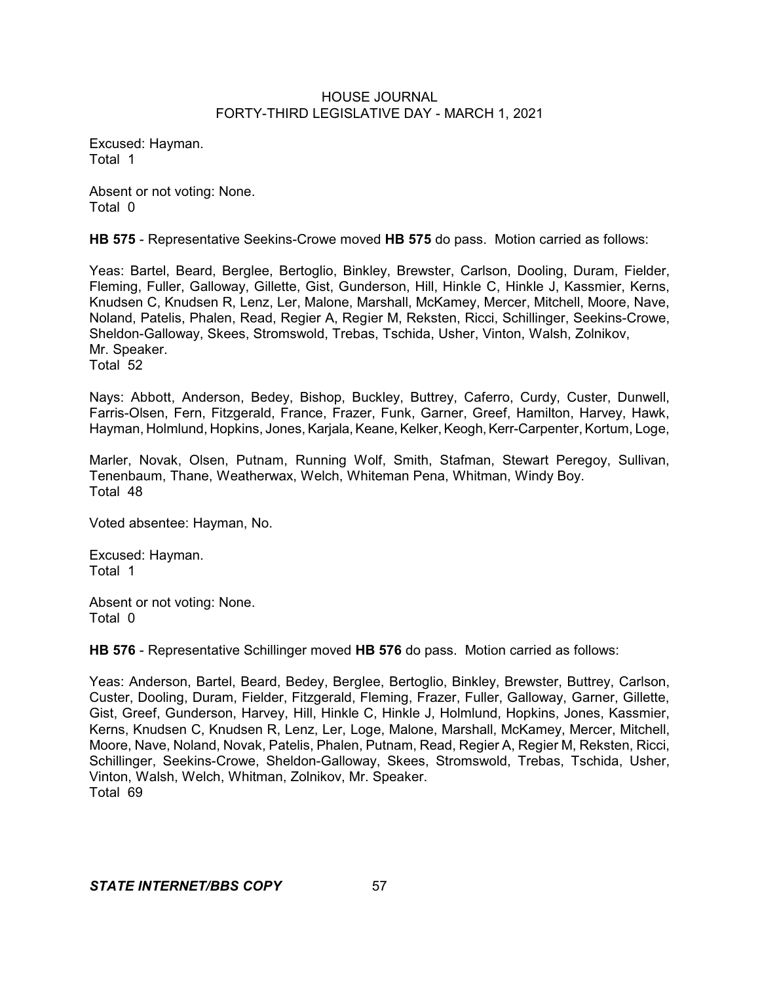Excused: Hayman. Total 1

Absent or not voting: None. Total 0

**HB 575** - Representative Seekins-Crowe moved **HB 575** do pass. Motion carried as follows:

Yeas: Bartel, Beard, Berglee, Bertoglio, Binkley, Brewster, Carlson, Dooling, Duram, Fielder, Fleming, Fuller, Galloway, Gillette, Gist, Gunderson, Hill, Hinkle C, Hinkle J, Kassmier, Kerns, Knudsen C, Knudsen R, Lenz, Ler, Malone, Marshall, McKamey, Mercer, Mitchell, Moore, Nave, Noland, Patelis, Phalen, Read, Regier A, Regier M, Reksten, Ricci, Schillinger, Seekins-Crowe, Sheldon-Galloway, Skees, Stromswold, Trebas, Tschida, Usher, Vinton, Walsh, Zolnikov, Mr. Speaker. Total 52

Nays: Abbott, Anderson, Bedey, Bishop, Buckley, Buttrey, Caferro, Curdy, Custer, Dunwell, Farris-Olsen, Fern, Fitzgerald, France, Frazer, Funk, Garner, Greef, Hamilton, Harvey, Hawk, Hayman, Holmlund, Hopkins, Jones, Karjala, Keane, Kelker, Keogh, Kerr-Carpenter, Kortum, Loge,

Marler, Novak, Olsen, Putnam, Running Wolf, Smith, Stafman, Stewart Peregoy, Sullivan, Tenenbaum, Thane, Weatherwax, Welch, Whiteman Pena, Whitman, Windy Boy. Total 48

Voted absentee: Hayman, No.

Excused: Hayman. Total 1

Absent or not voting: None. Total 0

**HB 576** - Representative Schillinger moved **HB 576** do pass. Motion carried as follows:

Yeas: Anderson, Bartel, Beard, Bedey, Berglee, Bertoglio, Binkley, Brewster, Buttrey, Carlson, Custer, Dooling, Duram, Fielder, Fitzgerald, Fleming, Frazer, Fuller, Galloway, Garner, Gillette, Gist, Greef, Gunderson, Harvey, Hill, Hinkle C, Hinkle J, Holmlund, Hopkins, Jones, Kassmier, Kerns, Knudsen C, Knudsen R, Lenz, Ler, Loge, Malone, Marshall, McKamey, Mercer, Mitchell, Moore, Nave, Noland, Novak, Patelis, Phalen, Putnam, Read, Regier A, Regier M, Reksten, Ricci, Schillinger, Seekins-Crowe, Sheldon-Galloway, Skees, Stromswold, Trebas, Tschida, Usher, Vinton, Walsh, Welch, Whitman, Zolnikov, Mr. Speaker. Total 69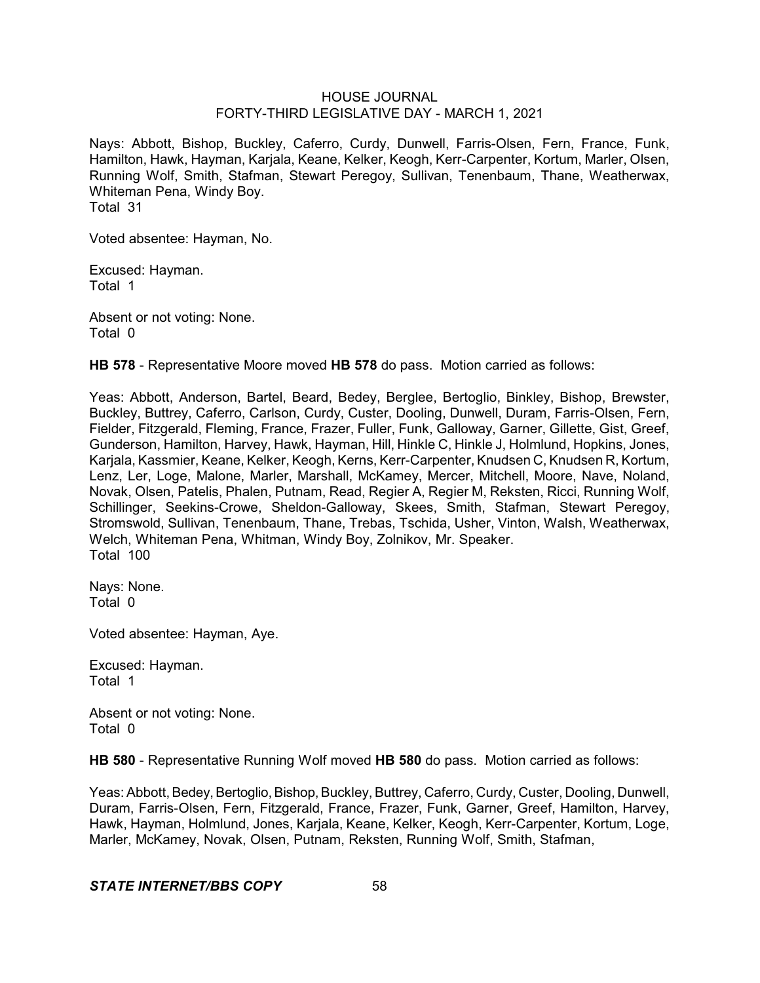Nays: Abbott, Bishop, Buckley, Caferro, Curdy, Dunwell, Farris-Olsen, Fern, France, Funk, Hamilton, Hawk, Hayman, Karjala, Keane, Kelker, Keogh, Kerr-Carpenter, Kortum, Marler, Olsen, Running Wolf, Smith, Stafman, Stewart Peregoy, Sullivan, Tenenbaum, Thane, Weatherwax, Whiteman Pena, Windy Boy. Total 31

Voted absentee: Hayman, No.

Excused: Hayman. Total 1

Absent or not voting: None. Total 0

**HB 578** - Representative Moore moved **HB 578** do pass. Motion carried as follows:

Yeas: Abbott, Anderson, Bartel, Beard, Bedey, Berglee, Bertoglio, Binkley, Bishop, Brewster, Buckley, Buttrey, Caferro, Carlson, Curdy, Custer, Dooling, Dunwell, Duram, Farris-Olsen, Fern, Fielder, Fitzgerald, Fleming, France, Frazer, Fuller, Funk, Galloway, Garner, Gillette, Gist, Greef, Gunderson, Hamilton, Harvey, Hawk, Hayman, Hill, Hinkle C, Hinkle J, Holmlund, Hopkins, Jones, Karjala, Kassmier, Keane, Kelker, Keogh, Kerns, Kerr-Carpenter, Knudsen C, Knudsen R, Kortum, Lenz, Ler, Loge, Malone, Marler, Marshall, McKamey, Mercer, Mitchell, Moore, Nave, Noland, Novak, Olsen, Patelis, Phalen, Putnam, Read, Regier A, Regier M, Reksten, Ricci, Running Wolf, Schillinger, Seekins-Crowe, Sheldon-Galloway, Skees, Smith, Stafman, Stewart Peregoy. Stromswold, Sullivan, Tenenbaum, Thane, Trebas, Tschida, Usher, Vinton, Walsh, Weatherwax, Welch, Whiteman Pena, Whitman, Windy Boy, Zolnikov, Mr. Speaker. Total 100

Nays: None. Total 0

Voted absentee: Hayman, Aye.

Excused: Hayman. Total 1

Absent or not voting: None. Total 0

**HB 580** - Representative Running Wolf moved **HB 580** do pass. Motion carried as follows:

Yeas: Abbott, Bedey, Bertoglio, Bishop, Buckley, Buttrey, Caferro, Curdy, Custer, Dooling, Dunwell, Duram, Farris-Olsen, Fern, Fitzgerald, France, Frazer, Funk, Garner, Greef, Hamilton, Harvey, Hawk, Hayman, Holmlund, Jones, Karjala, Keane, Kelker, Keogh, Kerr-Carpenter, Kortum, Loge, Marler, McKamey, Novak, Olsen, Putnam, Reksten, Running Wolf, Smith, Stafman,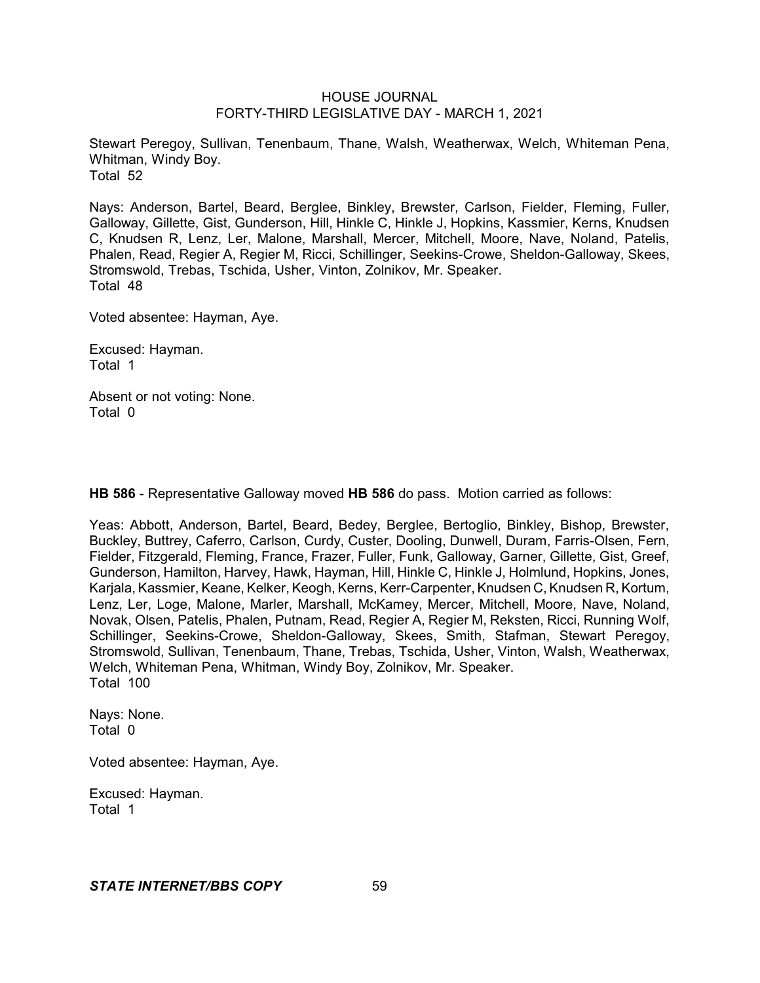Stewart Peregoy, Sullivan, Tenenbaum, Thane, Walsh, Weatherwax, Welch, Whiteman Pena, Whitman, Windy Boy. Total 52

Nays: Anderson, Bartel, Beard, Berglee, Binkley, Brewster, Carlson, Fielder, Fleming, Fuller, Galloway, Gillette, Gist, Gunderson, Hill, Hinkle C, Hinkle J, Hopkins, Kassmier, Kerns, Knudsen C, Knudsen R, Lenz, Ler, Malone, Marshall, Mercer, Mitchell, Moore, Nave, Noland, Patelis, Phalen, Read, Regier A, Regier M, Ricci, Schillinger, Seekins-Crowe, Sheldon-Galloway, Skees, Stromswold, Trebas, Tschida, Usher, Vinton, Zolnikov, Mr. Speaker. Total 48

Voted absentee: Hayman, Aye.

Excused: Hayman. Total 1

Absent or not voting: None. Total 0

**HB 586** - Representative Galloway moved **HB 586** do pass. Motion carried as follows:

Yeas: Abbott, Anderson, Bartel, Beard, Bedey, Berglee, Bertoglio, Binkley, Bishop, Brewster, Buckley, Buttrey, Caferro, Carlson, Curdy, Custer, Dooling, Dunwell, Duram, Farris-Olsen, Fern, Fielder, Fitzgerald, Fleming, France, Frazer, Fuller, Funk, Galloway, Garner, Gillette, Gist, Greef, Gunderson, Hamilton, Harvey, Hawk, Hayman, Hill, Hinkle C, Hinkle J, Holmlund, Hopkins, Jones, Karjala, Kassmier, Keane, Kelker, Keogh, Kerns, Kerr-Carpenter, Knudsen C, Knudsen R, Kortum, Lenz, Ler, Loge, Malone, Marler, Marshall, McKamey, Mercer, Mitchell, Moore, Nave, Noland, Novak, Olsen, Patelis, Phalen, Putnam, Read, Regier A, Regier M, Reksten, Ricci, Running Wolf, Schillinger, Seekins-Crowe, Sheldon-Galloway, Skees, Smith, Stafman, Stewart Peregoy, Stromswold, Sullivan, Tenenbaum, Thane, Trebas, Tschida, Usher, Vinton, Walsh, Weatherwax, Welch, Whiteman Pena, Whitman, Windy Boy, Zolnikov, Mr. Speaker. Total 100

Nays: None. Total 0

Voted absentee: Hayman, Aye.

Excused: Hayman. Total 1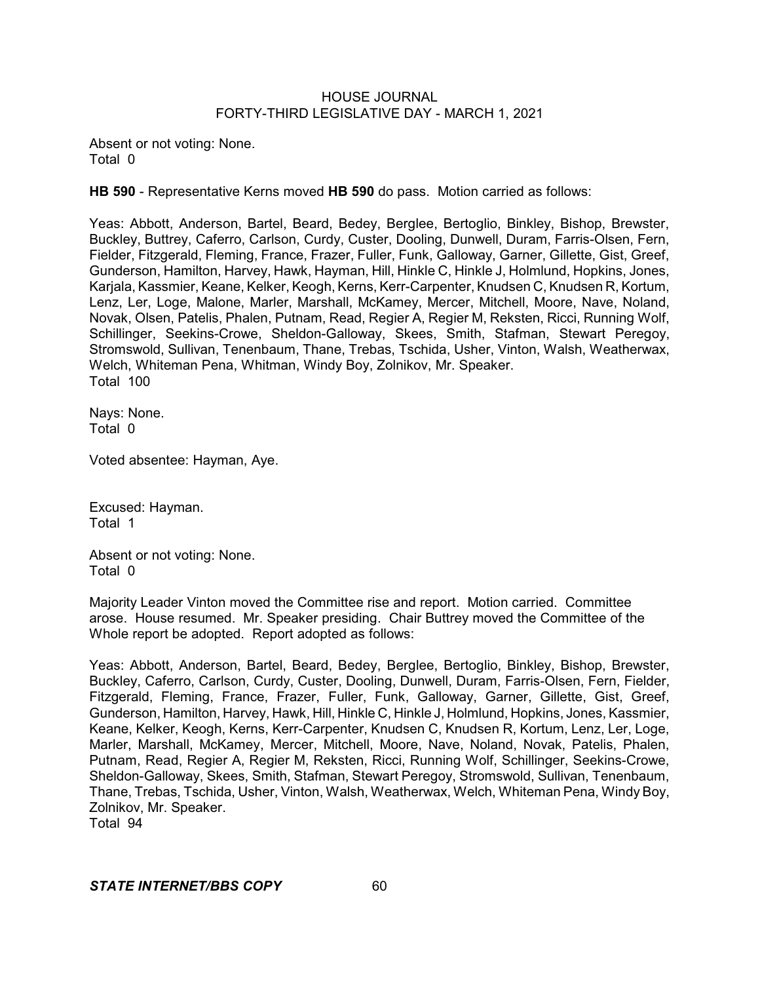Absent or not voting: None. Total 0

**HB 590** - Representative Kerns moved **HB 590** do pass. Motion carried as follows:

Yeas: Abbott, Anderson, Bartel, Beard, Bedey, Berglee, Bertoglio, Binkley, Bishop, Brewster, Buckley, Buttrey, Caferro, Carlson, Curdy, Custer, Dooling, Dunwell, Duram, Farris-Olsen, Fern, Fielder, Fitzgerald, Fleming, France, Frazer, Fuller, Funk, Galloway, Garner, Gillette, Gist, Greef, Gunderson, Hamilton, Harvey, Hawk, Hayman, Hill, Hinkle C, Hinkle J, Holmlund, Hopkins, Jones, Karjala, Kassmier, Keane, Kelker, Keogh, Kerns, Kerr-Carpenter, Knudsen C, Knudsen R, Kortum, Lenz, Ler, Loge, Malone, Marler, Marshall, McKamey, Mercer, Mitchell, Moore, Nave, Noland, Novak, Olsen, Patelis, Phalen, Putnam, Read, Regier A, Regier M, Reksten, Ricci, Running Wolf, Schillinger, Seekins-Crowe, Sheldon-Galloway, Skees, Smith, Stafman, Stewart Peregoy, Stromswold, Sullivan, Tenenbaum, Thane, Trebas, Tschida, Usher, Vinton, Walsh, Weatherwax, Welch, Whiteman Pena, Whitman, Windy Boy, Zolnikov, Mr. Speaker. Total 100

Nays: None. Total 0

Voted absentee: Hayman, Aye.

Excused: Hayman. Total 1

Absent or not voting: None. Total 0

Majority Leader Vinton moved the Committee rise and report. Motion carried. Committee arose. House resumed. Mr. Speaker presiding. Chair Buttrey moved the Committee of the Whole report be adopted. Report adopted as follows:

Yeas: Abbott, Anderson, Bartel, Beard, Bedey, Berglee, Bertoglio, Binkley, Bishop, Brewster, Buckley, Caferro, Carlson, Curdy, Custer, Dooling, Dunwell, Duram, Farris-Olsen, Fern, Fielder, Fitzgerald, Fleming, France, Frazer, Fuller, Funk, Galloway, Garner, Gillette, Gist, Greef, Gunderson, Hamilton, Harvey, Hawk, Hill, Hinkle C, Hinkle J, Holmlund, Hopkins, Jones, Kassmier, Keane, Kelker, Keogh, Kerns, Kerr-Carpenter, Knudsen C, Knudsen R, Kortum, Lenz, Ler, Loge, Marler, Marshall, McKamey, Mercer, Mitchell, Moore, Nave, Noland, Novak, Patelis, Phalen, Putnam, Read, Regier A, Regier M, Reksten, Ricci, Running Wolf, Schillinger, Seekins-Crowe, Sheldon-Galloway, Skees, Smith, Stafman, Stewart Peregoy, Stromswold, Sullivan, Tenenbaum, Thane, Trebas, Tschida, Usher, Vinton, Walsh, Weatherwax, Welch, Whiteman Pena, Windy Boy, Zolnikov, Mr. Speaker. Total 94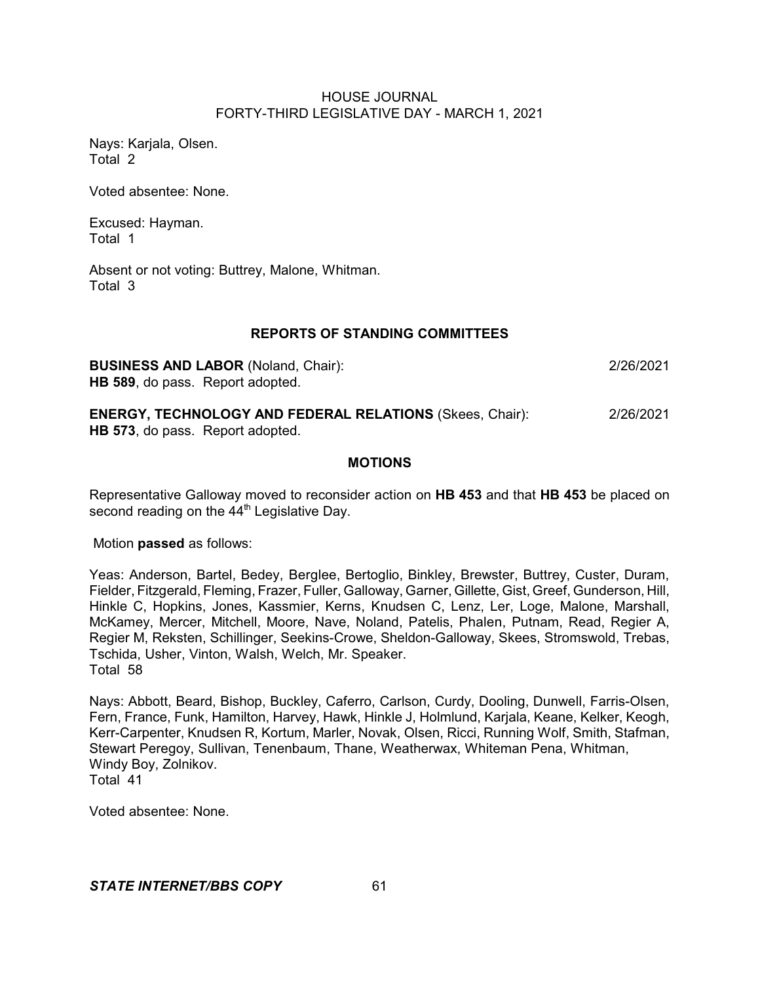Nays: Karjala, Olsen. Total 2

Voted absentee: None.

Excused: Hayman. Total 1

Absent or not voting: Buttrey, Malone, Whitman. Total 3

# **REPORTS OF STANDING COMMITTEES**

**BUSINESS AND LABOR** (Noland, Chair): 2/26/2021 **HB 589**, do pass. Report adopted.

**ENERGY, TECHNOLOGY AND FEDERAL RELATIONS** (Skees, Chair): 2/26/2021 **HB 573**, do pass. Report adopted.

# **MOTIONS**

Representative Galloway moved to reconsider action on **HB 453** and that **HB 453** be placed on second reading on the 44<sup>th</sup> Legislative Day.

Motion **passed** as follows:

Yeas: Anderson, Bartel, Bedey, Berglee, Bertoglio, Binkley, Brewster, Buttrey, Custer, Duram, Fielder, Fitzgerald, Fleming, Frazer, Fuller, Galloway, Garner, Gillette, Gist, Greef, Gunderson, Hill, Hinkle C, Hopkins, Jones, Kassmier, Kerns, Knudsen C, Lenz, Ler, Loge, Malone, Marshall, McKamey, Mercer, Mitchell, Moore, Nave, Noland, Patelis, Phalen, Putnam, Read, Regier A, Regier M, Reksten, Schillinger, Seekins-Crowe, Sheldon-Galloway, Skees, Stromswold, Trebas, Tschida, Usher, Vinton, Walsh, Welch, Mr. Speaker. Total 58

Nays: Abbott, Beard, Bishop, Buckley, Caferro, Carlson, Curdy, Dooling, Dunwell, Farris-Olsen, Fern, France, Funk, Hamilton, Harvey, Hawk, Hinkle J, Holmlund, Karjala, Keane, Kelker, Keogh, Kerr-Carpenter, Knudsen R, Kortum, Marler, Novak, Olsen, Ricci, Running Wolf, Smith, Stafman, Stewart Peregoy, Sullivan, Tenenbaum, Thane, Weatherwax, Whiteman Pena, Whitman, Windy Boy, Zolnikov. Total 41

Voted absentee: None.